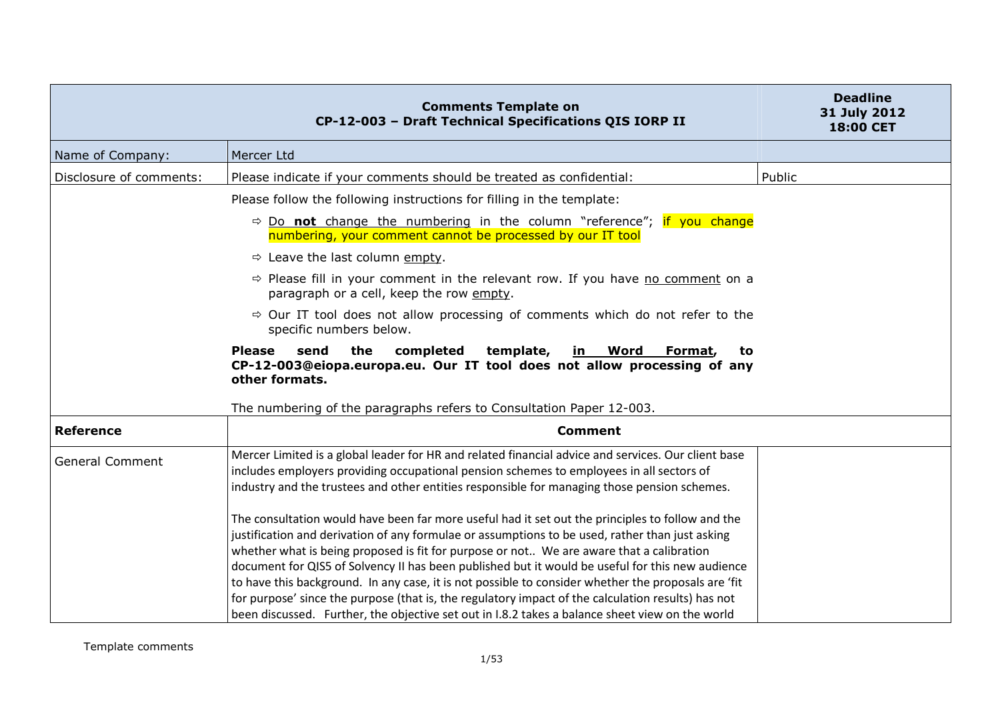|                         | <b>Comments Template on</b><br>CP-12-003 - Draft Technical Specifications QIS IORP II                                                                                                                                                                                                                                                                                                                                                                                                                                                                                                                                                                                                                               | <b>Deadline</b><br>31 July 2012<br>18:00 CET |
|-------------------------|---------------------------------------------------------------------------------------------------------------------------------------------------------------------------------------------------------------------------------------------------------------------------------------------------------------------------------------------------------------------------------------------------------------------------------------------------------------------------------------------------------------------------------------------------------------------------------------------------------------------------------------------------------------------------------------------------------------------|----------------------------------------------|
| Name of Company:        | Mercer Ltd                                                                                                                                                                                                                                                                                                                                                                                                                                                                                                                                                                                                                                                                                                          |                                              |
| Disclosure of comments: | Please indicate if your comments should be treated as confidential:                                                                                                                                                                                                                                                                                                                                                                                                                                                                                                                                                                                                                                                 | Public                                       |
|                         | Please follow the following instructions for filling in the template:                                                                                                                                                                                                                                                                                                                                                                                                                                                                                                                                                                                                                                               |                                              |
|                         | $\Rightarrow$ Do not change the numbering in the column "reference"; if you change<br>numbering, your comment cannot be processed by our IT tool                                                                                                                                                                                                                                                                                                                                                                                                                                                                                                                                                                    |                                              |
|                         | $\Rightarrow$ Leave the last column empty.                                                                                                                                                                                                                                                                                                                                                                                                                                                                                                                                                                                                                                                                          |                                              |
|                         | → Please fill in your comment in the relevant row. If you have no comment on a<br>paragraph or a cell, keep the row empty.                                                                                                                                                                                                                                                                                                                                                                                                                                                                                                                                                                                          |                                              |
|                         | $\Rightarrow$ Our IT tool does not allow processing of comments which do not refer to the<br>specific numbers below.                                                                                                                                                                                                                                                                                                                                                                                                                                                                                                                                                                                                |                                              |
|                         | the<br>completed<br>template,<br><b>Please</b><br>send<br><u>in Word</u><br>Format,<br>to<br>CP-12-003@eiopa.europa.eu. Our IT tool does not allow processing of any<br>other formats.                                                                                                                                                                                                                                                                                                                                                                                                                                                                                                                              |                                              |
|                         | The numbering of the paragraphs refers to Consultation Paper 12-003.                                                                                                                                                                                                                                                                                                                                                                                                                                                                                                                                                                                                                                                |                                              |
| <b>Reference</b>        | <b>Comment</b>                                                                                                                                                                                                                                                                                                                                                                                                                                                                                                                                                                                                                                                                                                      |                                              |
| <b>General Comment</b>  | Mercer Limited is a global leader for HR and related financial advice and services. Our client base<br>includes employers providing occupational pension schemes to employees in all sectors of<br>industry and the trustees and other entities responsible for managing those pension schemes.                                                                                                                                                                                                                                                                                                                                                                                                                     |                                              |
|                         | The consultation would have been far more useful had it set out the principles to follow and the<br>justification and derivation of any formulae or assumptions to be used, rather than just asking<br>whether what is being proposed is fit for purpose or not We are aware that a calibration<br>document for QIS5 of Solvency II has been published but it would be useful for this new audience<br>to have this background. In any case, it is not possible to consider whether the proposals are 'fit<br>for purpose' since the purpose (that is, the regulatory impact of the calculation results) has not<br>been discussed. Further, the objective set out in I.8.2 takes a balance sheet view on the world |                                              |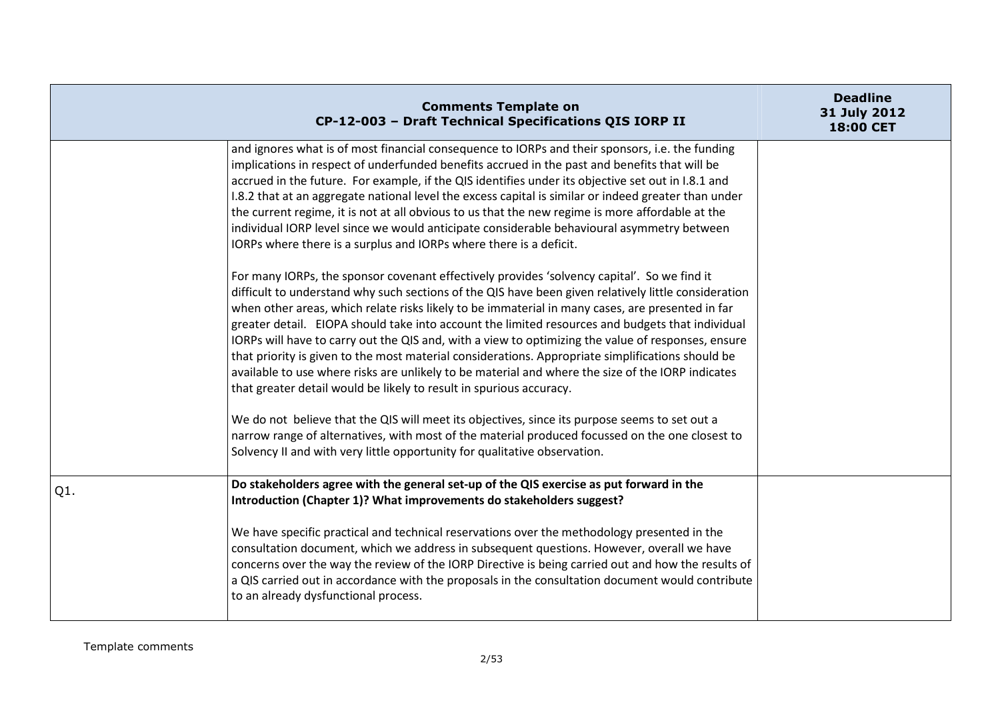|     | <b>Comments Template on</b><br>CP-12-003 - Draft Technical Specifications QIS IORP II                                                                                                                                                                                                                                                                                                                                                                                                                                                                                                                                                                                                                                                                                                              | <b>Deadline</b><br>31 July 2012<br>18:00 CET |
|-----|----------------------------------------------------------------------------------------------------------------------------------------------------------------------------------------------------------------------------------------------------------------------------------------------------------------------------------------------------------------------------------------------------------------------------------------------------------------------------------------------------------------------------------------------------------------------------------------------------------------------------------------------------------------------------------------------------------------------------------------------------------------------------------------------------|----------------------------------------------|
|     | and ignores what is of most financial consequence to IORPs and their sponsors, i.e. the funding<br>implications in respect of underfunded benefits accrued in the past and benefits that will be<br>accrued in the future. For example, if the QIS identifies under its objective set out in I.8.1 and<br>I.8.2 that at an aggregate national level the excess capital is similar or indeed greater than under<br>the current regime, it is not at all obvious to us that the new regime is more affordable at the<br>individual IORP level since we would anticipate considerable behavioural asymmetry between<br>IORPs where there is a surplus and IORPs where there is a deficit.                                                                                                             |                                              |
|     | For many IORPs, the sponsor covenant effectively provides 'solvency capital'. So we find it<br>difficult to understand why such sections of the QIS have been given relatively little consideration<br>when other areas, which relate risks likely to be immaterial in many cases, are presented in far<br>greater detail. EIOPA should take into account the limited resources and budgets that individual<br>IORPs will have to carry out the QIS and, with a view to optimizing the value of responses, ensure<br>that priority is given to the most material considerations. Appropriate simplifications should be<br>available to use where risks are unlikely to be material and where the size of the IORP indicates<br>that greater detail would be likely to result in spurious accuracy. |                                              |
|     | We do not believe that the QIS will meet its objectives, since its purpose seems to set out a<br>narrow range of alternatives, with most of the material produced focussed on the one closest to<br>Solvency II and with very little opportunity for qualitative observation.                                                                                                                                                                                                                                                                                                                                                                                                                                                                                                                      |                                              |
| Q1. | Do stakeholders agree with the general set-up of the QIS exercise as put forward in the<br>Introduction (Chapter 1)? What improvements do stakeholders suggest?                                                                                                                                                                                                                                                                                                                                                                                                                                                                                                                                                                                                                                    |                                              |
|     | We have specific practical and technical reservations over the methodology presented in the<br>consultation document, which we address in subsequent questions. However, overall we have<br>concerns over the way the review of the IORP Directive is being carried out and how the results of<br>a QIS carried out in accordance with the proposals in the consultation document would contribute<br>to an already dysfunctional process.                                                                                                                                                                                                                                                                                                                                                         |                                              |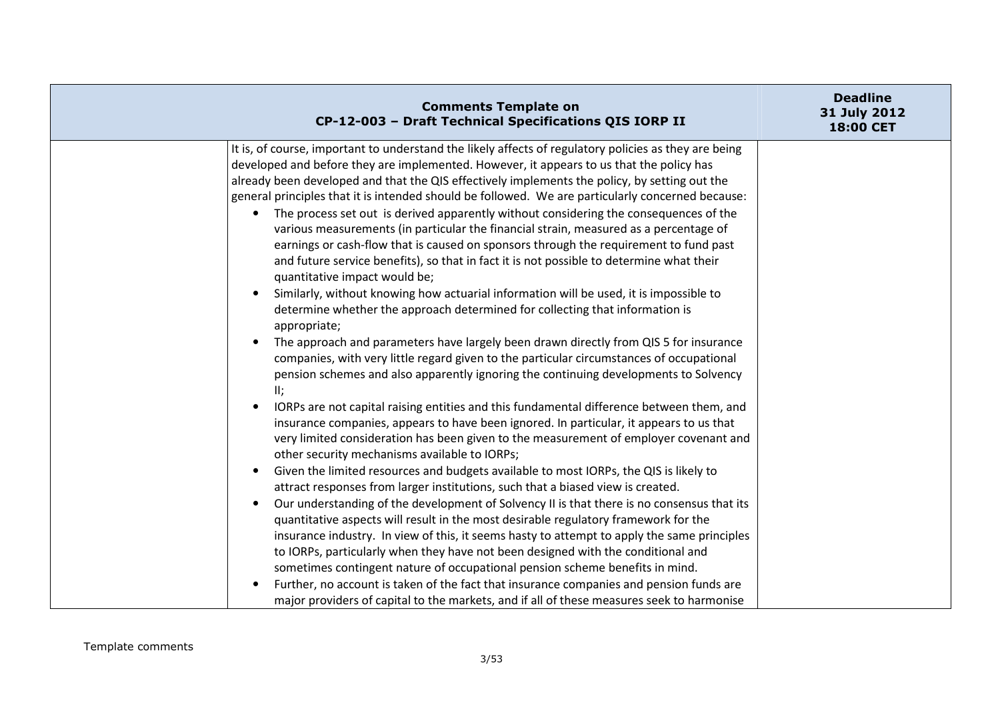| <b>Comments Template on</b><br>CP-12-003 - Draft Technical Specifications QIS IORP II                                                                                                                                                                                                                                                                                                                                                                                                                                                                                                                                                                                                                                                                                                                                                                                                                                                                                                                                                                                                                                                                                                                                                                                                                                                                                                                                                                                                                                                                                                                                                                                                                                                                                                                                                                                                                                                                                                                                                                                                                                                                                                                                                                                                                                                                                                                                                                                                                                       | <b>Deadline</b><br>31 July 2012<br>18:00 CET |
|-----------------------------------------------------------------------------------------------------------------------------------------------------------------------------------------------------------------------------------------------------------------------------------------------------------------------------------------------------------------------------------------------------------------------------------------------------------------------------------------------------------------------------------------------------------------------------------------------------------------------------------------------------------------------------------------------------------------------------------------------------------------------------------------------------------------------------------------------------------------------------------------------------------------------------------------------------------------------------------------------------------------------------------------------------------------------------------------------------------------------------------------------------------------------------------------------------------------------------------------------------------------------------------------------------------------------------------------------------------------------------------------------------------------------------------------------------------------------------------------------------------------------------------------------------------------------------------------------------------------------------------------------------------------------------------------------------------------------------------------------------------------------------------------------------------------------------------------------------------------------------------------------------------------------------------------------------------------------------------------------------------------------------------------------------------------------------------------------------------------------------------------------------------------------------------------------------------------------------------------------------------------------------------------------------------------------------------------------------------------------------------------------------------------------------------------------------------------------------------------------------------------------------|----------------------------------------------|
| It is, of course, important to understand the likely affects of regulatory policies as they are being<br>developed and before they are implemented. However, it appears to us that the policy has<br>already been developed and that the QIS effectively implements the policy, by setting out the<br>general principles that it is intended should be followed. We are particularly concerned because:<br>The process set out is derived apparently without considering the consequences of the<br>$\bullet$<br>various measurements (in particular the financial strain, measured as a percentage of<br>earnings or cash-flow that is caused on sponsors through the requirement to fund past<br>and future service benefits), so that in fact it is not possible to determine what their<br>quantitative impact would be;<br>Similarly, without knowing how actuarial information will be used, it is impossible to<br>$\bullet$<br>determine whether the approach determined for collecting that information is<br>appropriate;<br>The approach and parameters have largely been drawn directly from QIS 5 for insurance<br>$\bullet$<br>companies, with very little regard given to the particular circumstances of occupational<br>pension schemes and also apparently ignoring the continuing developments to Solvency<br>II:<br>IORPs are not capital raising entities and this fundamental difference between them, and<br>insurance companies, appears to have been ignored. In particular, it appears to us that<br>very limited consideration has been given to the measurement of employer covenant and<br>other security mechanisms available to IORPs;<br>Given the limited resources and budgets available to most IORPs, the QIS is likely to<br>$\bullet$<br>attract responses from larger institutions, such that a biased view is created.<br>Our understanding of the development of Solvency II is that there is no consensus that its<br>$\bullet$<br>quantitative aspects will result in the most desirable regulatory framework for the<br>insurance industry. In view of this, it seems hasty to attempt to apply the same principles<br>to IORPs, particularly when they have not been designed with the conditional and<br>sometimes contingent nature of occupational pension scheme benefits in mind.<br>Further, no account is taken of the fact that insurance companies and pension funds are<br>major providers of capital to the markets, and if all of these measures seek to harmonise |                                              |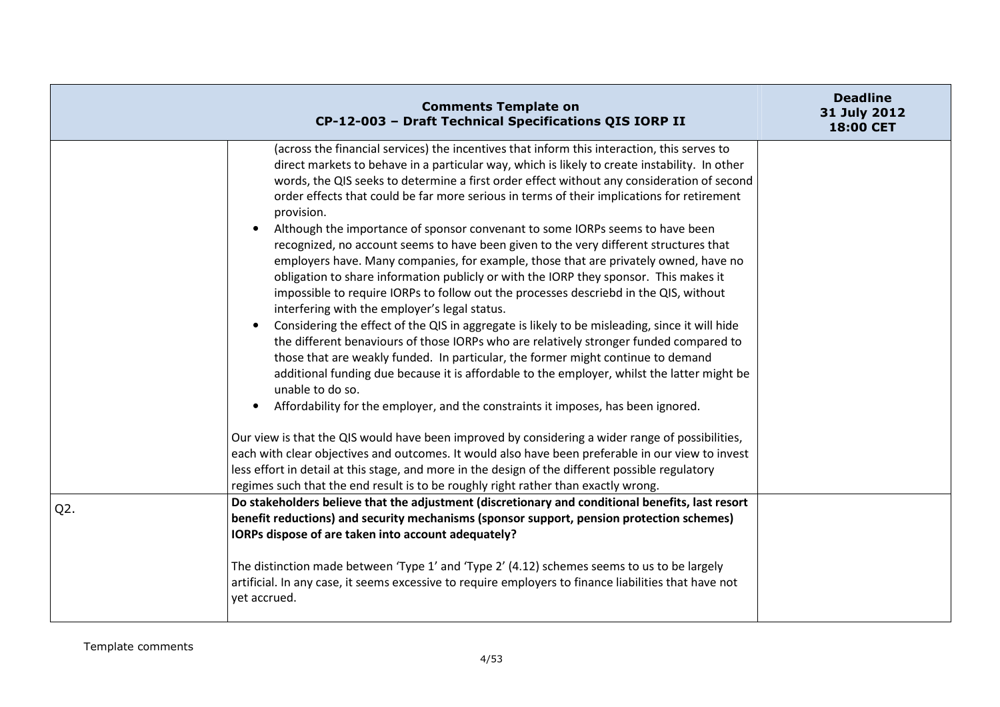|        | <b>Comments Template on</b><br>CP-12-003 - Draft Technical Specifications QIS IORP II                                                                                                                                                                                                                                                                                                                                                                                                                                                                                                                                                                                                                                                                                                                                                                                                                                                                                                                                                                                                                                                                                                                                                                                                                                                                                                                                                                                                                                                                                                                                                                                                                                                                                                                 | <b>Deadline</b><br>31 July 2012<br><b>18:00 CET</b> |
|--------|-------------------------------------------------------------------------------------------------------------------------------------------------------------------------------------------------------------------------------------------------------------------------------------------------------------------------------------------------------------------------------------------------------------------------------------------------------------------------------------------------------------------------------------------------------------------------------------------------------------------------------------------------------------------------------------------------------------------------------------------------------------------------------------------------------------------------------------------------------------------------------------------------------------------------------------------------------------------------------------------------------------------------------------------------------------------------------------------------------------------------------------------------------------------------------------------------------------------------------------------------------------------------------------------------------------------------------------------------------------------------------------------------------------------------------------------------------------------------------------------------------------------------------------------------------------------------------------------------------------------------------------------------------------------------------------------------------------------------------------------------------------------------------------------------------|-----------------------------------------------------|
|        | (across the financial services) the incentives that inform this interaction, this serves to<br>direct markets to behave in a particular way, which is likely to create instability. In other<br>words, the QIS seeks to determine a first order effect without any consideration of second<br>order effects that could be far more serious in terms of their implications for retirement<br>provision.<br>Although the importance of sponsor convenant to some IORPs seems to have been<br>recognized, no account seems to have been given to the very different structures that<br>employers have. Many companies, for example, those that are privately owned, have no<br>obligation to share information publicly or with the IORP they sponsor. This makes it<br>impossible to require IORPs to follow out the processes descriebd in the QIS, without<br>interfering with the employer's legal status.<br>Considering the effect of the QIS in aggregate is likely to be misleading, since it will hide<br>the different benaviours of those IORPs who are relatively stronger funded compared to<br>those that are weakly funded. In particular, the former might continue to demand<br>additional funding due because it is affordable to the employer, whilst the latter might be<br>unable to do so.<br>Affordability for the employer, and the constraints it imposes, has been ignored.<br>Our view is that the QIS would have been improved by considering a wider range of possibilities,<br>each with clear objectives and outcomes. It would also have been preferable in our view to invest<br>less effort in detail at this stage, and more in the design of the different possible regulatory<br>regimes such that the end result is to be roughly right rather than exactly wrong. |                                                     |
| $Q2$ . | Do stakeholders believe that the adjustment (discretionary and conditional benefits, last resort<br>benefit reductions) and security mechanisms (sponsor support, pension protection schemes)<br>IORPs dispose of are taken into account adequately?                                                                                                                                                                                                                                                                                                                                                                                                                                                                                                                                                                                                                                                                                                                                                                                                                                                                                                                                                                                                                                                                                                                                                                                                                                                                                                                                                                                                                                                                                                                                                  |                                                     |
|        | The distinction made between 'Type 1' and 'Type 2' (4.12) schemes seems to us to be largely<br>artificial. In any case, it seems excessive to require employers to finance liabilities that have not<br>yet accrued.                                                                                                                                                                                                                                                                                                                                                                                                                                                                                                                                                                                                                                                                                                                                                                                                                                                                                                                                                                                                                                                                                                                                                                                                                                                                                                                                                                                                                                                                                                                                                                                  |                                                     |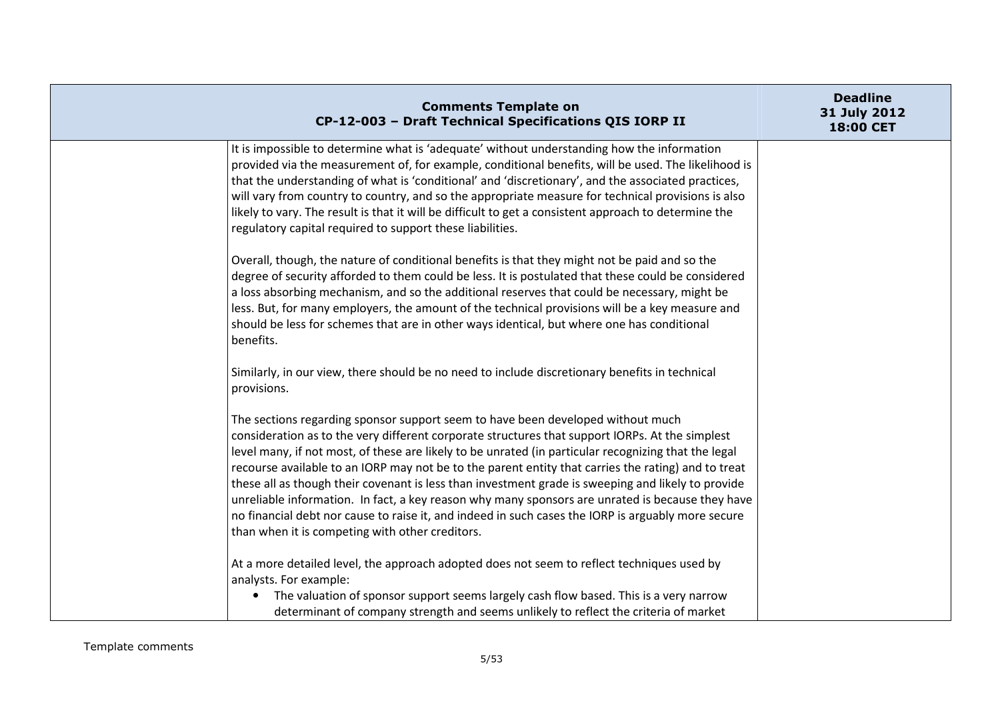| <b>Comments Template on</b><br>CP-12-003 - Draft Technical Specifications QIS IORP II                                                                                                                                                                                                                                                                                                                                                                                                                                                                                                                                                                                                                                                                                | <b>Deadline</b><br>31 July 2012<br>18:00 CET |
|----------------------------------------------------------------------------------------------------------------------------------------------------------------------------------------------------------------------------------------------------------------------------------------------------------------------------------------------------------------------------------------------------------------------------------------------------------------------------------------------------------------------------------------------------------------------------------------------------------------------------------------------------------------------------------------------------------------------------------------------------------------------|----------------------------------------------|
| It is impossible to determine what is 'adequate' without understanding how the information<br>provided via the measurement of, for example, conditional benefits, will be used. The likelihood is<br>that the understanding of what is 'conditional' and 'discretionary', and the associated practices,<br>will vary from country to country, and so the appropriate measure for technical provisions is also<br>likely to vary. The result is that it will be difficult to get a consistent approach to determine the<br>regulatory capital required to support these liabilities.                                                                                                                                                                                  |                                              |
| Overall, though, the nature of conditional benefits is that they might not be paid and so the<br>degree of security afforded to them could be less. It is postulated that these could be considered<br>a loss absorbing mechanism, and so the additional reserves that could be necessary, might be<br>less. But, for many employers, the amount of the technical provisions will be a key measure and<br>should be less for schemes that are in other ways identical, but where one has conditional<br>benefits.                                                                                                                                                                                                                                                    |                                              |
| Similarly, in our view, there should be no need to include discretionary benefits in technical<br>provisions.                                                                                                                                                                                                                                                                                                                                                                                                                                                                                                                                                                                                                                                        |                                              |
| The sections regarding sponsor support seem to have been developed without much<br>consideration as to the very different corporate structures that support IORPs. At the simplest<br>level many, if not most, of these are likely to be unrated (in particular recognizing that the legal<br>recourse available to an IORP may not be to the parent entity that carries the rating) and to treat<br>these all as though their covenant is less than investment grade is sweeping and likely to provide<br>unreliable information. In fact, a key reason why many sponsors are unrated is because they have<br>no financial debt nor cause to raise it, and indeed in such cases the IORP is arguably more secure<br>than when it is competing with other creditors. |                                              |
| At a more detailed level, the approach adopted does not seem to reflect techniques used by<br>analysts. For example:<br>The valuation of sponsor support seems largely cash flow based. This is a very narrow<br>$\bullet$<br>determinant of company strength and seems unlikely to reflect the criteria of market                                                                                                                                                                                                                                                                                                                                                                                                                                                   |                                              |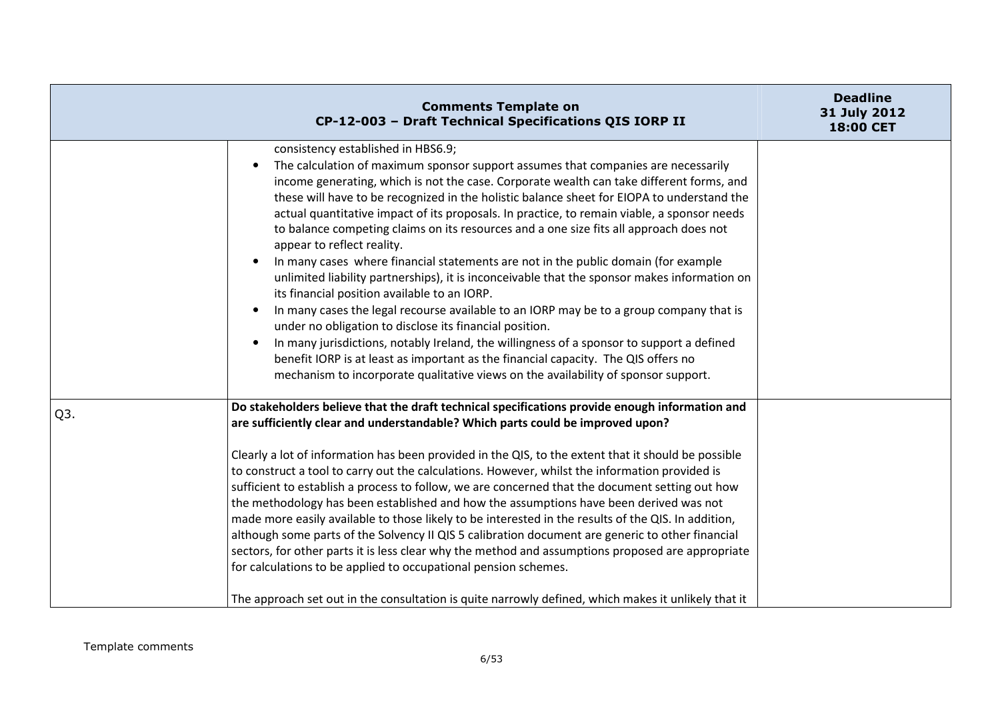|                  | <b>Comments Template on</b><br>CP-12-003 - Draft Technical Specifications QIS IORP II                                                                                                                                                                                                                                                                                                                                                                                                                                                                                                                                                                                                                                                                                                                                                                                                                                                                                                                                                                                                                                                                                                                         | <b>Deadline</b><br>31 July 2012<br>18:00 CET |
|------------------|---------------------------------------------------------------------------------------------------------------------------------------------------------------------------------------------------------------------------------------------------------------------------------------------------------------------------------------------------------------------------------------------------------------------------------------------------------------------------------------------------------------------------------------------------------------------------------------------------------------------------------------------------------------------------------------------------------------------------------------------------------------------------------------------------------------------------------------------------------------------------------------------------------------------------------------------------------------------------------------------------------------------------------------------------------------------------------------------------------------------------------------------------------------------------------------------------------------|----------------------------------------------|
|                  | consistency established in HBS6.9;<br>The calculation of maximum sponsor support assumes that companies are necessarily<br>income generating, which is not the case. Corporate wealth can take different forms, and<br>these will have to be recognized in the holistic balance sheet for EIOPA to understand the<br>actual quantitative impact of its proposals. In practice, to remain viable, a sponsor needs<br>to balance competing claims on its resources and a one size fits all approach does not<br>appear to reflect reality.<br>In many cases where financial statements are not in the public domain (for example<br>unlimited liability partnerships), it is inconceivable that the sponsor makes information on<br>its financial position available to an IORP.<br>In many cases the legal recourse available to an IORP may be to a group company that is<br>under no obligation to disclose its financial position.<br>In many jurisdictions, notably Ireland, the willingness of a sponsor to support a defined<br>benefit IORP is at least as important as the financial capacity. The QIS offers no<br>mechanism to incorporate qualitative views on the availability of sponsor support. |                                              |
| Q <sub>3</sub> . | Do stakeholders believe that the draft technical specifications provide enough information and<br>are sufficiently clear and understandable? Which parts could be improved upon?<br>Clearly a lot of information has been provided in the QIS, to the extent that it should be possible<br>to construct a tool to carry out the calculations. However, whilst the information provided is<br>sufficient to establish a process to follow, we are concerned that the document setting out how<br>the methodology has been established and how the assumptions have been derived was not<br>made more easily available to those likely to be interested in the results of the QIS. In addition,<br>although some parts of the Solvency II QIS 5 calibration document are generic to other financial<br>sectors, for other parts it is less clear why the method and assumptions proposed are appropriate<br>for calculations to be applied to occupational pension schemes.<br>The approach set out in the consultation is quite narrowly defined, which makes it unlikely that it                                                                                                                              |                                              |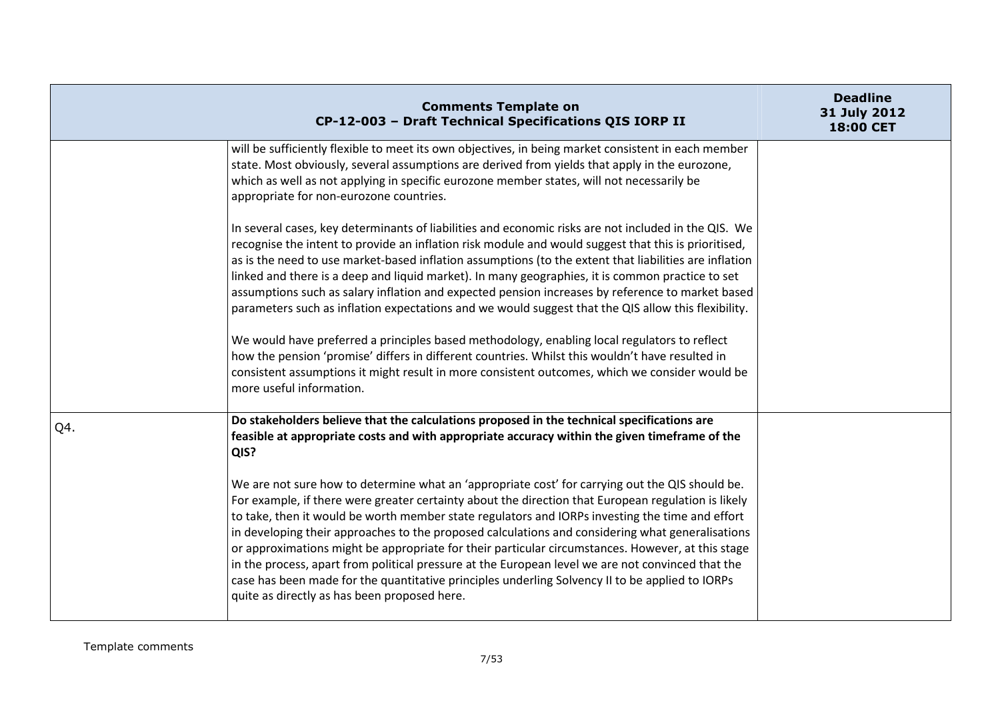|     | <b>Comments Template on</b><br>CP-12-003 - Draft Technical Specifications QIS IORP II                                                                                                                                                                                                                                                                                                                                                                                                                                                                                                                                                                                                                                                                                                                                                                                                                                                                                  | <b>Deadline</b><br>31 July 2012<br>18:00 CET |
|-----|------------------------------------------------------------------------------------------------------------------------------------------------------------------------------------------------------------------------------------------------------------------------------------------------------------------------------------------------------------------------------------------------------------------------------------------------------------------------------------------------------------------------------------------------------------------------------------------------------------------------------------------------------------------------------------------------------------------------------------------------------------------------------------------------------------------------------------------------------------------------------------------------------------------------------------------------------------------------|----------------------------------------------|
|     | will be sufficiently flexible to meet its own objectives, in being market consistent in each member<br>state. Most obviously, several assumptions are derived from yields that apply in the eurozone,<br>which as well as not applying in specific eurozone member states, will not necessarily be<br>appropriate for non-eurozone countries.                                                                                                                                                                                                                                                                                                                                                                                                                                                                                                                                                                                                                          |                                              |
|     | In several cases, key determinants of liabilities and economic risks are not included in the QIS. We<br>recognise the intent to provide an inflation risk module and would suggest that this is prioritised,<br>as is the need to use market-based inflation assumptions (to the extent that liabilities are inflation<br>linked and there is a deep and liquid market). In many geographies, it is common practice to set<br>assumptions such as salary inflation and expected pension increases by reference to market based<br>parameters such as inflation expectations and we would suggest that the QIS allow this flexibility.<br>We would have preferred a principles based methodology, enabling local regulators to reflect<br>how the pension 'promise' differs in different countries. Whilst this wouldn't have resulted in<br>consistent assumptions it might result in more consistent outcomes, which we consider would be<br>more useful information. |                                              |
| Q4. | Do stakeholders believe that the calculations proposed in the technical specifications are<br>feasible at appropriate costs and with appropriate accuracy within the given timeframe of the<br>QIS?                                                                                                                                                                                                                                                                                                                                                                                                                                                                                                                                                                                                                                                                                                                                                                    |                                              |
|     | We are not sure how to determine what an 'appropriate cost' for carrying out the QIS should be.<br>For example, if there were greater certainty about the direction that European regulation is likely<br>to take, then it would be worth member state regulators and IORPs investing the time and effort<br>in developing their approaches to the proposed calculations and considering what generalisations<br>or approximations might be appropriate for their particular circumstances. However, at this stage<br>in the process, apart from political pressure at the European level we are not convinced that the<br>case has been made for the quantitative principles underling Solvency II to be applied to IORPs<br>quite as directly as has been proposed here.                                                                                                                                                                                             |                                              |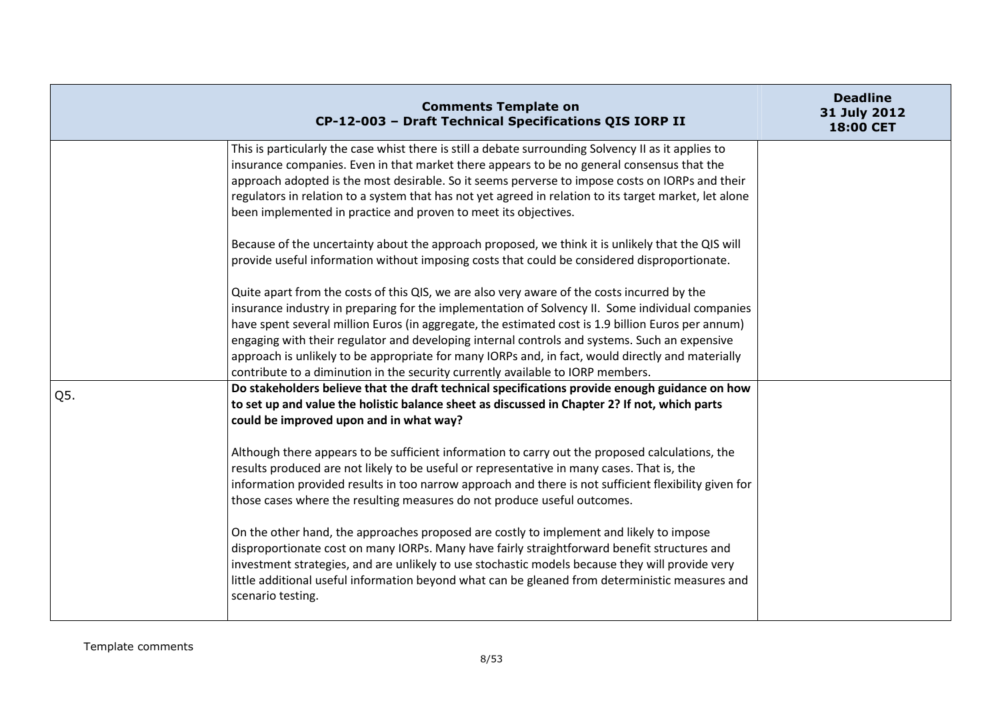|     | <b>Comments Template on</b><br>CP-12-003 - Draft Technical Specifications QIS IORP II                                                                                                                                                                                                                                                                                                                                                                                                                                                                                                          | <b>Deadline</b><br>31 July 2012<br>18:00 CET |
|-----|------------------------------------------------------------------------------------------------------------------------------------------------------------------------------------------------------------------------------------------------------------------------------------------------------------------------------------------------------------------------------------------------------------------------------------------------------------------------------------------------------------------------------------------------------------------------------------------------|----------------------------------------------|
|     | This is particularly the case whist there is still a debate surrounding Solvency II as it applies to<br>insurance companies. Even in that market there appears to be no general consensus that the<br>approach adopted is the most desirable. So it seems perverse to impose costs on IORPs and their<br>regulators in relation to a system that has not yet agreed in relation to its target market, let alone<br>been implemented in practice and proven to meet its objectives.                                                                                                             |                                              |
|     | Because of the uncertainty about the approach proposed, we think it is unlikely that the QIS will<br>provide useful information without imposing costs that could be considered disproportionate.                                                                                                                                                                                                                                                                                                                                                                                              |                                              |
|     | Quite apart from the costs of this QIS, we are also very aware of the costs incurred by the<br>insurance industry in preparing for the implementation of Solvency II. Some individual companies<br>have spent several million Euros (in aggregate, the estimated cost is 1.9 billion Euros per annum)<br>engaging with their regulator and developing internal controls and systems. Such an expensive<br>approach is unlikely to be appropriate for many IORPs and, in fact, would directly and materially<br>contribute to a diminution in the security currently available to IORP members. |                                              |
| Q5. | Do stakeholders believe that the draft technical specifications provide enough guidance on how<br>to set up and value the holistic balance sheet as discussed in Chapter 2? If not, which parts<br>could be improved upon and in what way?                                                                                                                                                                                                                                                                                                                                                     |                                              |
|     | Although there appears to be sufficient information to carry out the proposed calculations, the<br>results produced are not likely to be useful or representative in many cases. That is, the<br>information provided results in too narrow approach and there is not sufficient flexibility given for<br>those cases where the resulting measures do not produce useful outcomes.                                                                                                                                                                                                             |                                              |
|     | On the other hand, the approaches proposed are costly to implement and likely to impose<br>disproportionate cost on many IORPs. Many have fairly straightforward benefit structures and<br>investment strategies, and are unlikely to use stochastic models because they will provide very<br>little additional useful information beyond what can be gleaned from deterministic measures and<br>scenario testing.                                                                                                                                                                             |                                              |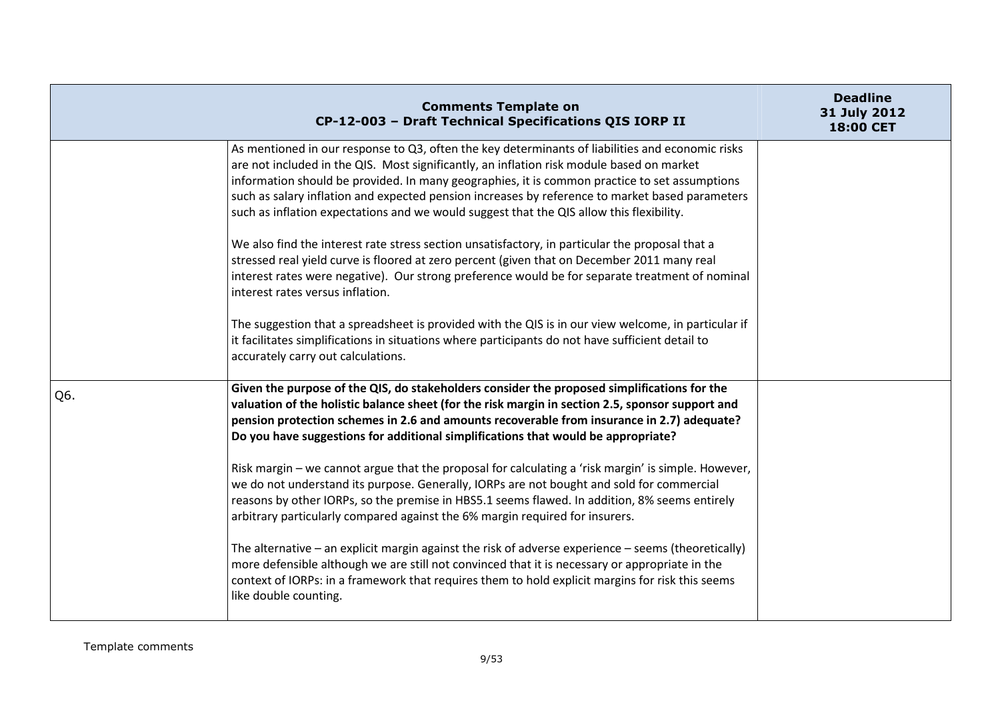|     | <b>Comments Template on</b><br>CP-12-003 - Draft Technical Specifications QIS IORP II                                                                                                                                                                                                                                                                                                                                                                                                         | <b>Deadline</b><br>31 July 2012<br><b>18:00 CET</b> |
|-----|-----------------------------------------------------------------------------------------------------------------------------------------------------------------------------------------------------------------------------------------------------------------------------------------------------------------------------------------------------------------------------------------------------------------------------------------------------------------------------------------------|-----------------------------------------------------|
|     | As mentioned in our response to Q3, often the key determinants of liabilities and economic risks<br>are not included in the QIS. Most significantly, an inflation risk module based on market<br>information should be provided. In many geographies, it is common practice to set assumptions<br>such as salary inflation and expected pension increases by reference to market based parameters<br>such as inflation expectations and we would suggest that the QIS allow this flexibility. |                                                     |
|     | We also find the interest rate stress section unsatisfactory, in particular the proposal that a<br>stressed real yield curve is floored at zero percent (given that on December 2011 many real<br>interest rates were negative). Our strong preference would be for separate treatment of nominal<br>interest rates versus inflation.                                                                                                                                                         |                                                     |
|     | The suggestion that a spreadsheet is provided with the QIS is in our view welcome, in particular if<br>it facilitates simplifications in situations where participants do not have sufficient detail to<br>accurately carry out calculations.                                                                                                                                                                                                                                                 |                                                     |
| Q6. | Given the purpose of the QIS, do stakeholders consider the proposed simplifications for the<br>valuation of the holistic balance sheet (for the risk margin in section 2.5, sponsor support and<br>pension protection schemes in 2.6 and amounts recoverable from insurance in 2.7) adequate?<br>Do you have suggestions for additional simplifications that would be appropriate?                                                                                                            |                                                     |
|     | Risk margin - we cannot argue that the proposal for calculating a 'risk margin' is simple. However,<br>we do not understand its purpose. Generally, IORPs are not bought and sold for commercial<br>reasons by other IORPs, so the premise in HBS5.1 seems flawed. In addition, 8% seems entirely<br>arbitrary particularly compared against the 6% margin required for insurers.                                                                                                             |                                                     |
|     | The alternative $-$ an explicit margin against the risk of adverse experience $-$ seems (theoretically)<br>more defensible although we are still not convinced that it is necessary or appropriate in the<br>context of IORPs: in a framework that requires them to hold explicit margins for risk this seems<br>like double counting.                                                                                                                                                        |                                                     |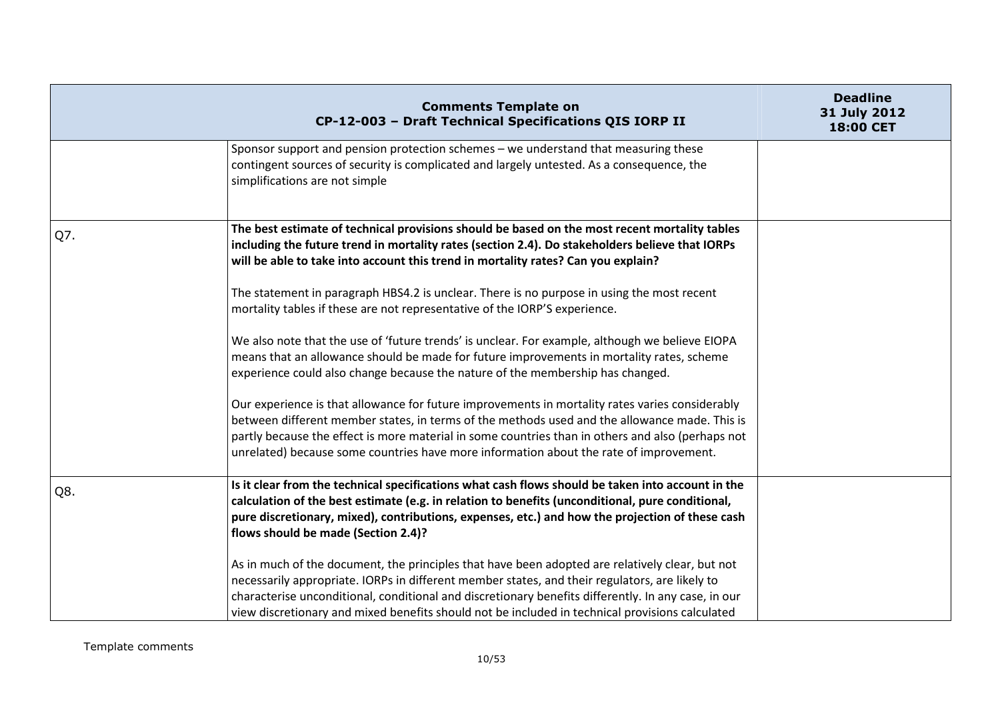|     | <b>Comments Template on</b><br>CP-12-003 - Draft Technical Specifications QIS IORP II                                                                                                                                                                                                                                                                                                                       | <b>Deadline</b><br>31 July 2012<br><b>18:00 CET</b> |
|-----|-------------------------------------------------------------------------------------------------------------------------------------------------------------------------------------------------------------------------------------------------------------------------------------------------------------------------------------------------------------------------------------------------------------|-----------------------------------------------------|
|     | Sponsor support and pension protection schemes – we understand that measuring these<br>contingent sources of security is complicated and largely untested. As a consequence, the<br>simplifications are not simple                                                                                                                                                                                          |                                                     |
| Q7. | The best estimate of technical provisions should be based on the most recent mortality tables<br>including the future trend in mortality rates (section 2.4). Do stakeholders believe that IORPs<br>will be able to take into account this trend in mortality rates? Can you explain?                                                                                                                       |                                                     |
|     | The statement in paragraph HBS4.2 is unclear. There is no purpose in using the most recent<br>mortality tables if these are not representative of the IORP'S experience.                                                                                                                                                                                                                                    |                                                     |
|     | We also note that the use of 'future trends' is unclear. For example, although we believe EIOPA<br>means that an allowance should be made for future improvements in mortality rates, scheme<br>experience could also change because the nature of the membership has changed.                                                                                                                              |                                                     |
|     | Our experience is that allowance for future improvements in mortality rates varies considerably<br>between different member states, in terms of the methods used and the allowance made. This is<br>partly because the effect is more material in some countries than in others and also (perhaps not<br>unrelated) because some countries have more information about the rate of improvement.             |                                                     |
| Q8. | Is it clear from the technical specifications what cash flows should be taken into account in the<br>calculation of the best estimate (e.g. in relation to benefits (unconditional, pure conditional,<br>pure discretionary, mixed), contributions, expenses, etc.) and how the projection of these cash<br>flows should be made (Section 2.4)?                                                             |                                                     |
|     | As in much of the document, the principles that have been adopted are relatively clear, but not<br>necessarily appropriate. IORPs in different member states, and their regulators, are likely to<br>characterise unconditional, conditional and discretionary benefits differently. In any case, in our<br>view discretionary and mixed benefits should not be included in technical provisions calculated |                                                     |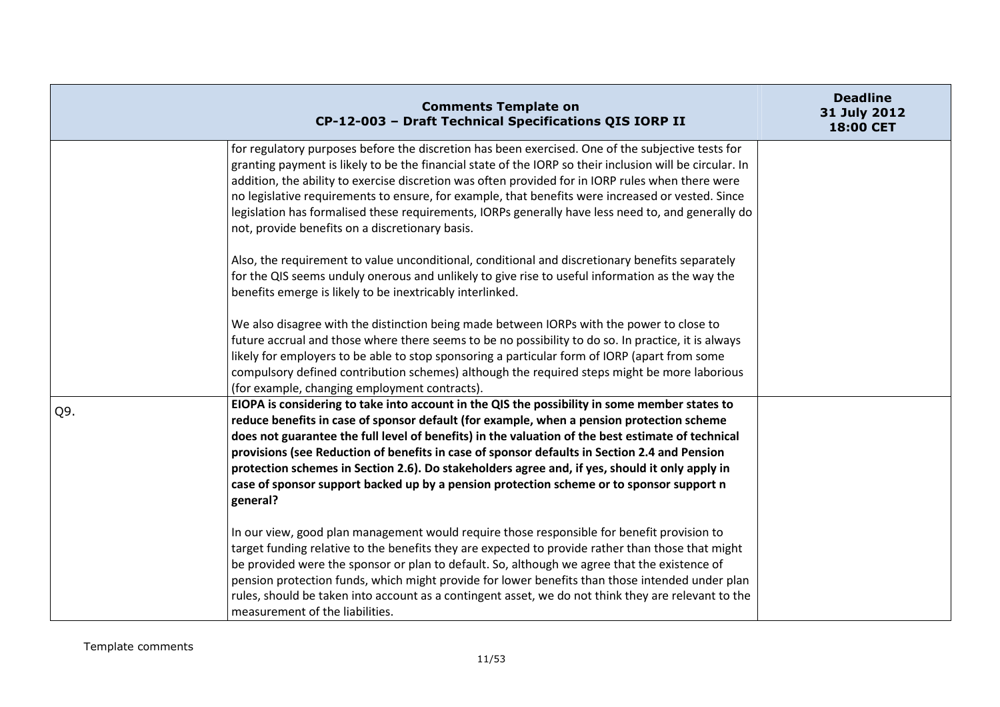|     | <b>Comments Template on</b><br>CP-12-003 - Draft Technical Specifications QIS IORP II                                                                                                                                                                                                                                                                                                                                                                                                                                                                                                                     | <b>Deadline</b><br>31 July 2012<br>18:00 CET |
|-----|-----------------------------------------------------------------------------------------------------------------------------------------------------------------------------------------------------------------------------------------------------------------------------------------------------------------------------------------------------------------------------------------------------------------------------------------------------------------------------------------------------------------------------------------------------------------------------------------------------------|----------------------------------------------|
|     | for regulatory purposes before the discretion has been exercised. One of the subjective tests for<br>granting payment is likely to be the financial state of the IORP so their inclusion will be circular. In<br>addition, the ability to exercise discretion was often provided for in IORP rules when there were<br>no legislative requirements to ensure, for example, that benefits were increased or vested. Since<br>legislation has formalised these requirements, IORPs generally have less need to, and generally do<br>not, provide benefits on a discretionary basis.                          |                                              |
|     | Also, the requirement to value unconditional, conditional and discretionary benefits separately<br>for the QIS seems unduly onerous and unlikely to give rise to useful information as the way the<br>benefits emerge is likely to be inextricably interlinked.                                                                                                                                                                                                                                                                                                                                           |                                              |
|     | We also disagree with the distinction being made between IORPs with the power to close to<br>future accrual and those where there seems to be no possibility to do so. In practice, it is always<br>likely for employers to be able to stop sponsoring a particular form of IORP (apart from some<br>compulsory defined contribution schemes) although the required steps might be more laborious<br>(for example, changing employment contracts).                                                                                                                                                        |                                              |
| Q9. | EIOPA is considering to take into account in the QIS the possibility in some member states to<br>reduce benefits in case of sponsor default (for example, when a pension protection scheme<br>does not guarantee the full level of benefits) in the valuation of the best estimate of technical<br>provisions (see Reduction of benefits in case of sponsor defaults in Section 2.4 and Pension<br>protection schemes in Section 2.6). Do stakeholders agree and, if yes, should it only apply in<br>case of sponsor support backed up by a pension protection scheme or to sponsor support n<br>general? |                                              |
|     | In our view, good plan management would require those responsible for benefit provision to<br>target funding relative to the benefits they are expected to provide rather than those that might<br>be provided were the sponsor or plan to default. So, although we agree that the existence of<br>pension protection funds, which might provide for lower benefits than those intended under plan<br>rules, should be taken into account as a contingent asset, we do not think they are relevant to the<br>measurement of the liabilities.                                                              |                                              |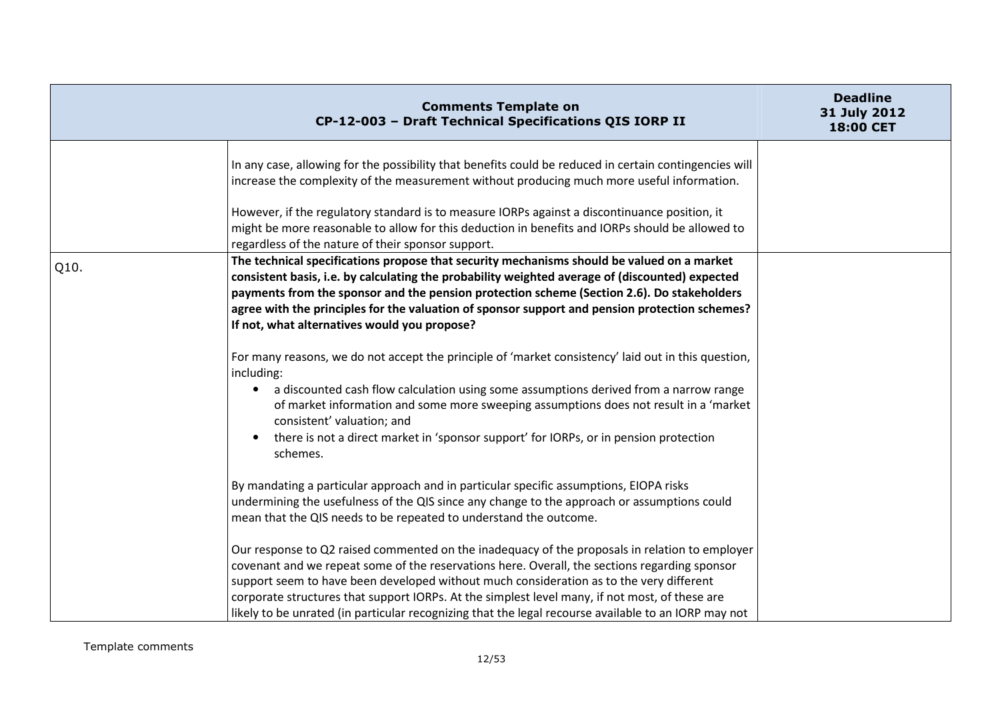|      | <b>Comments Template on</b><br>CP-12-003 - Draft Technical Specifications QIS IORP II                                                                                                                                                                                                                                                                                                                                                                                                                | <b>Deadline</b><br>31 July 2012<br>18:00 CET |
|------|------------------------------------------------------------------------------------------------------------------------------------------------------------------------------------------------------------------------------------------------------------------------------------------------------------------------------------------------------------------------------------------------------------------------------------------------------------------------------------------------------|----------------------------------------------|
|      | In any case, allowing for the possibility that benefits could be reduced in certain contingencies will<br>increase the complexity of the measurement without producing much more useful information.                                                                                                                                                                                                                                                                                                 |                                              |
|      | However, if the regulatory standard is to measure IORPs against a discontinuance position, it<br>might be more reasonable to allow for this deduction in benefits and IORPs should be allowed to<br>regardless of the nature of their sponsor support.                                                                                                                                                                                                                                               |                                              |
| Q10. | The technical specifications propose that security mechanisms should be valued on a market<br>consistent basis, i.e. by calculating the probability weighted average of (discounted) expected<br>payments from the sponsor and the pension protection scheme (Section 2.6). Do stakeholders<br>agree with the principles for the valuation of sponsor support and pension protection schemes?<br>If not, what alternatives would you propose?                                                        |                                              |
|      | For many reasons, we do not accept the principle of 'market consistency' laid out in this question,<br>including:<br>a discounted cash flow calculation using some assumptions derived from a narrow range<br>$\bullet$<br>of market information and some more sweeping assumptions does not result in a 'market<br>consistent' valuation; and<br>there is not a direct market in 'sponsor support' for IORPs, or in pension protection<br>schemes.                                                  |                                              |
|      | By mandating a particular approach and in particular specific assumptions, EIOPA risks<br>undermining the usefulness of the QIS since any change to the approach or assumptions could<br>mean that the QIS needs to be repeated to understand the outcome.                                                                                                                                                                                                                                           |                                              |
|      | Our response to Q2 raised commented on the inadequacy of the proposals in relation to employer<br>covenant and we repeat some of the reservations here. Overall, the sections regarding sponsor<br>support seem to have been developed without much consideration as to the very different<br>corporate structures that support IORPs. At the simplest level many, if not most, of these are<br>likely to be unrated (in particular recognizing that the legal recourse available to an IORP may not |                                              |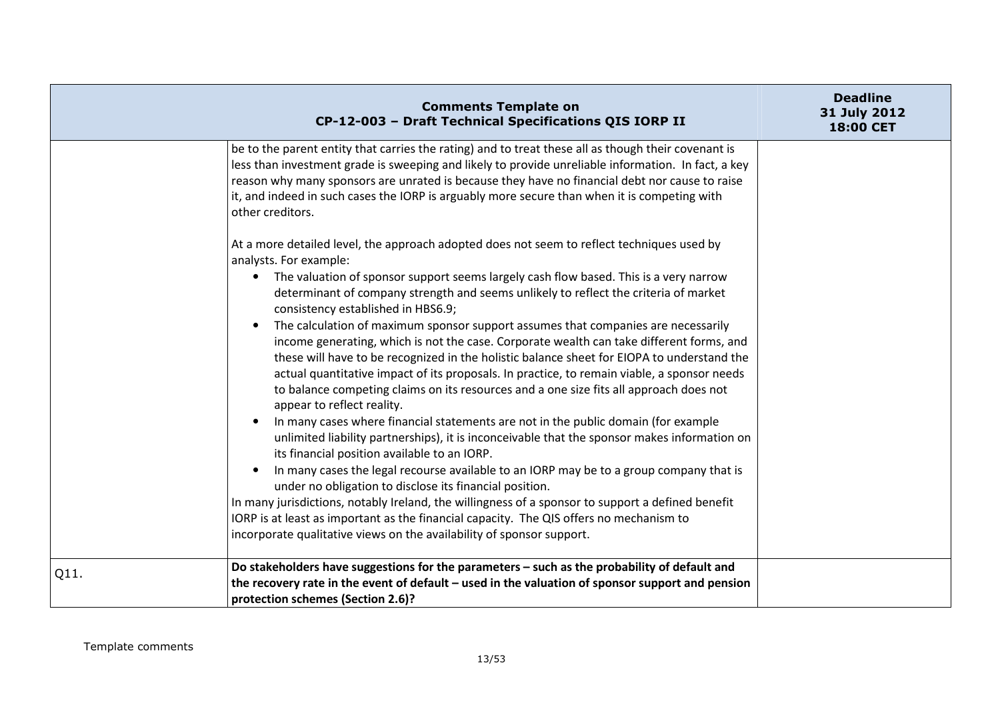|      | <b>Comments Template on</b><br>CP-12-003 - Draft Technical Specifications QIS IORP II                                                                                                                                                                                                                                                                                                                                                                                                                                                                                                                                                                                                                                                                                                                                                                                                                                                                                                                                                                                                                                                                                                                                                                                                                                                                                                                                                                                                                                                                         | <b>Deadline</b><br>31 July 2012<br>18:00 CET |
|------|---------------------------------------------------------------------------------------------------------------------------------------------------------------------------------------------------------------------------------------------------------------------------------------------------------------------------------------------------------------------------------------------------------------------------------------------------------------------------------------------------------------------------------------------------------------------------------------------------------------------------------------------------------------------------------------------------------------------------------------------------------------------------------------------------------------------------------------------------------------------------------------------------------------------------------------------------------------------------------------------------------------------------------------------------------------------------------------------------------------------------------------------------------------------------------------------------------------------------------------------------------------------------------------------------------------------------------------------------------------------------------------------------------------------------------------------------------------------------------------------------------------------------------------------------------------|----------------------------------------------|
|      | be to the parent entity that carries the rating) and to treat these all as though their covenant is<br>less than investment grade is sweeping and likely to provide unreliable information. In fact, a key<br>reason why many sponsors are unrated is because they have no financial debt nor cause to raise<br>it, and indeed in such cases the IORP is arguably more secure than when it is competing with<br>other creditors.                                                                                                                                                                                                                                                                                                                                                                                                                                                                                                                                                                                                                                                                                                                                                                                                                                                                                                                                                                                                                                                                                                                              |                                              |
|      | At a more detailed level, the approach adopted does not seem to reflect techniques used by<br>analysts. For example:<br>The valuation of sponsor support seems largely cash flow based. This is a very narrow<br>$\bullet$<br>determinant of company strength and seems unlikely to reflect the criteria of market<br>consistency established in HBS6.9;<br>The calculation of maximum sponsor support assumes that companies are necessarily<br>$\bullet$<br>income generating, which is not the case. Corporate wealth can take different forms, and<br>these will have to be recognized in the holistic balance sheet for EIOPA to understand the<br>actual quantitative impact of its proposals. In practice, to remain viable, a sponsor needs<br>to balance competing claims on its resources and a one size fits all approach does not<br>appear to reflect reality.<br>In many cases where financial statements are not in the public domain (for example<br>unlimited liability partnerships), it is inconceivable that the sponsor makes information on<br>its financial position available to an IORP.<br>In many cases the legal recourse available to an IORP may be to a group company that is<br>$\bullet$<br>under no obligation to disclose its financial position.<br>In many jurisdictions, notably Ireland, the willingness of a sponsor to support a defined benefit<br>IORP is at least as important as the financial capacity. The QIS offers no mechanism to<br>incorporate qualitative views on the availability of sponsor support. |                                              |
| Q11. | Do stakeholders have suggestions for the parameters - such as the probability of default and<br>the recovery rate in the event of default – used in the valuation of sponsor support and pension<br>protection schemes (Section 2.6)?                                                                                                                                                                                                                                                                                                                                                                                                                                                                                                                                                                                                                                                                                                                                                                                                                                                                                                                                                                                                                                                                                                                                                                                                                                                                                                                         |                                              |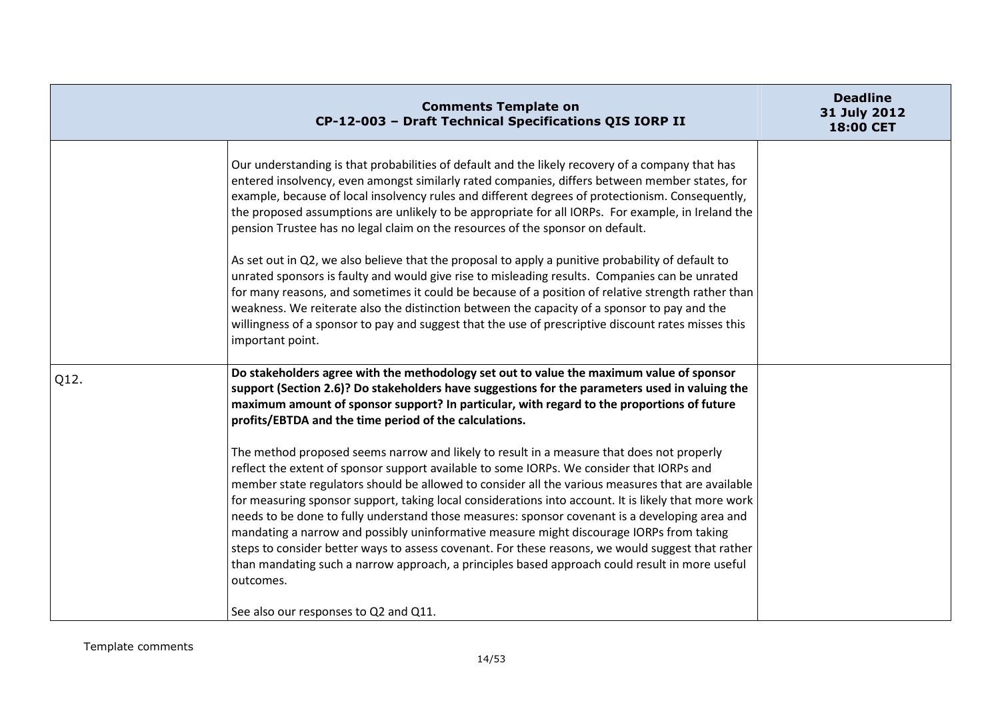|      | <b>Comments Template on</b><br>CP-12-003 - Draft Technical Specifications QIS IORP II                                                                                                                                                                                                                                                                                                                                                                                                                                                                                                                                                                                                                                                                                                                                                                                                                                                                                                                                                                                                                                                                                                                                | <b>Deadline</b><br>31 July 2012<br>18:00 CET |
|------|----------------------------------------------------------------------------------------------------------------------------------------------------------------------------------------------------------------------------------------------------------------------------------------------------------------------------------------------------------------------------------------------------------------------------------------------------------------------------------------------------------------------------------------------------------------------------------------------------------------------------------------------------------------------------------------------------------------------------------------------------------------------------------------------------------------------------------------------------------------------------------------------------------------------------------------------------------------------------------------------------------------------------------------------------------------------------------------------------------------------------------------------------------------------------------------------------------------------|----------------------------------------------|
|      | Our understanding is that probabilities of default and the likely recovery of a company that has<br>entered insolvency, even amongst similarly rated companies, differs between member states, for<br>example, because of local insolvency rules and different degrees of protectionism. Consequently,<br>the proposed assumptions are unlikely to be appropriate for all IORPs. For example, in Ireland the<br>pension Trustee has no legal claim on the resources of the sponsor on default.<br>As set out in Q2, we also believe that the proposal to apply a punitive probability of default to<br>unrated sponsors is faulty and would give rise to misleading results. Companies can be unrated<br>for many reasons, and sometimes it could be because of a position of relative strength rather than<br>weakness. We reiterate also the distinction between the capacity of a sponsor to pay and the<br>willingness of a sponsor to pay and suggest that the use of prescriptive discount rates misses this<br>important point.                                                                                                                                                                               |                                              |
| Q12. | Do stakeholders agree with the methodology set out to value the maximum value of sponsor<br>support (Section 2.6)? Do stakeholders have suggestions for the parameters used in valuing the<br>maximum amount of sponsor support? In particular, with regard to the proportions of future<br>profits/EBTDA and the time period of the calculations.<br>The method proposed seems narrow and likely to result in a measure that does not properly<br>reflect the extent of sponsor support available to some IORPs. We consider that IORPs and<br>member state regulators should be allowed to consider all the various measures that are available<br>for measuring sponsor support, taking local considerations into account. It is likely that more work<br>needs to be done to fully understand those measures: sponsor covenant is a developing area and<br>mandating a narrow and possibly uninformative measure might discourage IORPs from taking<br>steps to consider better ways to assess covenant. For these reasons, we would suggest that rather<br>than mandating such a narrow approach, a principles based approach could result in more useful<br>outcomes.<br>See also our responses to Q2 and Q11. |                                              |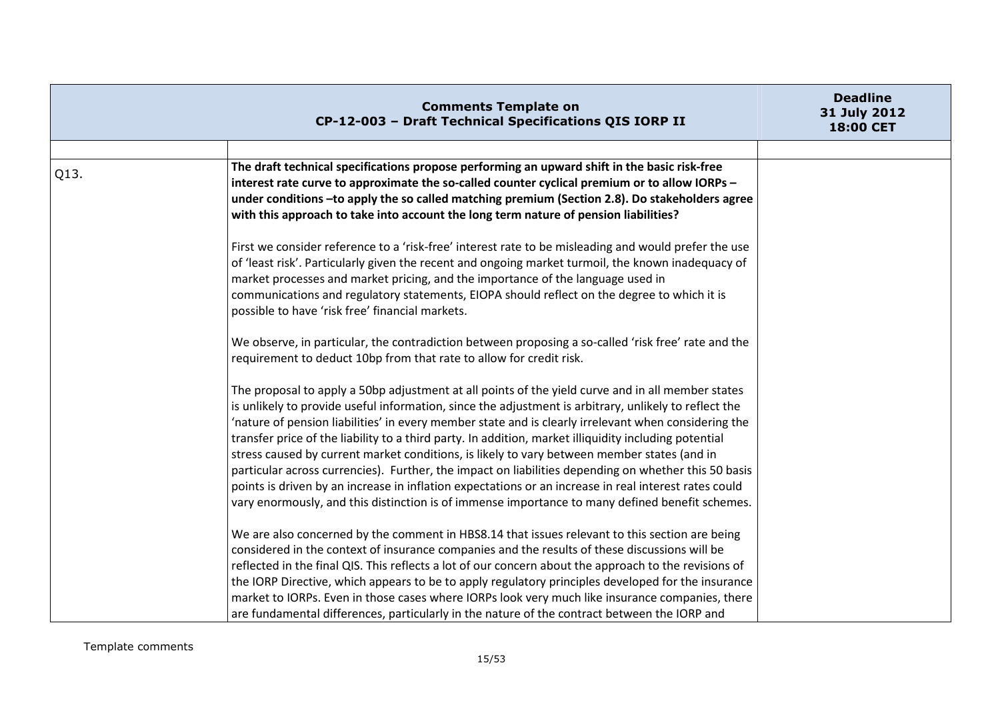|      | <b>Comments Template on</b><br>CP-12-003 - Draft Technical Specifications QIS IORP II                                                                                                                                                                                                                                                                                                                                                                                                                                                                                                                                                                                                                                                                                                                                                          | <b>Deadline</b><br>31 July 2012<br>18:00 CET |
|------|------------------------------------------------------------------------------------------------------------------------------------------------------------------------------------------------------------------------------------------------------------------------------------------------------------------------------------------------------------------------------------------------------------------------------------------------------------------------------------------------------------------------------------------------------------------------------------------------------------------------------------------------------------------------------------------------------------------------------------------------------------------------------------------------------------------------------------------------|----------------------------------------------|
| Q13. | The draft technical specifications propose performing an upward shift in the basic risk-free<br>interest rate curve to approximate the so-called counter cyclical premium or to allow IORPs -<br>under conditions -to apply the so called matching premium (Section 2.8). Do stakeholders agree<br>with this approach to take into account the long term nature of pension liabilities?                                                                                                                                                                                                                                                                                                                                                                                                                                                        |                                              |
|      | First we consider reference to a 'risk-free' interest rate to be misleading and would prefer the use<br>of 'least risk'. Particularly given the recent and ongoing market turmoil, the known inadequacy of<br>market processes and market pricing, and the importance of the language used in<br>communications and regulatory statements, EIOPA should reflect on the degree to which it is<br>possible to have 'risk free' financial markets.                                                                                                                                                                                                                                                                                                                                                                                                |                                              |
|      | We observe, in particular, the contradiction between proposing a so-called 'risk free' rate and the<br>requirement to deduct 10bp from that rate to allow for credit risk.                                                                                                                                                                                                                                                                                                                                                                                                                                                                                                                                                                                                                                                                     |                                              |
|      | The proposal to apply a 50bp adjustment at all points of the yield curve and in all member states<br>is unlikely to provide useful information, since the adjustment is arbitrary, unlikely to reflect the<br>'nature of pension liabilities' in every member state and is clearly irrelevant when considering the<br>transfer price of the liability to a third party. In addition, market illiquidity including potential<br>stress caused by current market conditions, is likely to vary between member states (and in<br>particular across currencies). Further, the impact on liabilities depending on whether this 50 basis<br>points is driven by an increase in inflation expectations or an increase in real interest rates could<br>vary enormously, and this distinction is of immense importance to many defined benefit schemes. |                                              |
|      | We are also concerned by the comment in HBS8.14 that issues relevant to this section are being<br>considered in the context of insurance companies and the results of these discussions will be<br>reflected in the final QIS. This reflects a lot of our concern about the approach to the revisions of<br>the IORP Directive, which appears to be to apply regulatory principles developed for the insurance<br>market to IORPs. Even in those cases where IORPs look very much like insurance companies, there<br>are fundamental differences, particularly in the nature of the contract between the IORP and                                                                                                                                                                                                                              |                                              |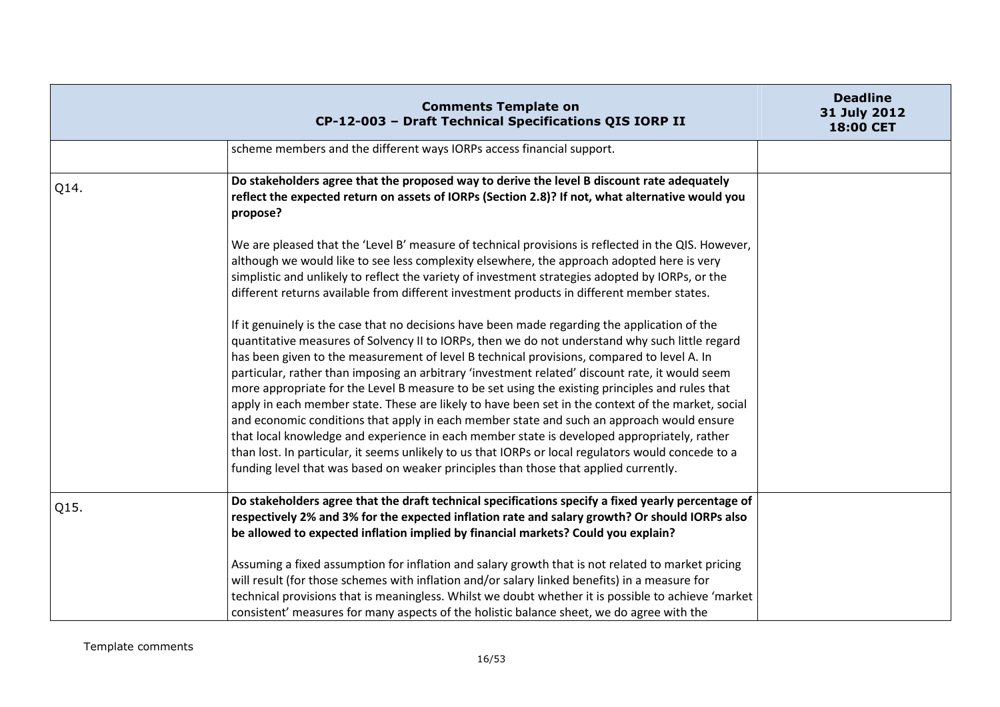|      | <b>Comments Template on</b><br>CP-12-003 - Draft Technical Specifications QIS IORP II                                                                                                                                                                                                                                                                                                                                                                                                                                                                                                                                                                                                                                                                                                                                                                                                                                                                                                                                                                                                                                                                                                                                                                                                                                                                                                                        | <b>Deadline</b><br>31 July 2012<br><b>18:00 CET</b> |
|------|--------------------------------------------------------------------------------------------------------------------------------------------------------------------------------------------------------------------------------------------------------------------------------------------------------------------------------------------------------------------------------------------------------------------------------------------------------------------------------------------------------------------------------------------------------------------------------------------------------------------------------------------------------------------------------------------------------------------------------------------------------------------------------------------------------------------------------------------------------------------------------------------------------------------------------------------------------------------------------------------------------------------------------------------------------------------------------------------------------------------------------------------------------------------------------------------------------------------------------------------------------------------------------------------------------------------------------------------------------------------------------------------------------------|-----------------------------------------------------|
|      | scheme members and the different ways IORPs access financial support.                                                                                                                                                                                                                                                                                                                                                                                                                                                                                                                                                                                                                                                                                                                                                                                                                                                                                                                                                                                                                                                                                                                                                                                                                                                                                                                                        |                                                     |
| Q14. | Do stakeholders agree that the proposed way to derive the level B discount rate adequately<br>reflect the expected return on assets of IORPs (Section 2.8)? If not, what alternative would you<br>propose?                                                                                                                                                                                                                                                                                                                                                                                                                                                                                                                                                                                                                                                                                                                                                                                                                                                                                                                                                                                                                                                                                                                                                                                                   |                                                     |
|      | We are pleased that the 'Level B' measure of technical provisions is reflected in the QIS. However,<br>although we would like to see less complexity elsewhere, the approach adopted here is very<br>simplistic and unlikely to reflect the variety of investment strategies adopted by IORPs, or the<br>different returns available from different investment products in different member states.<br>If it genuinely is the case that no decisions have been made regarding the application of the<br>quantitative measures of Solvency II to IORPs, then we do not understand why such little regard<br>has been given to the measurement of level B technical provisions, compared to level A. In<br>particular, rather than imposing an arbitrary 'investment related' discount rate, it would seem<br>more appropriate for the Level B measure to be set using the existing principles and rules that<br>apply in each member state. These are likely to have been set in the context of the market, social<br>and economic conditions that apply in each member state and such an approach would ensure<br>that local knowledge and experience in each member state is developed appropriately, rather<br>than lost. In particular, it seems unlikely to us that IORPs or local regulators would concede to a<br>funding level that was based on weaker principles than those that applied currently. |                                                     |
| Q15. | Do stakeholders agree that the draft technical specifications specify a fixed yearly percentage of<br>respectively 2% and 3% for the expected inflation rate and salary growth? Or should IORPs also<br>be allowed to expected inflation implied by financial markets? Could you explain?<br>Assuming a fixed assumption for inflation and salary growth that is not related to market pricing                                                                                                                                                                                                                                                                                                                                                                                                                                                                                                                                                                                                                                                                                                                                                                                                                                                                                                                                                                                                               |                                                     |
|      | will result (for those schemes with inflation and/or salary linked benefits) in a measure for<br>technical provisions that is meaningless. Whilst we doubt whether it is possible to achieve 'market<br>consistent' measures for many aspects of the holistic balance sheet, we do agree with the                                                                                                                                                                                                                                                                                                                                                                                                                                                                                                                                                                                                                                                                                                                                                                                                                                                                                                                                                                                                                                                                                                            |                                                     |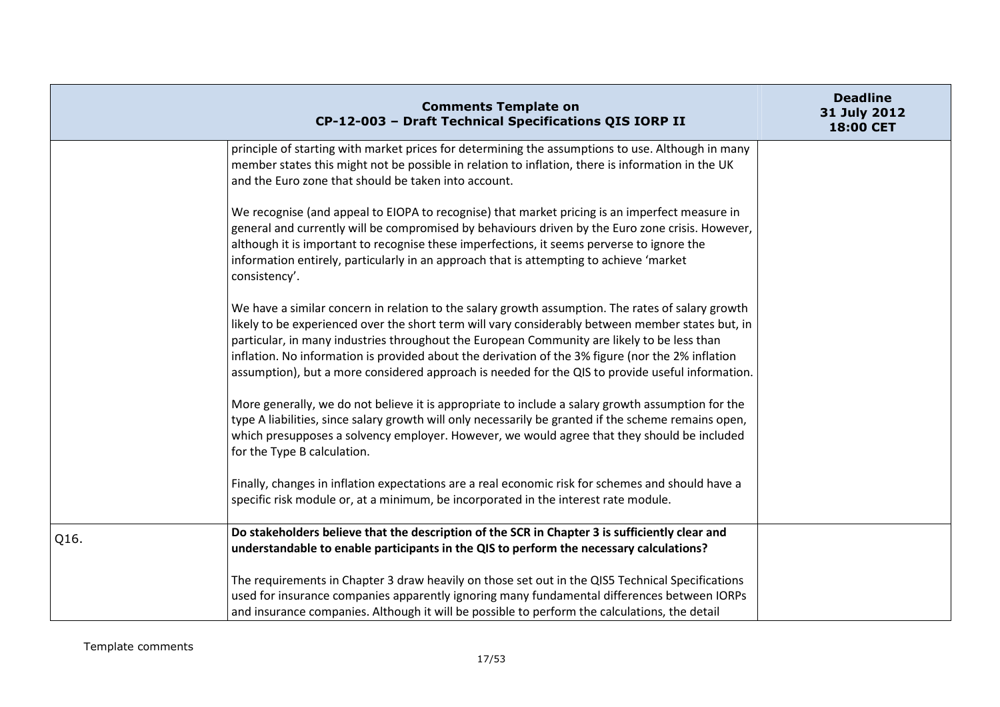|      | <b>Comments Template on</b><br>CP-12-003 - Draft Technical Specifications QIS IORP II                                                                                                                                                                                                                                                                                                                                                                                                                          | <b>Deadline</b><br>31 July 2012<br><b>18:00 CET</b> |
|------|----------------------------------------------------------------------------------------------------------------------------------------------------------------------------------------------------------------------------------------------------------------------------------------------------------------------------------------------------------------------------------------------------------------------------------------------------------------------------------------------------------------|-----------------------------------------------------|
|      | principle of starting with market prices for determining the assumptions to use. Although in many<br>member states this might not be possible in relation to inflation, there is information in the UK<br>and the Euro zone that should be taken into account.                                                                                                                                                                                                                                                 |                                                     |
|      | We recognise (and appeal to EIOPA to recognise) that market pricing is an imperfect measure in<br>general and currently will be compromised by behaviours driven by the Euro zone crisis. However,<br>although it is important to recognise these imperfections, it seems perverse to ignore the<br>information entirely, particularly in an approach that is attempting to achieve 'market<br>consistency'.                                                                                                   |                                                     |
|      | We have a similar concern in relation to the salary growth assumption. The rates of salary growth<br>likely to be experienced over the short term will vary considerably between member states but, in<br>particular, in many industries throughout the European Community are likely to be less than<br>inflation. No information is provided about the derivation of the 3% figure (nor the 2% inflation<br>assumption), but a more considered approach is needed for the QIS to provide useful information. |                                                     |
|      | More generally, we do not believe it is appropriate to include a salary growth assumption for the<br>type A liabilities, since salary growth will only necessarily be granted if the scheme remains open,<br>which presupposes a solvency employer. However, we would agree that they should be included<br>for the Type B calculation.                                                                                                                                                                        |                                                     |
|      | Finally, changes in inflation expectations are a real economic risk for schemes and should have a<br>specific risk module or, at a minimum, be incorporated in the interest rate module.                                                                                                                                                                                                                                                                                                                       |                                                     |
| Q16. | Do stakeholders believe that the description of the SCR in Chapter 3 is sufficiently clear and<br>understandable to enable participants in the QIS to perform the necessary calculations?                                                                                                                                                                                                                                                                                                                      |                                                     |
|      | The requirements in Chapter 3 draw heavily on those set out in the QIS5 Technical Specifications<br>used for insurance companies apparently ignoring many fundamental differences between IORPs<br>and insurance companies. Although it will be possible to perform the calculations, the detail                                                                                                                                                                                                               |                                                     |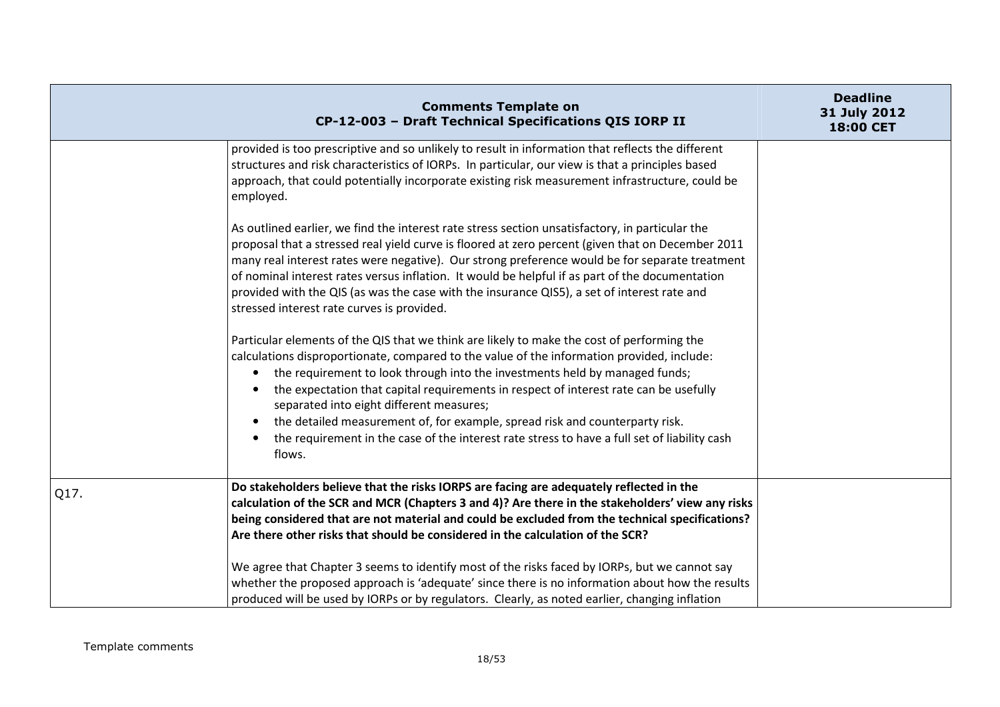|      | <b>Comments Template on</b><br>CP-12-003 - Draft Technical Specifications QIS IORP II                                                                                                                                                                                                                                                                                                                                                                                                                                                                                                                                                                      | <b>Deadline</b><br>31 July 2012<br>18:00 CET |
|------|------------------------------------------------------------------------------------------------------------------------------------------------------------------------------------------------------------------------------------------------------------------------------------------------------------------------------------------------------------------------------------------------------------------------------------------------------------------------------------------------------------------------------------------------------------------------------------------------------------------------------------------------------------|----------------------------------------------|
|      | provided is too prescriptive and so unlikely to result in information that reflects the different<br>structures and risk characteristics of IORPs. In particular, our view is that a principles based<br>approach, that could potentially incorporate existing risk measurement infrastructure, could be<br>employed.                                                                                                                                                                                                                                                                                                                                      |                                              |
|      | As outlined earlier, we find the interest rate stress section unsatisfactory, in particular the<br>proposal that a stressed real yield curve is floored at zero percent (given that on December 2011<br>many real interest rates were negative). Our strong preference would be for separate treatment<br>of nominal interest rates versus inflation. It would be helpful if as part of the documentation<br>provided with the QIS (as was the case with the insurance QIS5), a set of interest rate and<br>stressed interest rate curves is provided.                                                                                                     |                                              |
|      | Particular elements of the QIS that we think are likely to make the cost of performing the<br>calculations disproportionate, compared to the value of the information provided, include:<br>the requirement to look through into the investments held by managed funds;<br>$\bullet$<br>the expectation that capital requirements in respect of interest rate can be usefully<br>$\bullet$<br>separated into eight different measures;<br>the detailed measurement of, for example, spread risk and counterparty risk.<br>$\bullet$<br>the requirement in the case of the interest rate stress to have a full set of liability cash<br>$\bullet$<br>flows. |                                              |
| Q17. | Do stakeholders believe that the risks IORPS are facing are adequately reflected in the<br>calculation of the SCR and MCR (Chapters 3 and 4)? Are there in the stakeholders' view any risks<br>being considered that are not material and could be excluded from the technical specifications?<br>Are there other risks that should be considered in the calculation of the SCR?<br>We agree that Chapter 3 seems to identify most of the risks faced by IORPs, but we cannot say<br>whether the proposed approach is 'adequate' since there is no information about how the results                                                                       |                                              |
|      | produced will be used by IORPs or by regulators. Clearly, as noted earlier, changing inflation                                                                                                                                                                                                                                                                                                                                                                                                                                                                                                                                                             |                                              |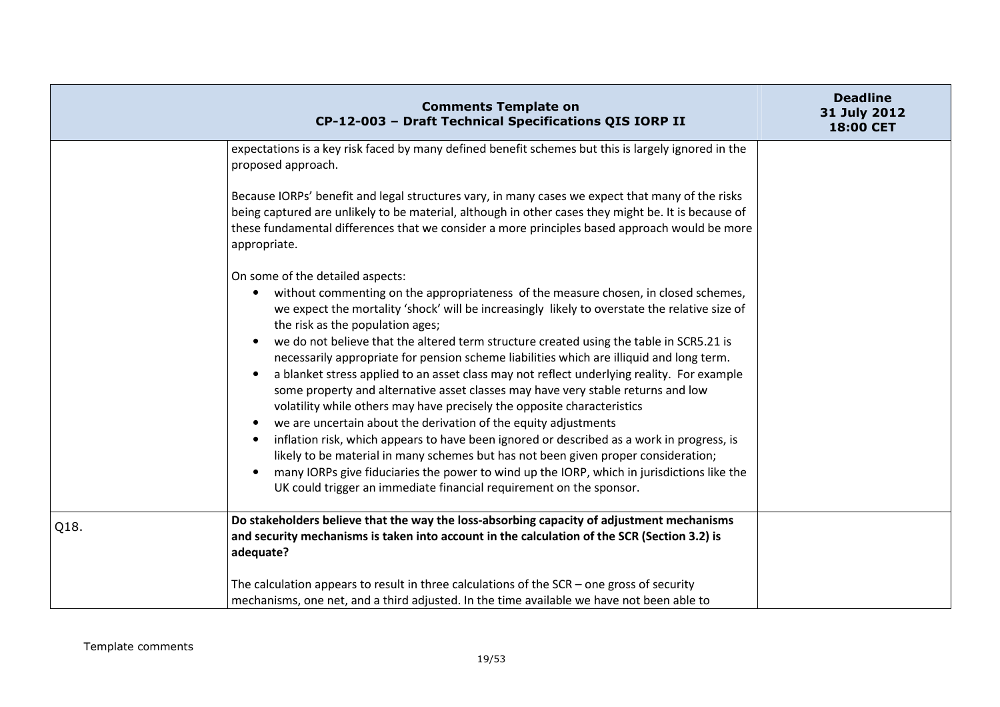|      | <b>Comments Template on</b><br>CP-12-003 - Draft Technical Specifications QIS IORP II                                                                                                                                                                                                                                                                                                                                                                                                                                                                                                                                                                                                                                                                                                                                                                                                                                                                                                                                                                                                                                                                                                                        | <b>Deadline</b><br>31 July 2012<br>18:00 CET |
|------|--------------------------------------------------------------------------------------------------------------------------------------------------------------------------------------------------------------------------------------------------------------------------------------------------------------------------------------------------------------------------------------------------------------------------------------------------------------------------------------------------------------------------------------------------------------------------------------------------------------------------------------------------------------------------------------------------------------------------------------------------------------------------------------------------------------------------------------------------------------------------------------------------------------------------------------------------------------------------------------------------------------------------------------------------------------------------------------------------------------------------------------------------------------------------------------------------------------|----------------------------------------------|
|      | expectations is a key risk faced by many defined benefit schemes but this is largely ignored in the<br>proposed approach.                                                                                                                                                                                                                                                                                                                                                                                                                                                                                                                                                                                                                                                                                                                                                                                                                                                                                                                                                                                                                                                                                    |                                              |
|      | Because IORPs' benefit and legal structures vary, in many cases we expect that many of the risks<br>being captured are unlikely to be material, although in other cases they might be. It is because of<br>these fundamental differences that we consider a more principles based approach would be more<br>appropriate.                                                                                                                                                                                                                                                                                                                                                                                                                                                                                                                                                                                                                                                                                                                                                                                                                                                                                     |                                              |
|      | On some of the detailed aspects:<br>without commenting on the appropriateness of the measure chosen, in closed schemes,<br>$\bullet$<br>we expect the mortality 'shock' will be increasingly likely to overstate the relative size of<br>the risk as the population ages;<br>we do not believe that the altered term structure created using the table in SCR5.21 is<br>$\bullet$<br>necessarily appropriate for pension scheme liabilities which are illiquid and long term.<br>a blanket stress applied to an asset class may not reflect underlying reality. For example<br>$\bullet$<br>some property and alternative asset classes may have very stable returns and low<br>volatility while others may have precisely the opposite characteristics<br>we are uncertain about the derivation of the equity adjustments<br>$\bullet$<br>inflation risk, which appears to have been ignored or described as a work in progress, is<br>$\bullet$<br>likely to be material in many schemes but has not been given proper consideration;<br>many IORPs give fiduciaries the power to wind up the IORP, which in jurisdictions like the<br>UK could trigger an immediate financial requirement on the sponsor. |                                              |
| Q18. | Do stakeholders believe that the way the loss-absorbing capacity of adjustment mechanisms<br>and security mechanisms is taken into account in the calculation of the SCR (Section 3.2) is<br>adequate?                                                                                                                                                                                                                                                                                                                                                                                                                                                                                                                                                                                                                                                                                                                                                                                                                                                                                                                                                                                                       |                                              |
|      | The calculation appears to result in three calculations of the $SCR -$ one gross of security<br>mechanisms, one net, and a third adjusted. In the time available we have not been able to                                                                                                                                                                                                                                                                                                                                                                                                                                                                                                                                                                                                                                                                                                                                                                                                                                                                                                                                                                                                                    |                                              |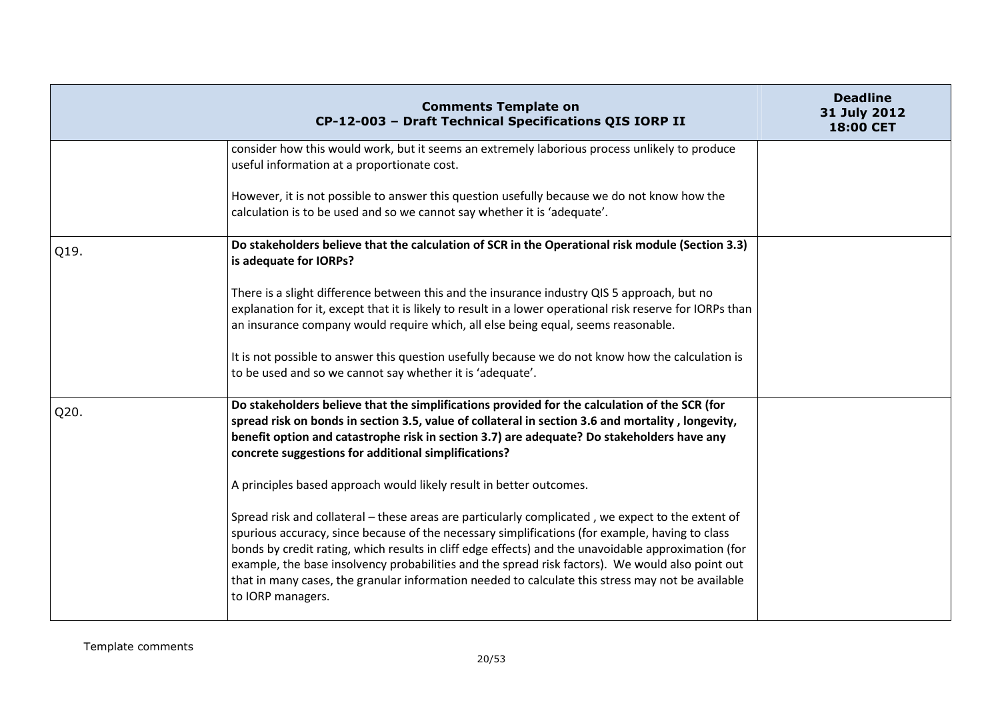|      | <b>Comments Template on</b><br>CP-12-003 - Draft Technical Specifications QIS IORP II                                                                                                                                                                                                                                                                                                                                                                                                                                                     | <b>Deadline</b><br>31 July 2012<br>18:00 CET |
|------|-------------------------------------------------------------------------------------------------------------------------------------------------------------------------------------------------------------------------------------------------------------------------------------------------------------------------------------------------------------------------------------------------------------------------------------------------------------------------------------------------------------------------------------------|----------------------------------------------|
|      | consider how this would work, but it seems an extremely laborious process unlikely to produce<br>useful information at a proportionate cost.                                                                                                                                                                                                                                                                                                                                                                                              |                                              |
|      | However, it is not possible to answer this question usefully because we do not know how the<br>calculation is to be used and so we cannot say whether it is 'adequate'.                                                                                                                                                                                                                                                                                                                                                                   |                                              |
| Q19. | Do stakeholders believe that the calculation of SCR in the Operational risk module (Section 3.3)<br>is adequate for IORPs?                                                                                                                                                                                                                                                                                                                                                                                                                |                                              |
|      | There is a slight difference between this and the insurance industry QIS 5 approach, but no<br>explanation for it, except that it is likely to result in a lower operational risk reserve for IORPs than<br>an insurance company would require which, all else being equal, seems reasonable.                                                                                                                                                                                                                                             |                                              |
|      | It is not possible to answer this question usefully because we do not know how the calculation is<br>to be used and so we cannot say whether it is 'adequate'.                                                                                                                                                                                                                                                                                                                                                                            |                                              |
| Q20. | Do stakeholders believe that the simplifications provided for the calculation of the SCR (for<br>spread risk on bonds in section 3.5, value of collateral in section 3.6 and mortality, longevity,<br>benefit option and catastrophe risk in section 3.7) are adequate? Do stakeholders have any<br>concrete suggestions for additional simplifications?                                                                                                                                                                                  |                                              |
|      | A principles based approach would likely result in better outcomes.                                                                                                                                                                                                                                                                                                                                                                                                                                                                       |                                              |
|      | Spread risk and collateral – these areas are particularly complicated, we expect to the extent of<br>spurious accuracy, since because of the necessary simplifications (for example, having to class<br>bonds by credit rating, which results in cliff edge effects) and the unavoidable approximation (for<br>example, the base insolvency probabilities and the spread risk factors). We would also point out<br>that in many cases, the granular information needed to calculate this stress may not be available<br>to IORP managers. |                                              |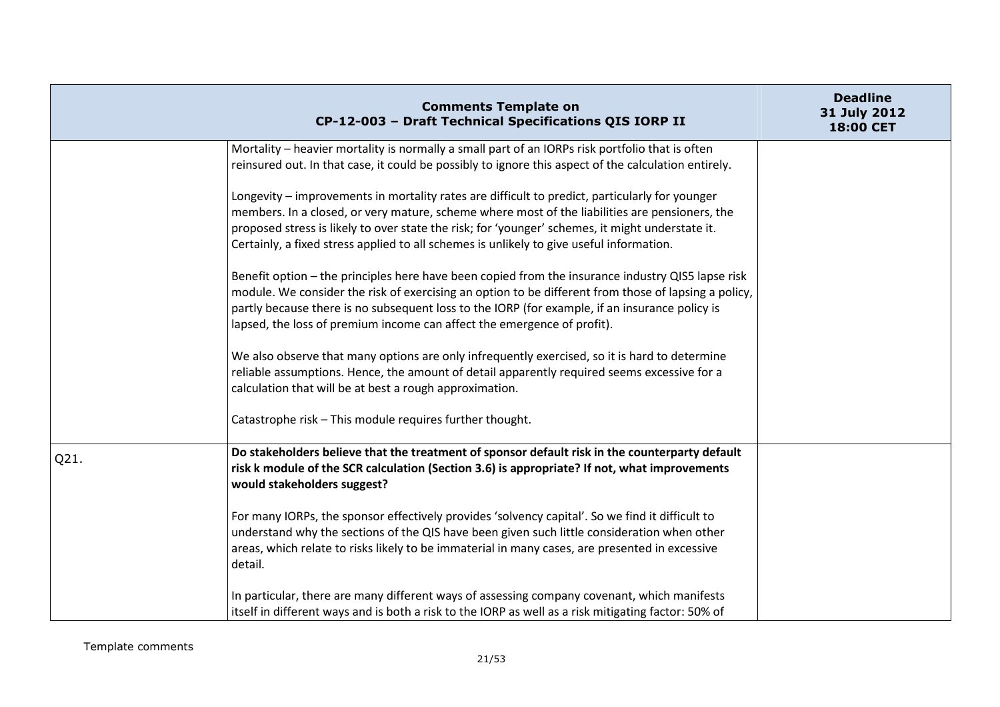|      | <b>Comments Template on</b><br>CP-12-003 - Draft Technical Specifications QIS IORP II                                                                                                                                                                                                                                                                                                            | <b>Deadline</b><br>31 July 2012<br>18:00 CET |
|------|--------------------------------------------------------------------------------------------------------------------------------------------------------------------------------------------------------------------------------------------------------------------------------------------------------------------------------------------------------------------------------------------------|----------------------------------------------|
|      | Mortality - heavier mortality is normally a small part of an IORPs risk portfolio that is often<br>reinsured out. In that case, it could be possibly to ignore this aspect of the calculation entirely.                                                                                                                                                                                          |                                              |
|      | Longevity - improvements in mortality rates are difficult to predict, particularly for younger<br>members. In a closed, or very mature, scheme where most of the liabilities are pensioners, the<br>proposed stress is likely to over state the risk; for 'younger' schemes, it might understate it.<br>Certainly, a fixed stress applied to all schemes is unlikely to give useful information. |                                              |
|      | Benefit option - the principles here have been copied from the insurance industry QIS5 lapse risk<br>module. We consider the risk of exercising an option to be different from those of lapsing a policy,<br>partly because there is no subsequent loss to the IORP (for example, if an insurance policy is<br>lapsed, the loss of premium income can affect the emergence of profit).           |                                              |
|      | We also observe that many options are only infrequently exercised, so it is hard to determine<br>reliable assumptions. Hence, the amount of detail apparently required seems excessive for a<br>calculation that will be at best a rough approximation.                                                                                                                                          |                                              |
|      | Catastrophe risk - This module requires further thought.                                                                                                                                                                                                                                                                                                                                         |                                              |
| Q21. | Do stakeholders believe that the treatment of sponsor default risk in the counterparty default<br>risk k module of the SCR calculation (Section 3.6) is appropriate? If not, what improvements<br>would stakeholders suggest?                                                                                                                                                                    |                                              |
|      | For many IORPs, the sponsor effectively provides 'solvency capital'. So we find it difficult to<br>understand why the sections of the QIS have been given such little consideration when other<br>areas, which relate to risks likely to be immaterial in many cases, are presented in excessive<br>detail.                                                                                      |                                              |
|      | In particular, there are many different ways of assessing company covenant, which manifests<br>itself in different ways and is both a risk to the IORP as well as a risk mitigating factor: 50% of                                                                                                                                                                                               |                                              |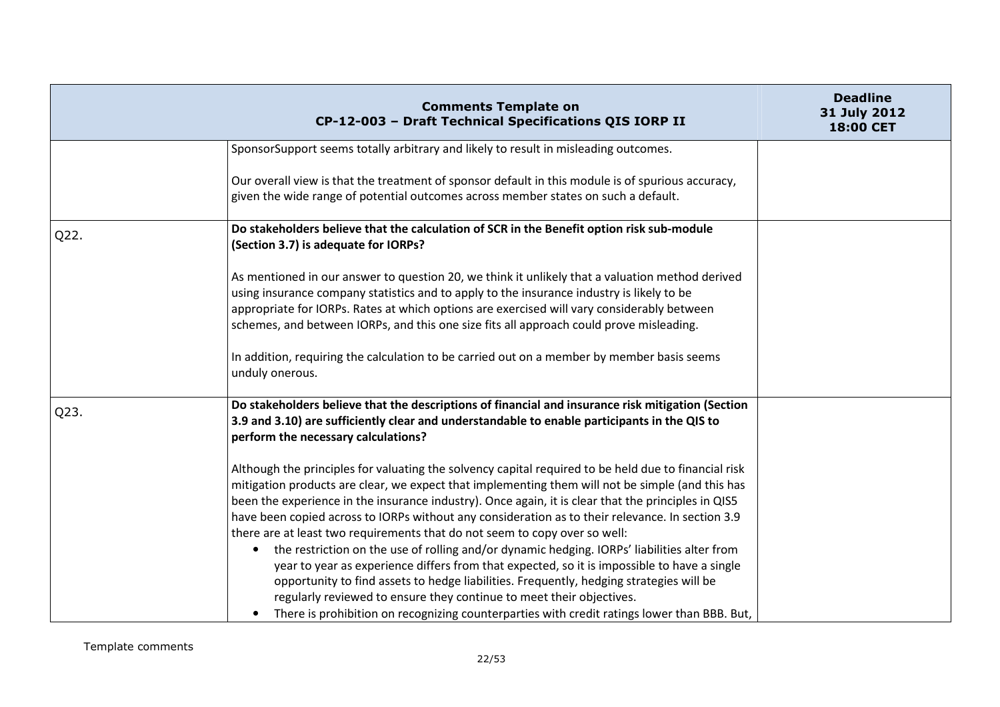|      | <b>Comments Template on</b><br>CP-12-003 - Draft Technical Specifications QIS IORP II                                                                                                                                                                                                                                                                                                                                                                                                                                                                                                                                                                                                                                                                                                                                                                                                                                                                                          | <b>Deadline</b><br>31 July 2012<br>18:00 CET |
|------|--------------------------------------------------------------------------------------------------------------------------------------------------------------------------------------------------------------------------------------------------------------------------------------------------------------------------------------------------------------------------------------------------------------------------------------------------------------------------------------------------------------------------------------------------------------------------------------------------------------------------------------------------------------------------------------------------------------------------------------------------------------------------------------------------------------------------------------------------------------------------------------------------------------------------------------------------------------------------------|----------------------------------------------|
|      | SponsorSupport seems totally arbitrary and likely to result in misleading outcomes.                                                                                                                                                                                                                                                                                                                                                                                                                                                                                                                                                                                                                                                                                                                                                                                                                                                                                            |                                              |
|      | Our overall view is that the treatment of sponsor default in this module is of spurious accuracy,<br>given the wide range of potential outcomes across member states on such a default.                                                                                                                                                                                                                                                                                                                                                                                                                                                                                                                                                                                                                                                                                                                                                                                        |                                              |
| Q22. | Do stakeholders believe that the calculation of SCR in the Benefit option risk sub-module<br>(Section 3.7) is adequate for IORPs?                                                                                                                                                                                                                                                                                                                                                                                                                                                                                                                                                                                                                                                                                                                                                                                                                                              |                                              |
|      | As mentioned in our answer to question 20, we think it unlikely that a valuation method derived<br>using insurance company statistics and to apply to the insurance industry is likely to be<br>appropriate for IORPs. Rates at which options are exercised will vary considerably between<br>schemes, and between IORPs, and this one size fits all approach could prove misleading.<br>In addition, requiring the calculation to be carried out on a member by member basis seems<br>unduly onerous.                                                                                                                                                                                                                                                                                                                                                                                                                                                                         |                                              |
| Q23. | Do stakeholders believe that the descriptions of financial and insurance risk mitigation (Section<br>3.9 and 3.10) are sufficiently clear and understandable to enable participants in the QIS to<br>perform the necessary calculations?                                                                                                                                                                                                                                                                                                                                                                                                                                                                                                                                                                                                                                                                                                                                       |                                              |
|      | Although the principles for valuating the solvency capital required to be held due to financial risk<br>mitigation products are clear, we expect that implementing them will not be simple (and this has<br>been the experience in the insurance industry). Once again, it is clear that the principles in QIS5<br>have been copied across to IORPs without any consideration as to their relevance. In section 3.9<br>there are at least two requirements that do not seem to copy over so well:<br>the restriction on the use of rolling and/or dynamic hedging. IORPs' liabilities alter from<br>$\bullet$<br>year to year as experience differs from that expected, so it is impossible to have a single<br>opportunity to find assets to hedge liabilities. Frequently, hedging strategies will be<br>regularly reviewed to ensure they continue to meet their objectives.<br>There is prohibition on recognizing counterparties with credit ratings lower than BBB. But, |                                              |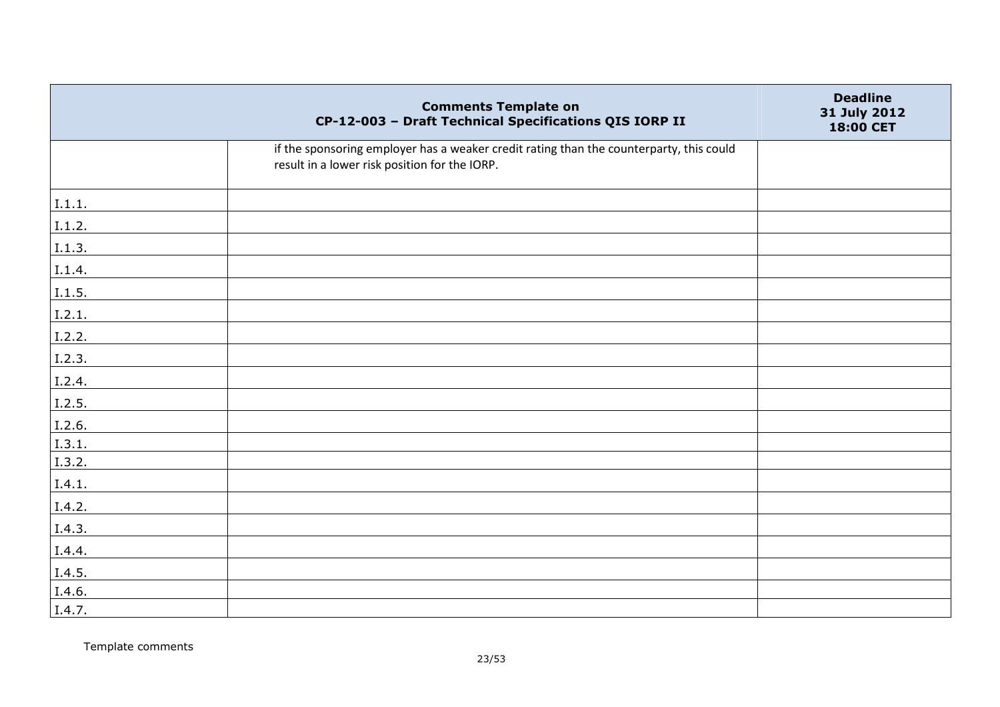|        | <b>Comments Template on</b><br>CP-12-003 - Draft Technical Specifications QIS IORP II                                                    | <b>Deadline</b><br>31 July 2012<br>18:00 CET |
|--------|------------------------------------------------------------------------------------------------------------------------------------------|----------------------------------------------|
|        | if the sponsoring employer has a weaker credit rating than the counterparty, this could<br>result in a lower risk position for the IORP. |                                              |
| I.1.1. |                                                                                                                                          |                                              |
| 1.1.2. |                                                                                                                                          |                                              |
| I.1.3. |                                                                                                                                          |                                              |
| 1.1.4. |                                                                                                                                          |                                              |
| 1.1.5. |                                                                                                                                          |                                              |
| 1.2.1. |                                                                                                                                          |                                              |
| I.2.2. |                                                                                                                                          |                                              |
| I.2.3. |                                                                                                                                          |                                              |
| I.2.4. |                                                                                                                                          |                                              |
| I.2.5. |                                                                                                                                          |                                              |
| I.2.6. |                                                                                                                                          |                                              |
| 1.3.1. |                                                                                                                                          |                                              |
| I.3.2. |                                                                                                                                          |                                              |
| I.4.1. |                                                                                                                                          |                                              |
| I.4.2. |                                                                                                                                          |                                              |
| I.4.3. |                                                                                                                                          |                                              |
| I.4.4. |                                                                                                                                          |                                              |
| I.4.5. |                                                                                                                                          |                                              |
| I.4.6. |                                                                                                                                          |                                              |
| I.4.7. |                                                                                                                                          |                                              |

Template comments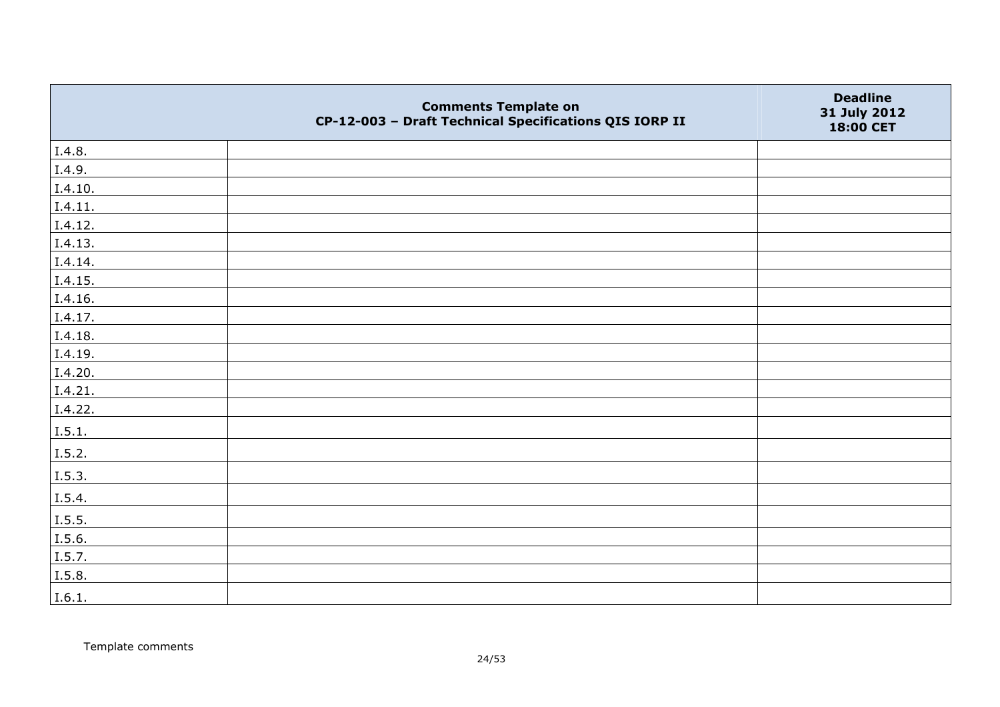|         | <b>Comments Template on</b><br>CP-12-003 - Draft Technical Specifications QIS IORP II | <b>Deadline</b><br>31 July 2012<br>18:00 CET |
|---------|---------------------------------------------------------------------------------------|----------------------------------------------|
| I.4.8.  |                                                                                       |                                              |
| I.4.9.  |                                                                                       |                                              |
| I.4.10. |                                                                                       |                                              |
| I.4.11. |                                                                                       |                                              |
| I.4.12. |                                                                                       |                                              |
| I.4.13. |                                                                                       |                                              |
| I.4.14. |                                                                                       |                                              |
| I.4.15. |                                                                                       |                                              |
| I.4.16. |                                                                                       |                                              |
| I.4.17. |                                                                                       |                                              |
| I.4.18. |                                                                                       |                                              |
| I.4.19. |                                                                                       |                                              |
| I.4.20. |                                                                                       |                                              |
| I.4.21. |                                                                                       |                                              |
| I.4.22. |                                                                                       |                                              |
| I.5.1.  |                                                                                       |                                              |
| I.5.2.  |                                                                                       |                                              |
| I.5.3.  |                                                                                       |                                              |
| I.5.4.  |                                                                                       |                                              |
| I.5.5.  |                                                                                       |                                              |
| I.5.6.  |                                                                                       |                                              |
| I.5.7.  |                                                                                       |                                              |
| I.5.8.  |                                                                                       |                                              |
| I.6.1.  |                                                                                       |                                              |

Template comments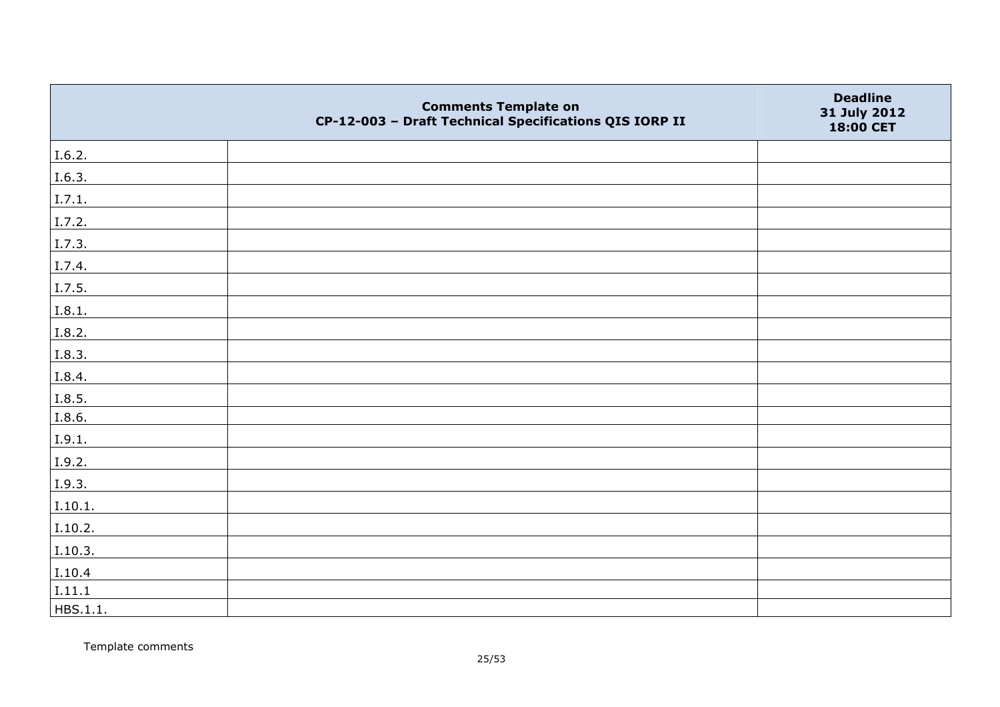|          | <b>Comments Template on</b><br>CP-12-003 - Draft Technical Specifications QIS IORP II | <b>Deadline</b><br>31 July 2012<br>18:00 CET |
|----------|---------------------------------------------------------------------------------------|----------------------------------------------|
| I.6.2.   |                                                                                       |                                              |
| I.6.3.   |                                                                                       |                                              |
| I.7.1.   |                                                                                       |                                              |
| I.7.2.   |                                                                                       |                                              |
| I.7.3.   |                                                                                       |                                              |
| I.7.4.   |                                                                                       |                                              |
| I.7.5.   |                                                                                       |                                              |
| I.8.1.   |                                                                                       |                                              |
| I.8.2.   |                                                                                       |                                              |
| I.8.3.   |                                                                                       |                                              |
| I.8.4.   |                                                                                       |                                              |
| I.8.5.   |                                                                                       |                                              |
| I.8.6.   |                                                                                       |                                              |
| I.9.1.   |                                                                                       |                                              |
| I.9.2.   |                                                                                       |                                              |
| I.9.3.   |                                                                                       |                                              |
| I.10.1.  |                                                                                       |                                              |
| I.10.2.  |                                                                                       |                                              |
| I.10.3.  |                                                                                       |                                              |
| I.10.4   |                                                                                       |                                              |
| I.11.1   |                                                                                       |                                              |
| HBS.1.1. |                                                                                       |                                              |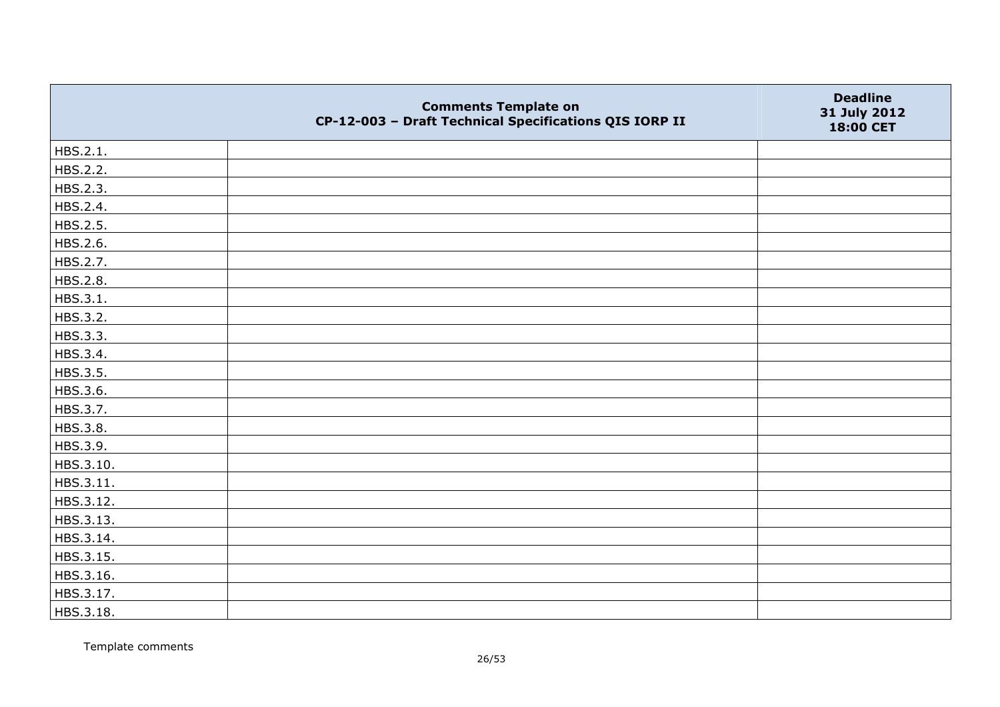|           | <b>Comments Template on</b><br>CP-12-003 - Draft Technical Specifications QIS IORP II | <b>Deadline</b><br>31 July 2012<br>18:00 CET |
|-----------|---------------------------------------------------------------------------------------|----------------------------------------------|
| HBS.2.1.  |                                                                                       |                                              |
| HBS.2.2.  |                                                                                       |                                              |
| HBS.2.3.  |                                                                                       |                                              |
| HBS.2.4.  |                                                                                       |                                              |
| HBS.2.5.  |                                                                                       |                                              |
| HBS.2.6.  |                                                                                       |                                              |
| HBS.2.7.  |                                                                                       |                                              |
| HBS.2.8.  |                                                                                       |                                              |
| HBS.3.1.  |                                                                                       |                                              |
| HBS.3.2.  |                                                                                       |                                              |
| HBS.3.3.  |                                                                                       |                                              |
| HBS.3.4.  |                                                                                       |                                              |
| HBS.3.5.  |                                                                                       |                                              |
| HBS.3.6.  |                                                                                       |                                              |
| HBS.3.7.  |                                                                                       |                                              |
| HBS.3.8.  |                                                                                       |                                              |
| HBS.3.9.  |                                                                                       |                                              |
| HBS.3.10. |                                                                                       |                                              |
| HBS.3.11. |                                                                                       |                                              |
| HBS.3.12. |                                                                                       |                                              |
| HBS.3.13. |                                                                                       |                                              |
| HBS.3.14. |                                                                                       |                                              |
| HBS.3.15. |                                                                                       |                                              |
| HBS.3.16. |                                                                                       |                                              |
| HBS.3.17. |                                                                                       |                                              |
| HBS.3.18. |                                                                                       |                                              |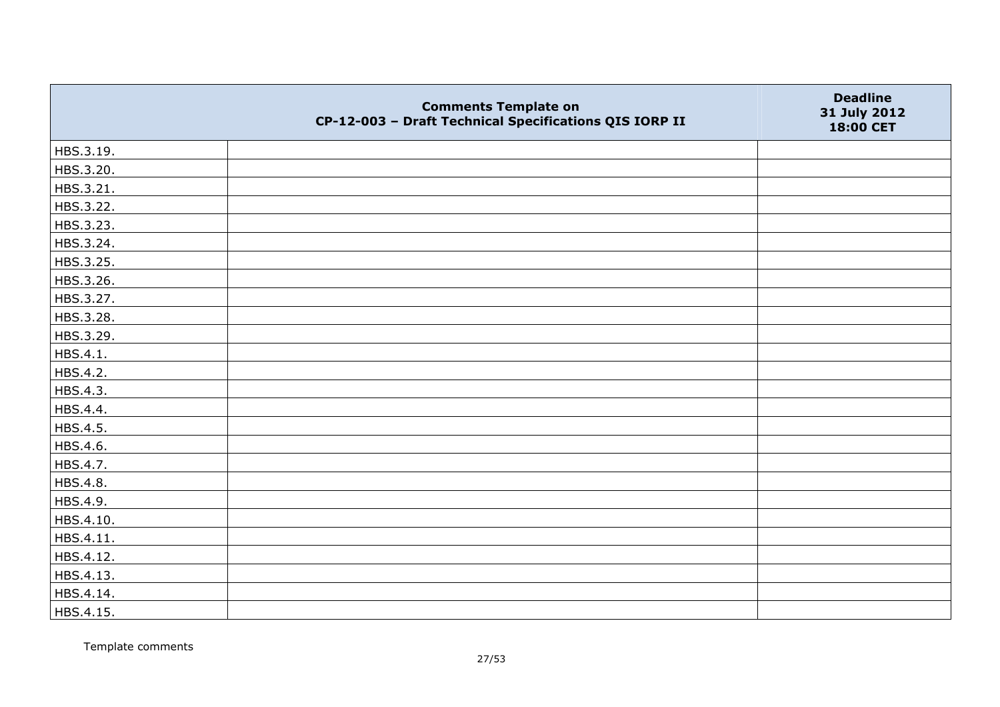|           | <b>Comments Template on</b><br>CP-12-003 - Draft Technical Specifications QIS IORP II | <b>Deadline</b><br>31 July 2012<br>18:00 CET |
|-----------|---------------------------------------------------------------------------------------|----------------------------------------------|
| HBS.3.19. |                                                                                       |                                              |
| HBS.3.20. |                                                                                       |                                              |
| HBS.3.21. |                                                                                       |                                              |
| HBS.3.22. |                                                                                       |                                              |
| HBS.3.23. |                                                                                       |                                              |
| HBS.3.24. |                                                                                       |                                              |
| HBS.3.25. |                                                                                       |                                              |
| HBS.3.26. |                                                                                       |                                              |
| HBS.3.27. |                                                                                       |                                              |
| HBS.3.28. |                                                                                       |                                              |
| HBS.3.29. |                                                                                       |                                              |
| HBS.4.1.  |                                                                                       |                                              |
| HBS.4.2.  |                                                                                       |                                              |
| HBS.4.3.  |                                                                                       |                                              |
| HBS.4.4.  |                                                                                       |                                              |
| HBS.4.5.  |                                                                                       |                                              |
| HBS.4.6.  |                                                                                       |                                              |
| HBS.4.7.  |                                                                                       |                                              |
| HBS.4.8.  |                                                                                       |                                              |
| HBS.4.9.  |                                                                                       |                                              |
| HBS.4.10. |                                                                                       |                                              |
| HBS.4.11. |                                                                                       |                                              |
| HBS.4.12. |                                                                                       |                                              |
| HBS.4.13. |                                                                                       |                                              |
| HBS.4.14. |                                                                                       |                                              |
| HBS.4.15. |                                                                                       |                                              |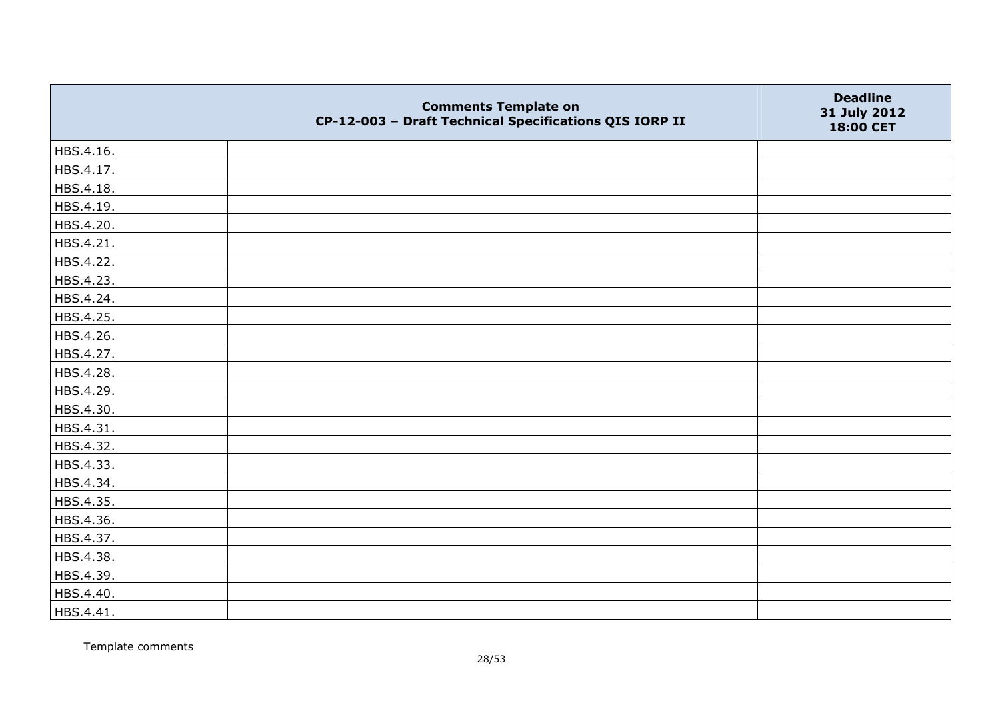|           | <b>Comments Template on</b><br>CP-12-003 - Draft Technical Specifications QIS IORP II | <b>Deadline</b><br>31 July 2012<br>18:00 CET |
|-----------|---------------------------------------------------------------------------------------|----------------------------------------------|
| HBS.4.16. |                                                                                       |                                              |
| HBS.4.17. |                                                                                       |                                              |
| HBS.4.18. |                                                                                       |                                              |
| HBS.4.19. |                                                                                       |                                              |
| HBS.4.20. |                                                                                       |                                              |
| HBS.4.21. |                                                                                       |                                              |
| HBS.4.22. |                                                                                       |                                              |
| HBS.4.23. |                                                                                       |                                              |
| HBS.4.24. |                                                                                       |                                              |
| HBS.4.25. |                                                                                       |                                              |
| HBS.4.26. |                                                                                       |                                              |
| HBS.4.27. |                                                                                       |                                              |
| HBS.4.28. |                                                                                       |                                              |
| HBS.4.29. |                                                                                       |                                              |
| HBS.4.30. |                                                                                       |                                              |
| HBS.4.31. |                                                                                       |                                              |
| HBS.4.32. |                                                                                       |                                              |
| HBS.4.33. |                                                                                       |                                              |
| HBS.4.34. |                                                                                       |                                              |
| HBS.4.35. |                                                                                       |                                              |
| HBS.4.36. |                                                                                       |                                              |
| HBS.4.37. |                                                                                       |                                              |
| HBS.4.38. |                                                                                       |                                              |
| HBS.4.39. |                                                                                       |                                              |
| HBS.4.40. |                                                                                       |                                              |
| HBS.4.41. |                                                                                       |                                              |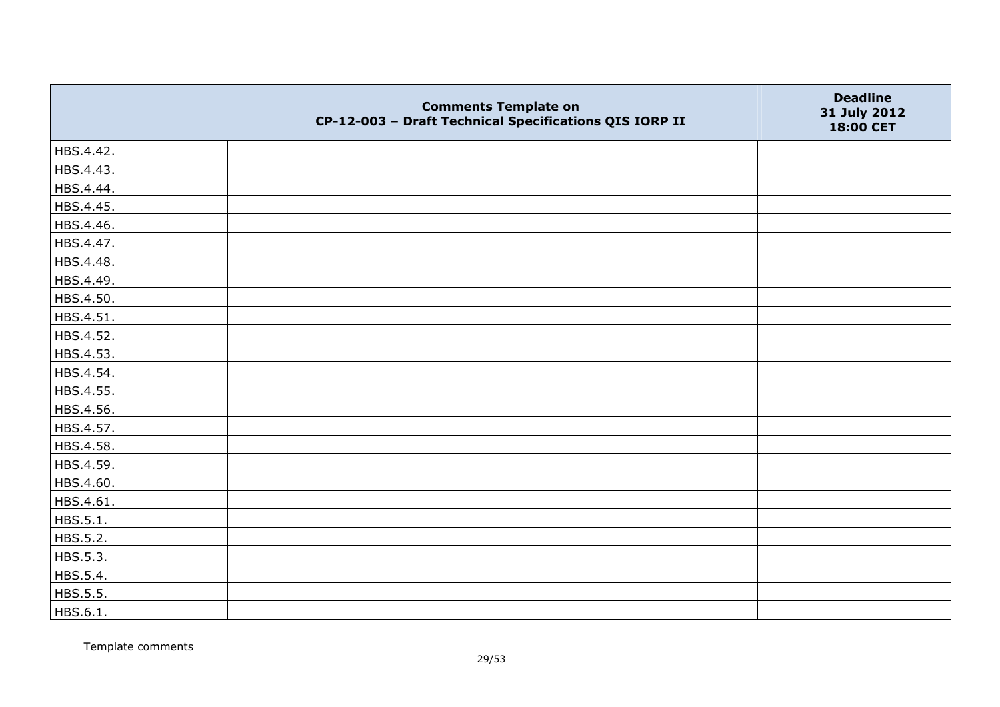|           | <b>Comments Template on</b><br>CP-12-003 - Draft Technical Specifications QIS IORP II | <b>Deadline</b><br>31 July 2012<br>18:00 CET |
|-----------|---------------------------------------------------------------------------------------|----------------------------------------------|
| HBS.4.42. |                                                                                       |                                              |
| HBS.4.43. |                                                                                       |                                              |
| HBS.4.44. |                                                                                       |                                              |
| HBS.4.45. |                                                                                       |                                              |
| HBS.4.46. |                                                                                       |                                              |
| HBS.4.47. |                                                                                       |                                              |
| HBS.4.48. |                                                                                       |                                              |
| HBS.4.49. |                                                                                       |                                              |
| HBS.4.50. |                                                                                       |                                              |
| HBS.4.51. |                                                                                       |                                              |
| HBS.4.52. |                                                                                       |                                              |
| HBS.4.53. |                                                                                       |                                              |
| HBS.4.54. |                                                                                       |                                              |
| HBS.4.55. |                                                                                       |                                              |
| HBS.4.56. |                                                                                       |                                              |
| HBS.4.57. |                                                                                       |                                              |
| HBS.4.58. |                                                                                       |                                              |
| HBS.4.59. |                                                                                       |                                              |
| HBS.4.60. |                                                                                       |                                              |
| HBS.4.61. |                                                                                       |                                              |
| HBS.5.1.  |                                                                                       |                                              |
| HBS.5.2.  |                                                                                       |                                              |
| HBS.5.3.  |                                                                                       |                                              |
| HBS.5.4.  |                                                                                       |                                              |
| HBS.5.5.  |                                                                                       |                                              |
| HBS.6.1.  |                                                                                       |                                              |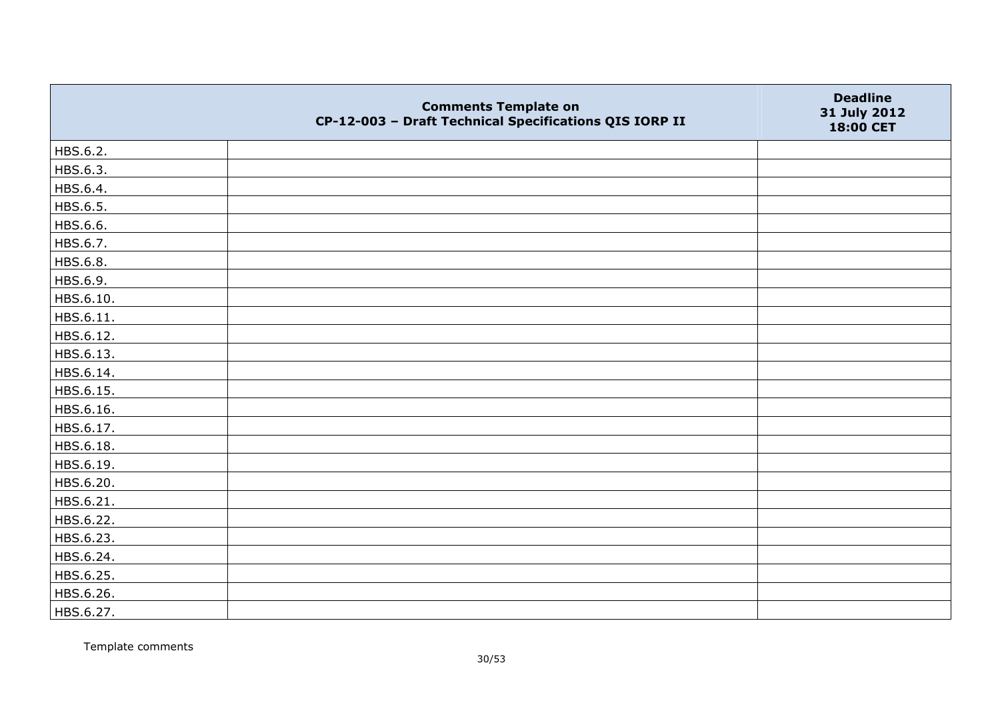|           | <b>Comments Template on</b><br>CP-12-003 - Draft Technical Specifications QIS IORP II | <b>Deadline</b><br>31 July 2012<br>18:00 CET |
|-----------|---------------------------------------------------------------------------------------|----------------------------------------------|
| HBS.6.2.  |                                                                                       |                                              |
| HBS.6.3.  |                                                                                       |                                              |
| HBS.6.4.  |                                                                                       |                                              |
| HBS.6.5.  |                                                                                       |                                              |
| HBS.6.6.  |                                                                                       |                                              |
| HBS.6.7.  |                                                                                       |                                              |
| HBS.6.8.  |                                                                                       |                                              |
| HBS.6.9.  |                                                                                       |                                              |
| HBS.6.10. |                                                                                       |                                              |
| HBS.6.11. |                                                                                       |                                              |
| HBS.6.12. |                                                                                       |                                              |
| HBS.6.13. |                                                                                       |                                              |
| HBS.6.14. |                                                                                       |                                              |
| HBS.6.15. |                                                                                       |                                              |
| HBS.6.16. |                                                                                       |                                              |
| HBS.6.17. |                                                                                       |                                              |
| HBS.6.18. |                                                                                       |                                              |
| HBS.6.19. |                                                                                       |                                              |
| HBS.6.20. |                                                                                       |                                              |
| HBS.6.21. |                                                                                       |                                              |
| HBS.6.22. |                                                                                       |                                              |
| HBS.6.23. |                                                                                       |                                              |
| HBS.6.24. |                                                                                       |                                              |
| HBS.6.25. |                                                                                       |                                              |
| HBS.6.26. |                                                                                       |                                              |
| HBS.6.27. |                                                                                       |                                              |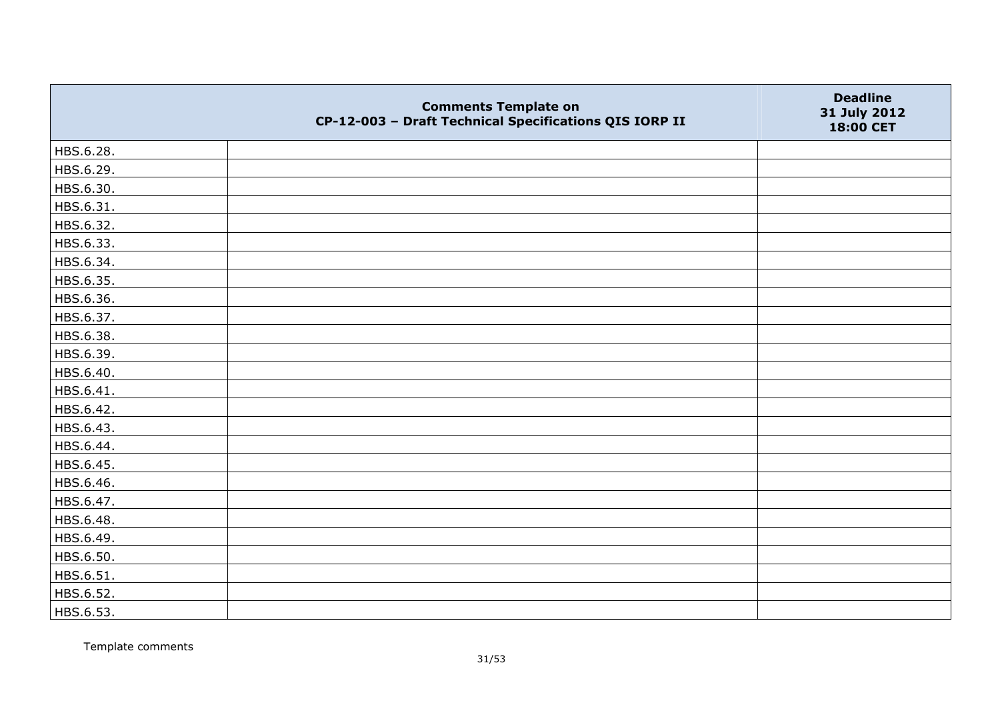|           | <b>Comments Template on</b><br>CP-12-003 - Draft Technical Specifications QIS IORP II | <b>Deadline</b><br>31 July 2012<br>18:00 CET |
|-----------|---------------------------------------------------------------------------------------|----------------------------------------------|
| HBS.6.28. |                                                                                       |                                              |
| HBS.6.29. |                                                                                       |                                              |
| HBS.6.30. |                                                                                       |                                              |
| HBS.6.31. |                                                                                       |                                              |
| HBS.6.32. |                                                                                       |                                              |
| HBS.6.33. |                                                                                       |                                              |
| HBS.6.34. |                                                                                       |                                              |
| HBS.6.35. |                                                                                       |                                              |
| HBS.6.36. |                                                                                       |                                              |
| HBS.6.37. |                                                                                       |                                              |
| HBS.6.38. |                                                                                       |                                              |
| HBS.6.39. |                                                                                       |                                              |
| HBS.6.40. |                                                                                       |                                              |
| HBS.6.41. |                                                                                       |                                              |
| HBS.6.42. |                                                                                       |                                              |
| HBS.6.43. |                                                                                       |                                              |
| HBS.6.44. |                                                                                       |                                              |
| HBS.6.45. |                                                                                       |                                              |
| HBS.6.46. |                                                                                       |                                              |
| HBS.6.47. |                                                                                       |                                              |
| HBS.6.48. |                                                                                       |                                              |
| HBS.6.49. |                                                                                       |                                              |
| HBS.6.50. |                                                                                       |                                              |
| HBS.6.51. |                                                                                       |                                              |
| HBS.6.52. |                                                                                       |                                              |
| HBS.6.53. |                                                                                       |                                              |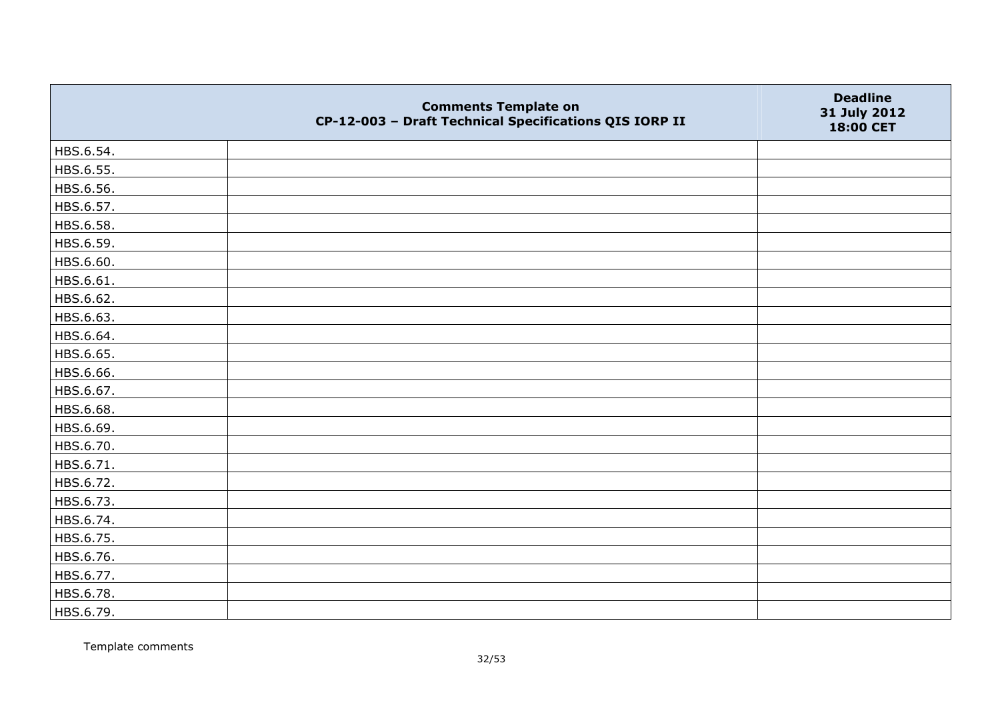|           | <b>Comments Template on</b><br>CP-12-003 - Draft Technical Specifications QIS IORP II | <b>Deadline</b><br>31 July 2012<br>18:00 CET |
|-----------|---------------------------------------------------------------------------------------|----------------------------------------------|
| HBS.6.54. |                                                                                       |                                              |
| HBS.6.55. |                                                                                       |                                              |
| HBS.6.56. |                                                                                       |                                              |
| HBS.6.57. |                                                                                       |                                              |
| HBS.6.58. |                                                                                       |                                              |
| HBS.6.59. |                                                                                       |                                              |
| HBS.6.60. |                                                                                       |                                              |
| HBS.6.61. |                                                                                       |                                              |
| HBS.6.62. |                                                                                       |                                              |
| HBS.6.63. |                                                                                       |                                              |
| HBS.6.64. |                                                                                       |                                              |
| HBS.6.65. |                                                                                       |                                              |
| HBS.6.66. |                                                                                       |                                              |
| HBS.6.67. |                                                                                       |                                              |
| HBS.6.68. |                                                                                       |                                              |
| HBS.6.69. |                                                                                       |                                              |
| HBS.6.70. |                                                                                       |                                              |
| HBS.6.71. |                                                                                       |                                              |
| HBS.6.72. |                                                                                       |                                              |
| HBS.6.73. |                                                                                       |                                              |
| HBS.6.74. |                                                                                       |                                              |
| HBS.6.75. |                                                                                       |                                              |
| HBS.6.76. |                                                                                       |                                              |
| HBS.6.77. |                                                                                       |                                              |
| HBS.6.78. |                                                                                       |                                              |
| HBS.6.79. |                                                                                       |                                              |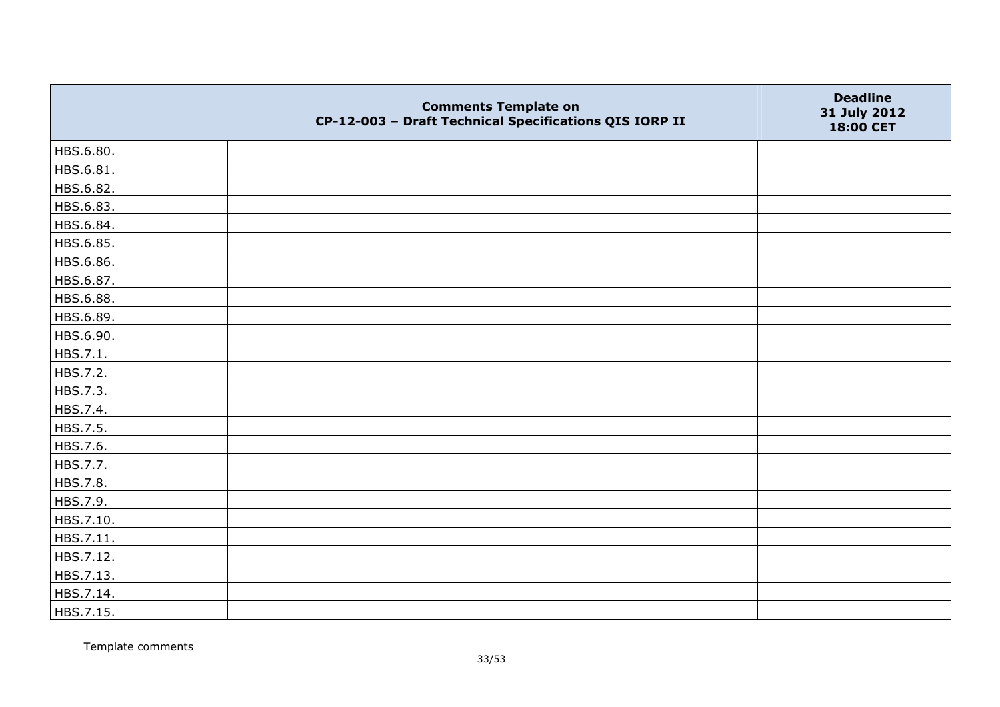|           | <b>Comments Template on</b><br>CP-12-003 - Draft Technical Specifications QIS IORP II | <b>Deadline</b><br>31 July 2012<br>18:00 CET |
|-----------|---------------------------------------------------------------------------------------|----------------------------------------------|
| HBS.6.80. |                                                                                       |                                              |
| HBS.6.81. |                                                                                       |                                              |
| HBS.6.82. |                                                                                       |                                              |
| HBS.6.83. |                                                                                       |                                              |
| HBS.6.84. |                                                                                       |                                              |
| HBS.6.85. |                                                                                       |                                              |
| HBS.6.86. |                                                                                       |                                              |
| HBS.6.87. |                                                                                       |                                              |
| HBS.6.88. |                                                                                       |                                              |
| HBS.6.89. |                                                                                       |                                              |
| HBS.6.90. |                                                                                       |                                              |
| HBS.7.1.  |                                                                                       |                                              |
| HBS.7.2.  |                                                                                       |                                              |
| HBS.7.3.  |                                                                                       |                                              |
| HBS.7.4.  |                                                                                       |                                              |
| HBS.7.5.  |                                                                                       |                                              |
| HBS.7.6.  |                                                                                       |                                              |
| HBS.7.7.  |                                                                                       |                                              |
| HBS.7.8.  |                                                                                       |                                              |
| HBS.7.9.  |                                                                                       |                                              |
| HBS.7.10. |                                                                                       |                                              |
| HBS.7.11. |                                                                                       |                                              |
| HBS.7.12. |                                                                                       |                                              |
| HBS.7.13. |                                                                                       |                                              |
| HBS.7.14. |                                                                                       |                                              |
| HBS.7.15. |                                                                                       |                                              |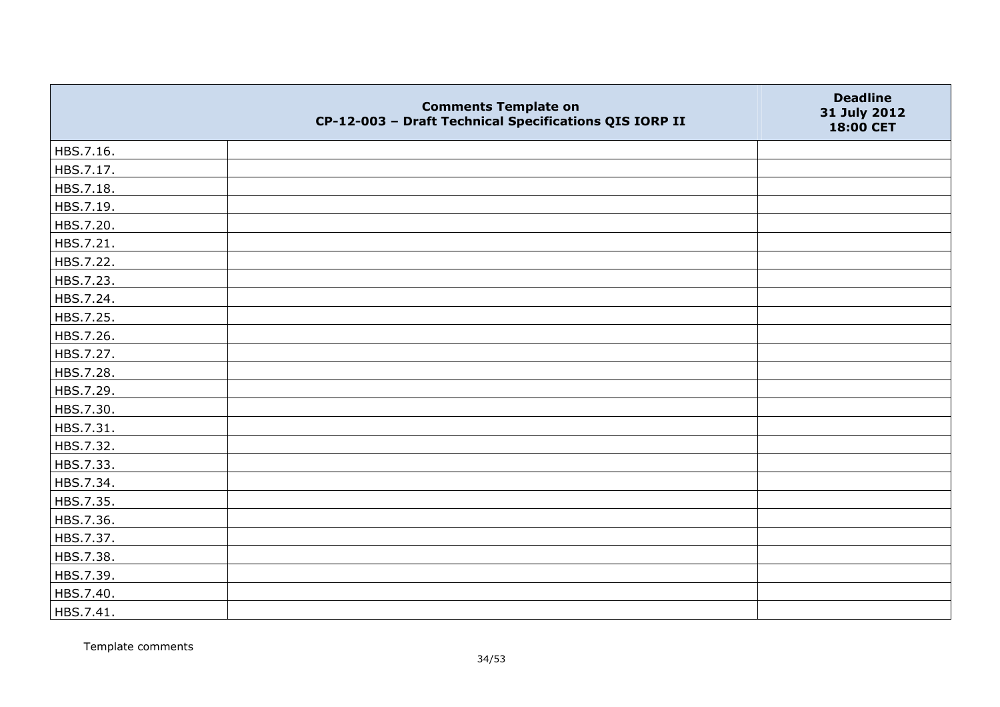|           | <b>Comments Template on</b><br>CP-12-003 - Draft Technical Specifications QIS IORP II | <b>Deadline</b><br>31 July 2012<br>18:00 CET |
|-----------|---------------------------------------------------------------------------------------|----------------------------------------------|
| HBS.7.16. |                                                                                       |                                              |
| HBS.7.17. |                                                                                       |                                              |
| HBS.7.18. |                                                                                       |                                              |
| HBS.7.19. |                                                                                       |                                              |
| HBS.7.20. |                                                                                       |                                              |
| HBS.7.21. |                                                                                       |                                              |
| HBS.7.22. |                                                                                       |                                              |
| HBS.7.23. |                                                                                       |                                              |
| HBS.7.24. |                                                                                       |                                              |
| HBS.7.25. |                                                                                       |                                              |
| HBS.7.26. |                                                                                       |                                              |
| HBS.7.27. |                                                                                       |                                              |
| HBS.7.28. |                                                                                       |                                              |
| HBS.7.29. |                                                                                       |                                              |
| HBS.7.30. |                                                                                       |                                              |
| HBS.7.31. |                                                                                       |                                              |
| HBS.7.32. |                                                                                       |                                              |
| HBS.7.33. |                                                                                       |                                              |
| HBS.7.34. |                                                                                       |                                              |
| HBS.7.35. |                                                                                       |                                              |
| HBS.7.36. |                                                                                       |                                              |
| HBS.7.37. |                                                                                       |                                              |
| HBS.7.38. |                                                                                       |                                              |
| HBS.7.39. |                                                                                       |                                              |
| HBS.7.40. |                                                                                       |                                              |
| HBS.7.41. |                                                                                       |                                              |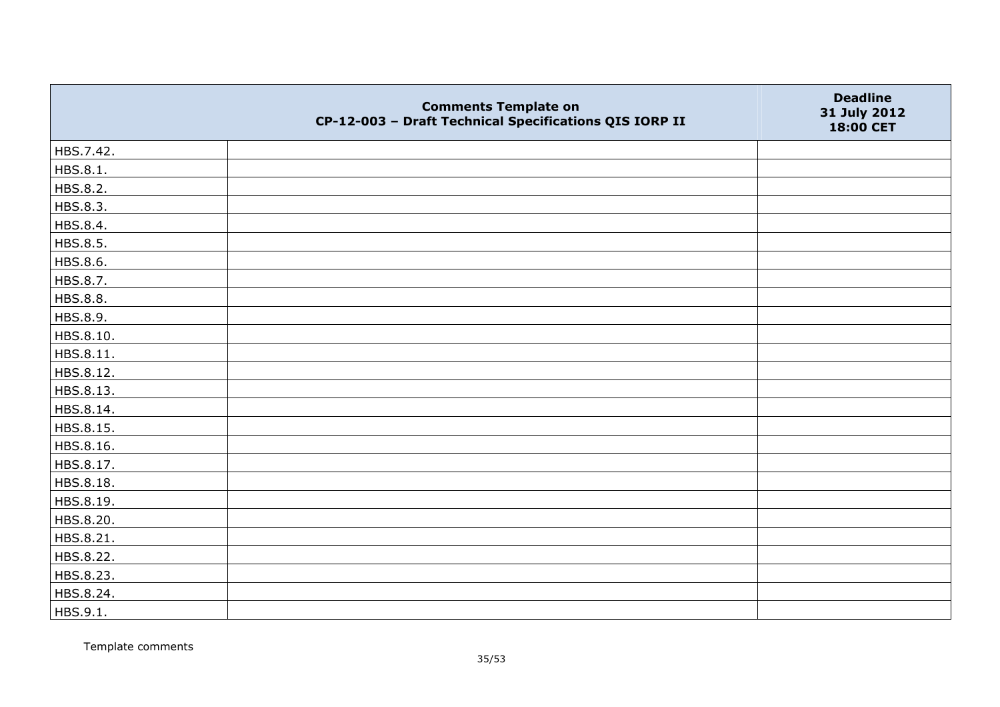|           | <b>Comments Template on</b><br>CP-12-003 - Draft Technical Specifications QIS IORP II | <b>Deadline</b><br>31 July 2012<br>18:00 CET |
|-----------|---------------------------------------------------------------------------------------|----------------------------------------------|
| HBS.7.42. |                                                                                       |                                              |
| HBS.8.1.  |                                                                                       |                                              |
| HBS.8.2.  |                                                                                       |                                              |
| HBS.8.3.  |                                                                                       |                                              |
| HBS.8.4.  |                                                                                       |                                              |
| HBS.8.5.  |                                                                                       |                                              |
| HBS.8.6.  |                                                                                       |                                              |
| HBS.8.7.  |                                                                                       |                                              |
| HBS.8.8.  |                                                                                       |                                              |
| HBS.8.9.  |                                                                                       |                                              |
| HBS.8.10. |                                                                                       |                                              |
| HBS.8.11. |                                                                                       |                                              |
| HBS.8.12. |                                                                                       |                                              |
| HBS.8.13. |                                                                                       |                                              |
| HBS.8.14. |                                                                                       |                                              |
| HBS.8.15. |                                                                                       |                                              |
| HBS.8.16. |                                                                                       |                                              |
| HBS.8.17. |                                                                                       |                                              |
| HBS.8.18. |                                                                                       |                                              |
| HBS.8.19. |                                                                                       |                                              |
| HBS.8.20. |                                                                                       |                                              |
| HBS.8.21. |                                                                                       |                                              |
| HBS.8.22. |                                                                                       |                                              |
| HBS.8.23. |                                                                                       |                                              |
| HBS.8.24. |                                                                                       |                                              |
| HBS.9.1.  |                                                                                       |                                              |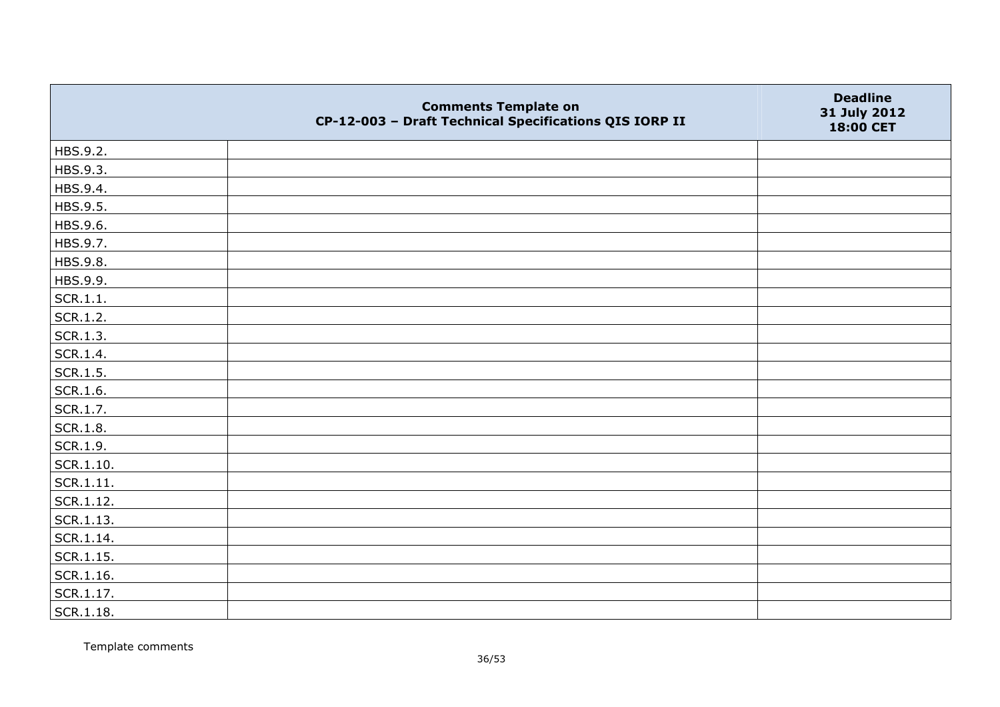|                   | <b>Comments Template on</b><br>CP-12-003 - Draft Technical Specifications QIS IORP II | <b>Deadline</b><br>31 July 2012<br>18:00 CET |
|-------------------|---------------------------------------------------------------------------------------|----------------------------------------------|
| HBS.9.2.          |                                                                                       |                                              |
| HBS.9.3.          |                                                                                       |                                              |
| HBS.9.4.          |                                                                                       |                                              |
| HBS.9.5.          |                                                                                       |                                              |
| HBS.9.6.          |                                                                                       |                                              |
| HBS.9.7.          |                                                                                       |                                              |
| HBS.9.8.          |                                                                                       |                                              |
| HBS.9.9.          |                                                                                       |                                              |
| SCR.1.1.          |                                                                                       |                                              |
| SCR.1.2.          |                                                                                       |                                              |
| SCR.1.3.          |                                                                                       |                                              |
| SCR.1.4.          |                                                                                       |                                              |
| SCR.1.5.          |                                                                                       |                                              |
| SCR.1.6.          |                                                                                       |                                              |
| SCR.1.7.          |                                                                                       |                                              |
| SCR.1.8.          |                                                                                       |                                              |
| SCR.1.9.          |                                                                                       |                                              |
| $\vert$ SCR.1.10. |                                                                                       |                                              |
| SCR.1.11.         |                                                                                       |                                              |
| SCR.1.12.         |                                                                                       |                                              |
| SCR.1.13.         |                                                                                       |                                              |
| SCR.1.14.         |                                                                                       |                                              |
| SCR.1.15.         |                                                                                       |                                              |
| SCR.1.16.         |                                                                                       |                                              |
| SCR.1.17.         |                                                                                       |                                              |
| SCR.1.18.         |                                                                                       |                                              |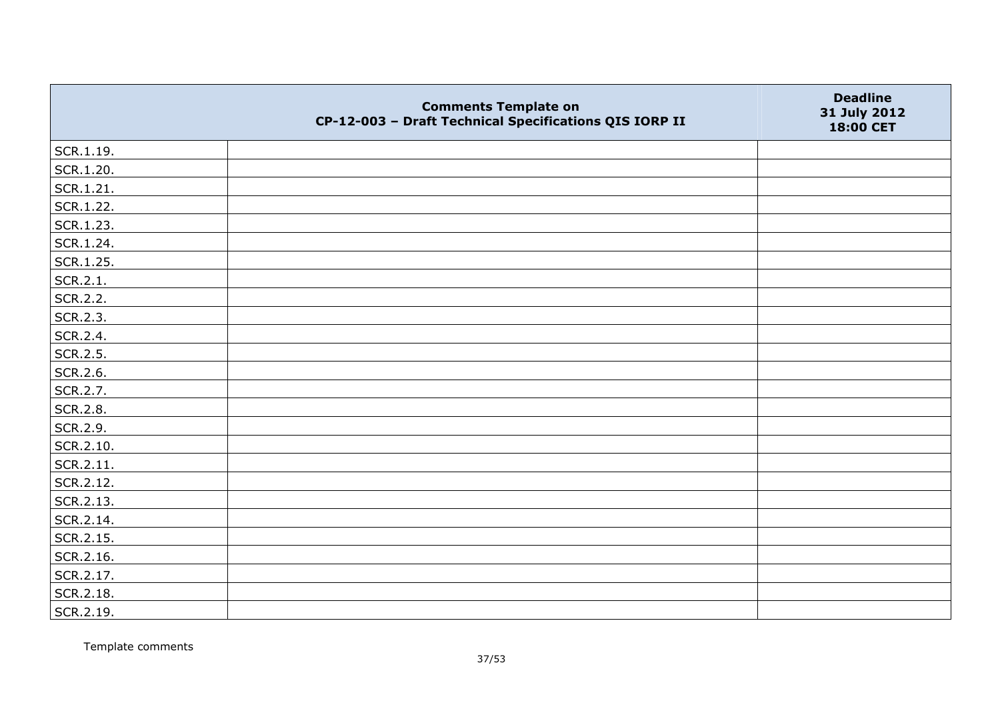|               | <b>Comments Template on</b><br>CP-12-003 - Draft Technical Specifications QIS IORP II | <b>Deadline</b><br>31 July 2012<br>18:00 CET |
|---------------|---------------------------------------------------------------------------------------|----------------------------------------------|
| $ $ SCR.1.19. |                                                                                       |                                              |
| SCR.1.20.     |                                                                                       |                                              |
| SCR.1.21.     |                                                                                       |                                              |
| SCR.1.22.     |                                                                                       |                                              |
| SCR.1.23.     |                                                                                       |                                              |
| SCR.1.24.     |                                                                                       |                                              |
| SCR.1.25.     |                                                                                       |                                              |
| SCR.2.1.      |                                                                                       |                                              |
| SCR.2.2.      |                                                                                       |                                              |
| SCR.2.3.      |                                                                                       |                                              |
| SCR.2.4.      |                                                                                       |                                              |
| SCR.2.5.      |                                                                                       |                                              |
| SCR.2.6.      |                                                                                       |                                              |
| SCR.2.7.      |                                                                                       |                                              |
| SCR.2.8.      |                                                                                       |                                              |
| SCR.2.9.      |                                                                                       |                                              |
| SCR.2.10.     |                                                                                       |                                              |
| SCR.2.11.     |                                                                                       |                                              |
| SCR.2.12.     |                                                                                       |                                              |
| SCR.2.13.     |                                                                                       |                                              |
| SCR.2.14.     |                                                                                       |                                              |
| SCR.2.15.     |                                                                                       |                                              |
| SCR.2.16.     |                                                                                       |                                              |
| SCR.2.17.     |                                                                                       |                                              |
| SCR.2.18.     |                                                                                       |                                              |
| SCR.2.19.     |                                                                                       |                                              |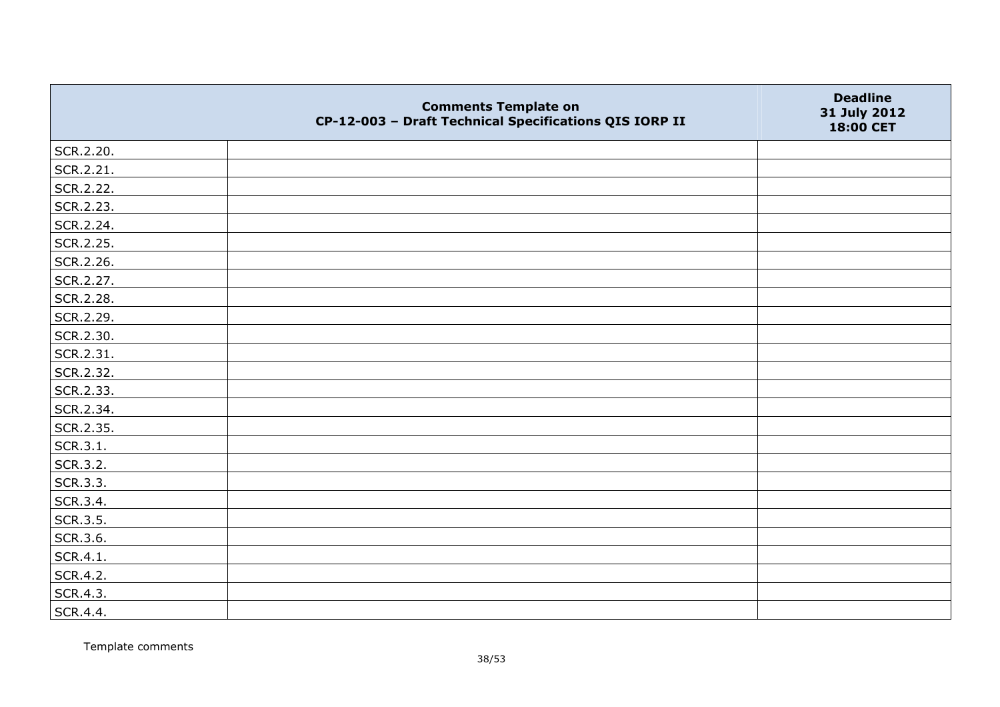|           | <b>Comments Template on</b><br>CP-12-003 - Draft Technical Specifications QIS IORP II | <b>Deadline</b><br>31 July 2012<br>18:00 CET |
|-----------|---------------------------------------------------------------------------------------|----------------------------------------------|
| SCR.2.20. |                                                                                       |                                              |
| SCR.2.21. |                                                                                       |                                              |
| SCR.2.22. |                                                                                       |                                              |
| SCR.2.23. |                                                                                       |                                              |
| SCR.2.24. |                                                                                       |                                              |
| SCR.2.25. |                                                                                       |                                              |
| SCR.2.26. |                                                                                       |                                              |
| SCR.2.27. |                                                                                       |                                              |
| SCR.2.28. |                                                                                       |                                              |
| SCR.2.29. |                                                                                       |                                              |
| SCR.2.30. |                                                                                       |                                              |
| SCR.2.31. |                                                                                       |                                              |
| SCR.2.32. |                                                                                       |                                              |
| SCR.2.33. |                                                                                       |                                              |
| SCR.2.34. |                                                                                       |                                              |
| SCR.2.35. |                                                                                       |                                              |
| SCR.3.1.  |                                                                                       |                                              |
| SCR.3.2.  |                                                                                       |                                              |
| SCR.3.3.  |                                                                                       |                                              |
| SCR.3.4.  |                                                                                       |                                              |
| SCR.3.5.  |                                                                                       |                                              |
| SCR.3.6.  |                                                                                       |                                              |
| SCR.4.1.  |                                                                                       |                                              |
| SCR.4.2.  |                                                                                       |                                              |
| SCR.4.3.  |                                                                                       |                                              |
| SCR.4.4.  |                                                                                       |                                              |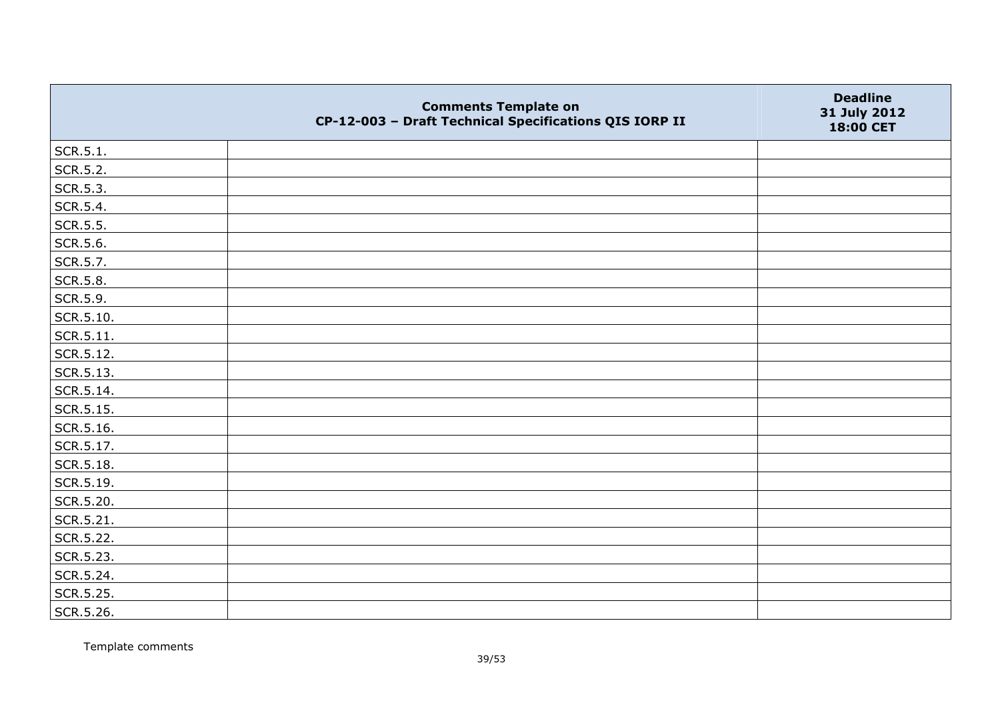|                   | <b>Comments Template on</b><br>CP-12-003 - Draft Technical Specifications QIS IORP II | <b>Deadline</b><br>31 July 2012<br>18:00 CET |
|-------------------|---------------------------------------------------------------------------------------|----------------------------------------------|
| SCR.5.1.          |                                                                                       |                                              |
| SCR.5.2.          |                                                                                       |                                              |
| SCR.5.3.          |                                                                                       |                                              |
| SCR.5.4.          |                                                                                       |                                              |
| SCR.5.5.          |                                                                                       |                                              |
| SCR.5.6.          |                                                                                       |                                              |
| SCR.5.7.          |                                                                                       |                                              |
| SCR.5.8.          |                                                                                       |                                              |
| SCR.5.9.          |                                                                                       |                                              |
| $\vert$ SCR.5.10. |                                                                                       |                                              |
| $ $ SCR.5.11.     |                                                                                       |                                              |
| SCR.5.12.         |                                                                                       |                                              |
| SCR.5.13.         |                                                                                       |                                              |
| SCR.5.14.         |                                                                                       |                                              |
| SCR.5.15.         |                                                                                       |                                              |
| SCR.5.16.         |                                                                                       |                                              |
| SCR.5.17.         |                                                                                       |                                              |
| SCR.5.18.         |                                                                                       |                                              |
| SCR.5.19.         |                                                                                       |                                              |
| SCR.5.20.         |                                                                                       |                                              |
| SCR.5.21.         |                                                                                       |                                              |
| SCR.5.22.         |                                                                                       |                                              |
| SCR.5.23.         |                                                                                       |                                              |
| SCR.5.24.         |                                                                                       |                                              |
| SCR.5.25.         |                                                                                       |                                              |
| SCR.5.26.         |                                                                                       |                                              |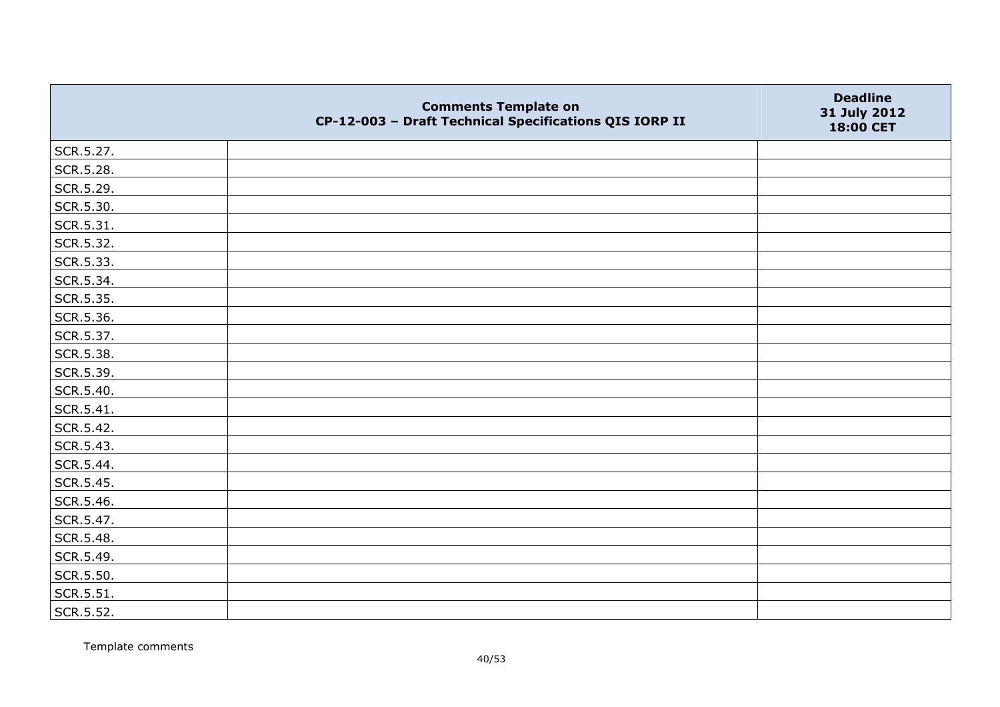|           | <b>Comments Template on</b><br>CP-12-003 - Draft Technical Specifications QIS IORP II | <b>Deadline</b><br>31 July 2012<br>18:00 CET |
|-----------|---------------------------------------------------------------------------------------|----------------------------------------------|
| SCR.5.27. |                                                                                       |                                              |
| SCR.5.28. |                                                                                       |                                              |
| SCR.5.29. |                                                                                       |                                              |
| SCR.5.30. |                                                                                       |                                              |
| SCR.5.31. |                                                                                       |                                              |
| SCR.5.32. |                                                                                       |                                              |
| SCR.5.33. |                                                                                       |                                              |
| SCR.5.34. |                                                                                       |                                              |
| SCR.5.35. |                                                                                       |                                              |
| SCR.5.36. |                                                                                       |                                              |
| SCR.5.37. |                                                                                       |                                              |
| SCR.5.38. |                                                                                       |                                              |
| SCR.5.39. |                                                                                       |                                              |
| SCR.5.40. |                                                                                       |                                              |
| SCR.5.41. |                                                                                       |                                              |
| SCR.5.42. |                                                                                       |                                              |
| SCR.5.43. |                                                                                       |                                              |
| SCR.5.44. |                                                                                       |                                              |
| SCR.5.45. |                                                                                       |                                              |
| SCR.5.46. |                                                                                       |                                              |
| SCR.5.47. |                                                                                       |                                              |
| SCR.5.48. |                                                                                       |                                              |
| SCR.5.49. |                                                                                       |                                              |
| SCR.5.50. |                                                                                       |                                              |
| SCR.5.51. |                                                                                       |                                              |
| SCR.5.52. |                                                                                       |                                              |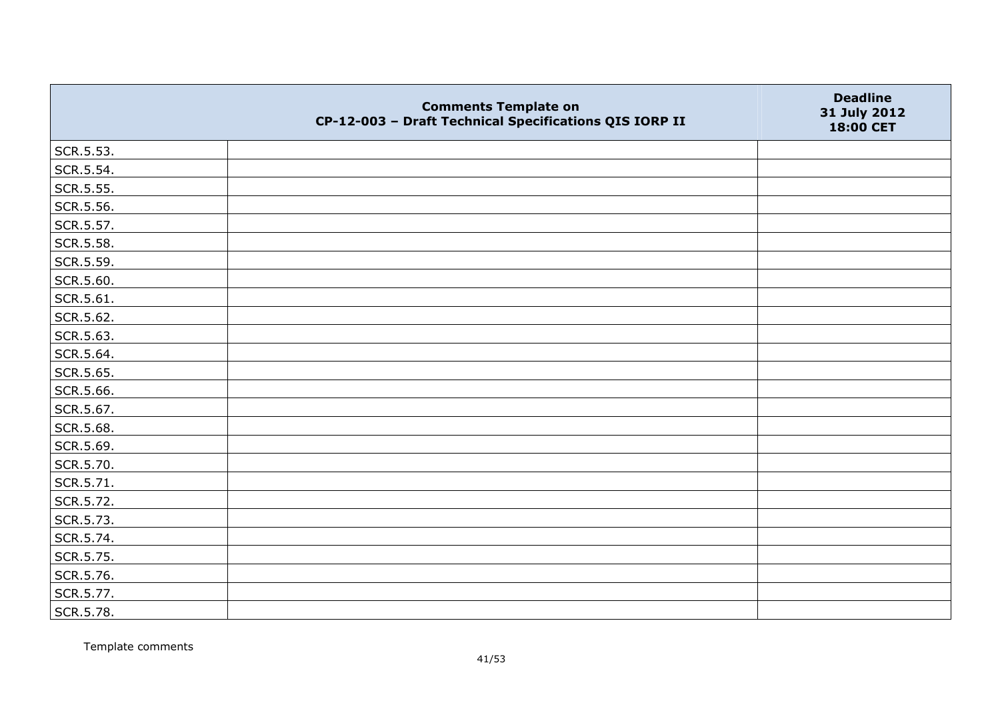|           | <b>Comments Template on</b><br>CP-12-003 - Draft Technical Specifications QIS IORP II | <b>Deadline</b><br>31 July 2012<br>18:00 CET |
|-----------|---------------------------------------------------------------------------------------|----------------------------------------------|
| SCR.5.53. |                                                                                       |                                              |
| SCR.5.54. |                                                                                       |                                              |
| SCR.5.55. |                                                                                       |                                              |
| SCR.5.56. |                                                                                       |                                              |
| SCR.5.57. |                                                                                       |                                              |
| SCR.5.58. |                                                                                       |                                              |
| SCR.5.59. |                                                                                       |                                              |
| SCR.5.60. |                                                                                       |                                              |
| SCR.5.61. |                                                                                       |                                              |
| SCR.5.62. |                                                                                       |                                              |
| SCR.5.63. |                                                                                       |                                              |
| SCR.5.64. |                                                                                       |                                              |
| SCR.5.65. |                                                                                       |                                              |
| SCR.5.66. |                                                                                       |                                              |
| SCR.5.67. |                                                                                       |                                              |
| SCR.5.68. |                                                                                       |                                              |
| SCR.5.69. |                                                                                       |                                              |
| SCR.5.70. |                                                                                       |                                              |
| SCR.5.71. |                                                                                       |                                              |
| SCR.5.72. |                                                                                       |                                              |
| SCR.5.73. |                                                                                       |                                              |
| SCR.5.74. |                                                                                       |                                              |
| SCR.5.75. |                                                                                       |                                              |
| SCR.5.76. |                                                                                       |                                              |
| SCR.5.77. |                                                                                       |                                              |
| SCR.5.78. |                                                                                       |                                              |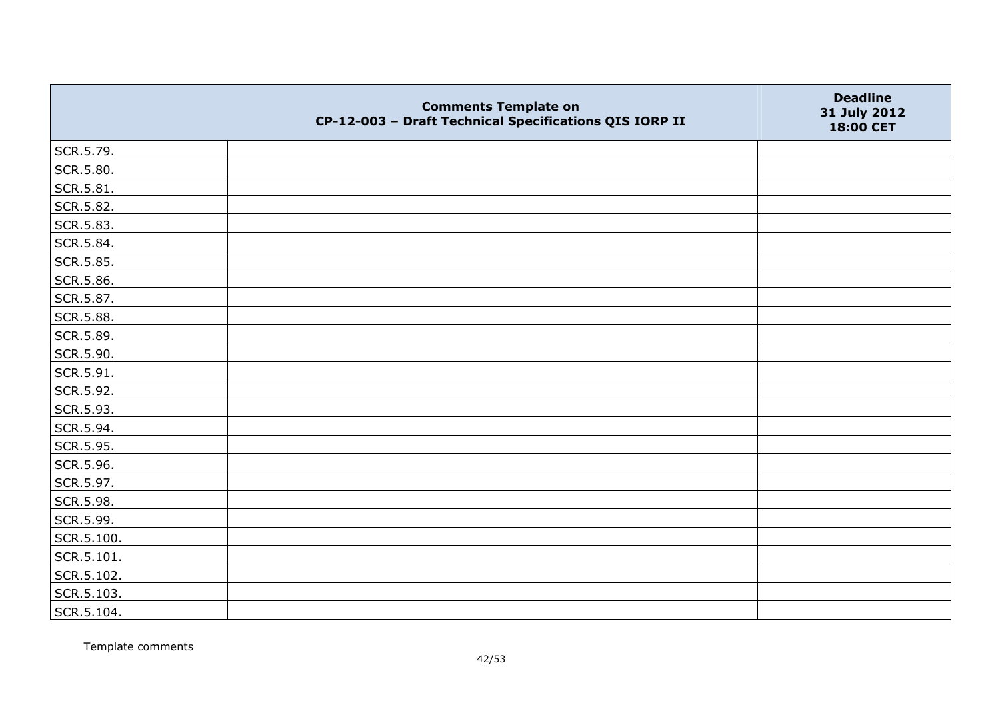|            | <b>Comments Template on</b><br>CP-12-003 - Draft Technical Specifications QIS IORP II | <b>Deadline</b><br>31 July 2012<br>18:00 CET |
|------------|---------------------------------------------------------------------------------------|----------------------------------------------|
| SCR.5.79.  |                                                                                       |                                              |
| SCR.5.80.  |                                                                                       |                                              |
| SCR.5.81.  |                                                                                       |                                              |
| SCR.5.82.  |                                                                                       |                                              |
| SCR.5.83.  |                                                                                       |                                              |
| SCR.5.84.  |                                                                                       |                                              |
| SCR.5.85.  |                                                                                       |                                              |
| SCR.5.86.  |                                                                                       |                                              |
| SCR.5.87.  |                                                                                       |                                              |
| SCR.5.88.  |                                                                                       |                                              |
| SCR.5.89.  |                                                                                       |                                              |
| SCR.5.90.  |                                                                                       |                                              |
| SCR.5.91.  |                                                                                       |                                              |
| SCR.5.92.  |                                                                                       |                                              |
| SCR.5.93.  |                                                                                       |                                              |
| SCR.5.94.  |                                                                                       |                                              |
| SCR.5.95.  |                                                                                       |                                              |
| SCR.5.96.  |                                                                                       |                                              |
| SCR.5.97.  |                                                                                       |                                              |
| SCR.5.98.  |                                                                                       |                                              |
| SCR.5.99.  |                                                                                       |                                              |
| SCR.5.100. |                                                                                       |                                              |
| SCR.5.101. |                                                                                       |                                              |
| SCR.5.102. |                                                                                       |                                              |
| SCR.5.103. |                                                                                       |                                              |
| SCR.5.104. |                                                                                       |                                              |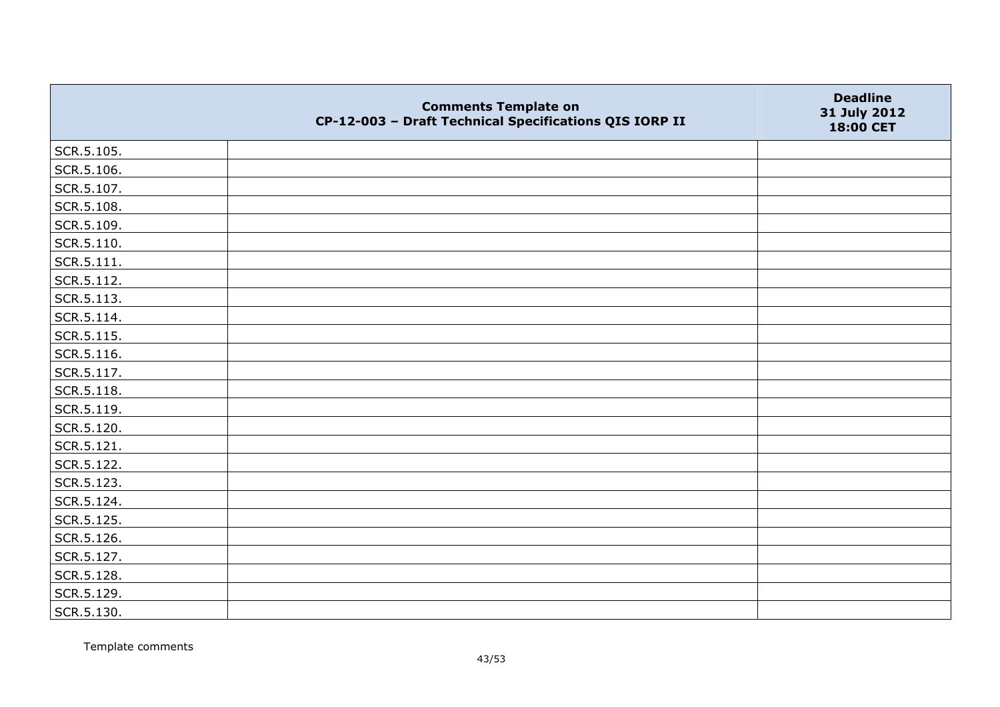|            | <b>Comments Template on</b><br>CP-12-003 - Draft Technical Specifications QIS IORP II | <b>Deadline</b><br>31 July 2012<br>18:00 CET |
|------------|---------------------------------------------------------------------------------------|----------------------------------------------|
| SCR.5.105. |                                                                                       |                                              |
| SCR.5.106. |                                                                                       |                                              |
| SCR.5.107. |                                                                                       |                                              |
| SCR.5.108. |                                                                                       |                                              |
| SCR.5.109. |                                                                                       |                                              |
| SCR.5.110. |                                                                                       |                                              |
| SCR.5.111. |                                                                                       |                                              |
| SCR.5.112. |                                                                                       |                                              |
| SCR.5.113. |                                                                                       |                                              |
| SCR.5.114. |                                                                                       |                                              |
| SCR.5.115. |                                                                                       |                                              |
| SCR.5.116. |                                                                                       |                                              |
| SCR.5.117. |                                                                                       |                                              |
| SCR.5.118. |                                                                                       |                                              |
| SCR.5.119. |                                                                                       |                                              |
| SCR.5.120. |                                                                                       |                                              |
| SCR.5.121. |                                                                                       |                                              |
| SCR.5.122. |                                                                                       |                                              |
| SCR.5.123. |                                                                                       |                                              |
| SCR.5.124. |                                                                                       |                                              |
| SCR.5.125. |                                                                                       |                                              |
| SCR.5.126. |                                                                                       |                                              |
| SCR.5.127. |                                                                                       |                                              |
| SCR.5.128. |                                                                                       |                                              |
| SCR.5.129. |                                                                                       |                                              |
| SCR.5.130. |                                                                                       |                                              |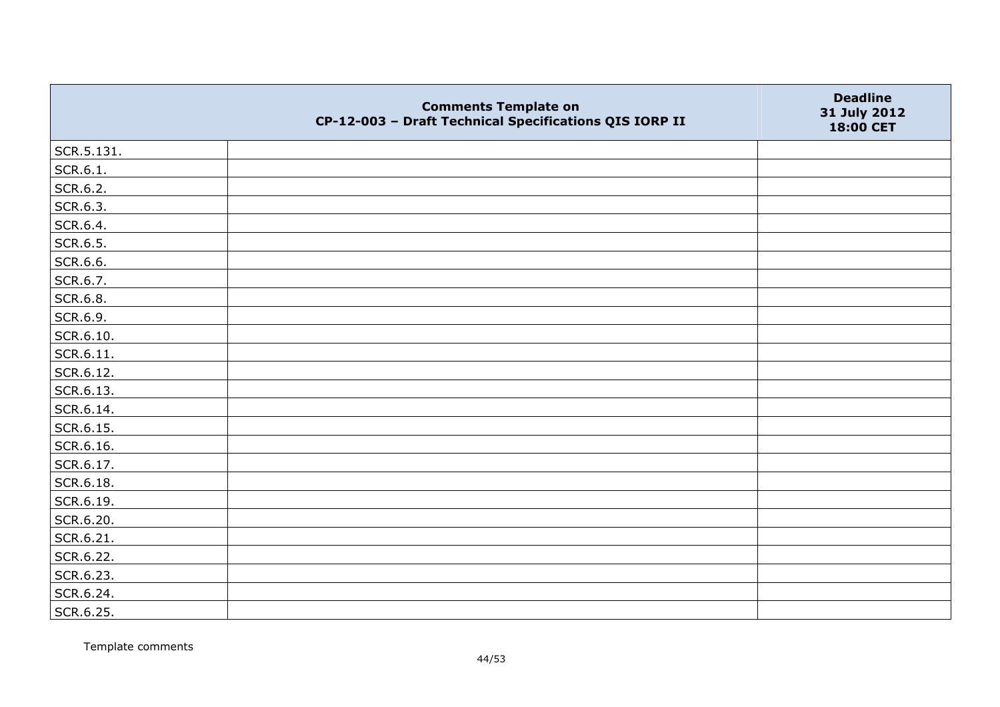|            | <b>Comments Template on</b><br>CP-12-003 - Draft Technical Specifications QIS IORP II | <b>Deadline</b><br>31 July 2012<br>18:00 CET |
|------------|---------------------------------------------------------------------------------------|----------------------------------------------|
| SCR.5.131. |                                                                                       |                                              |
| SCR.6.1.   |                                                                                       |                                              |
| SCR.6.2.   |                                                                                       |                                              |
| SCR.6.3.   |                                                                                       |                                              |
| SCR.6.4.   |                                                                                       |                                              |
| SCR.6.5.   |                                                                                       |                                              |
| SCR.6.6.   |                                                                                       |                                              |
| SCR.6.7.   |                                                                                       |                                              |
| SCR.6.8.   |                                                                                       |                                              |
| SCR.6.9.   |                                                                                       |                                              |
| SCR.6.10.  |                                                                                       |                                              |
| SCR.6.11.  |                                                                                       |                                              |
| SCR.6.12.  |                                                                                       |                                              |
| SCR.6.13.  |                                                                                       |                                              |
| SCR.6.14.  |                                                                                       |                                              |
| SCR.6.15.  |                                                                                       |                                              |
| SCR.6.16.  |                                                                                       |                                              |
| SCR.6.17.  |                                                                                       |                                              |
| SCR.6.18.  |                                                                                       |                                              |
| SCR.6.19.  |                                                                                       |                                              |
| SCR.6.20.  |                                                                                       |                                              |
| SCR.6.21.  |                                                                                       |                                              |
| SCR.6.22.  |                                                                                       |                                              |
| SCR.6.23.  |                                                                                       |                                              |
| SCR.6.24.  |                                                                                       |                                              |
| SCR.6.25.  |                                                                                       |                                              |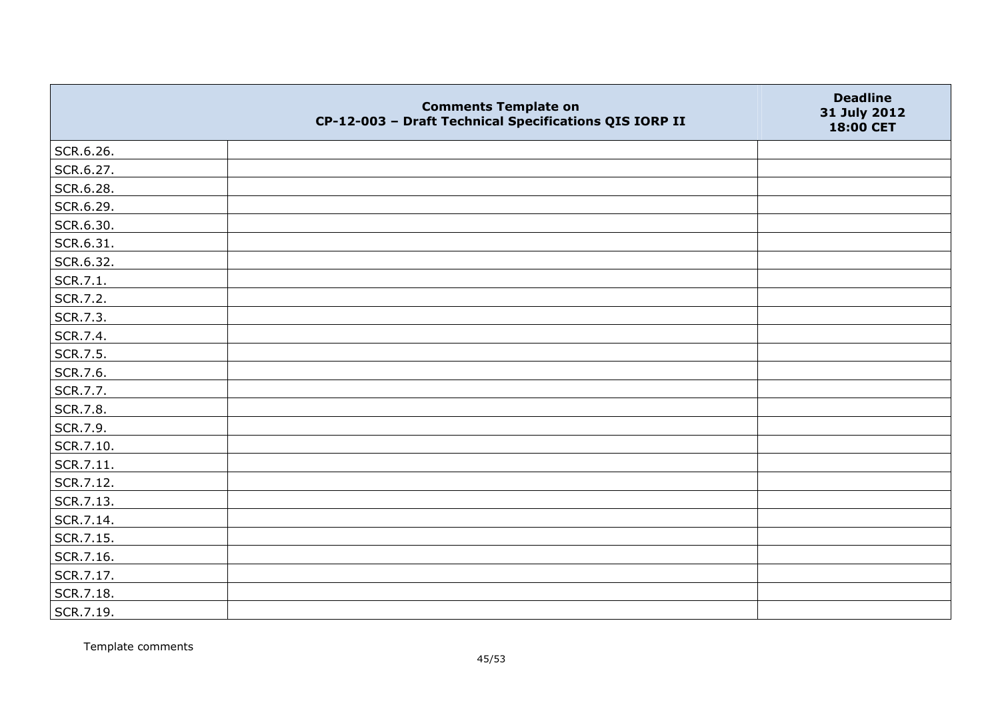|           | <b>Comments Template on</b><br>CP-12-003 - Draft Technical Specifications QIS IORP II | <b>Deadline</b><br>31 July 2012<br>18:00 CET |
|-----------|---------------------------------------------------------------------------------------|----------------------------------------------|
| SCR.6.26. |                                                                                       |                                              |
| SCR.6.27. |                                                                                       |                                              |
| SCR.6.28. |                                                                                       |                                              |
| SCR.6.29. |                                                                                       |                                              |
| SCR.6.30. |                                                                                       |                                              |
| SCR.6.31. |                                                                                       |                                              |
| SCR.6.32. |                                                                                       |                                              |
| SCR.7.1.  |                                                                                       |                                              |
| SCR.7.2.  |                                                                                       |                                              |
| SCR.7.3.  |                                                                                       |                                              |
| SCR.7.4.  |                                                                                       |                                              |
| SCR.7.5.  |                                                                                       |                                              |
| SCR.7.6.  |                                                                                       |                                              |
| SCR.7.7.  |                                                                                       |                                              |
| SCR.7.8.  |                                                                                       |                                              |
| SCR.7.9.  |                                                                                       |                                              |
| SCR.7.10. |                                                                                       |                                              |
| SCR.7.11. |                                                                                       |                                              |
| SCR.7.12. |                                                                                       |                                              |
| SCR.7.13. |                                                                                       |                                              |
| SCR.7.14. |                                                                                       |                                              |
| SCR.7.15. |                                                                                       |                                              |
| SCR.7.16. |                                                                                       |                                              |
| SCR.7.17. |                                                                                       |                                              |
| SCR.7.18. |                                                                                       |                                              |
| SCR.7.19. |                                                                                       |                                              |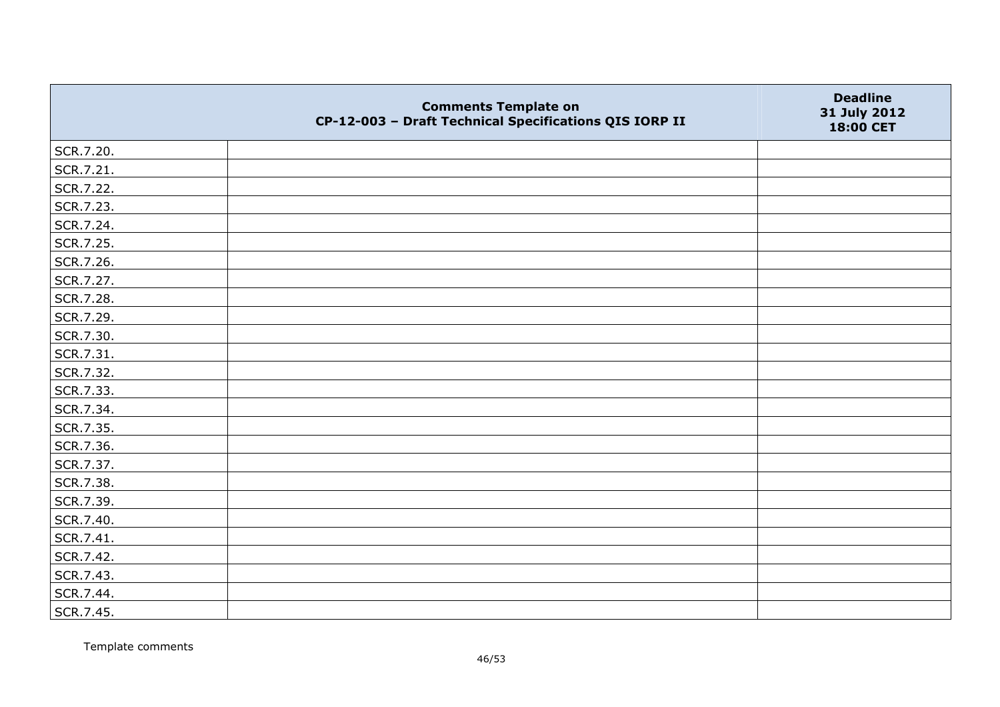|           | <b>Comments Template on</b><br>CP-12-003 - Draft Technical Specifications QIS IORP II | <b>Deadline</b><br>31 July 2012<br>18:00 CET |
|-----------|---------------------------------------------------------------------------------------|----------------------------------------------|
| SCR.7.20. |                                                                                       |                                              |
| SCR.7.21. |                                                                                       |                                              |
| SCR.7.22. |                                                                                       |                                              |
| SCR.7.23. |                                                                                       |                                              |
| SCR.7.24. |                                                                                       |                                              |
| SCR.7.25. |                                                                                       |                                              |
| SCR.7.26. |                                                                                       |                                              |
| SCR.7.27. |                                                                                       |                                              |
| SCR.7.28. |                                                                                       |                                              |
| SCR.7.29. |                                                                                       |                                              |
| SCR.7.30. |                                                                                       |                                              |
| SCR.7.31. |                                                                                       |                                              |
| SCR.7.32. |                                                                                       |                                              |
| SCR.7.33. |                                                                                       |                                              |
| SCR.7.34. |                                                                                       |                                              |
| SCR.7.35. |                                                                                       |                                              |
| SCR.7.36. |                                                                                       |                                              |
| SCR.7.37. |                                                                                       |                                              |
| SCR.7.38. |                                                                                       |                                              |
| SCR.7.39. |                                                                                       |                                              |
| SCR.7.40. |                                                                                       |                                              |
| SCR.7.41. |                                                                                       |                                              |
| SCR.7.42. |                                                                                       |                                              |
| SCR.7.43. |                                                                                       |                                              |
| SCR.7.44. |                                                                                       |                                              |
| SCR.7.45. |                                                                                       |                                              |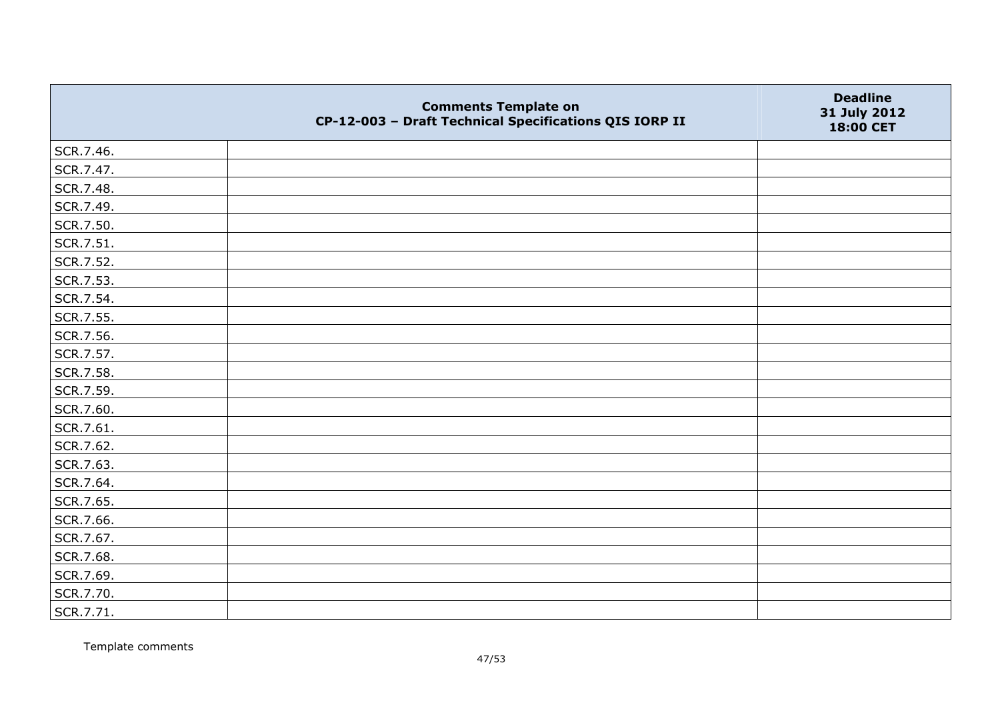|           | <b>Comments Template on</b><br>CP-12-003 - Draft Technical Specifications QIS IORP II | <b>Deadline</b><br>31 July 2012<br>18:00 CET |
|-----------|---------------------------------------------------------------------------------------|----------------------------------------------|
| SCR.7.46. |                                                                                       |                                              |
| SCR.7.47. |                                                                                       |                                              |
| SCR.7.48. |                                                                                       |                                              |
| SCR.7.49. |                                                                                       |                                              |
| SCR.7.50. |                                                                                       |                                              |
| SCR.7.51. |                                                                                       |                                              |
| SCR.7.52. |                                                                                       |                                              |
| SCR.7.53. |                                                                                       |                                              |
| SCR.7.54. |                                                                                       |                                              |
| SCR.7.55. |                                                                                       |                                              |
| SCR.7.56. |                                                                                       |                                              |
| SCR.7.57. |                                                                                       |                                              |
| SCR.7.58. |                                                                                       |                                              |
| SCR.7.59. |                                                                                       |                                              |
| SCR.7.60. |                                                                                       |                                              |
| SCR.7.61. |                                                                                       |                                              |
| SCR.7.62. |                                                                                       |                                              |
| SCR.7.63. |                                                                                       |                                              |
| SCR.7.64. |                                                                                       |                                              |
| SCR.7.65. |                                                                                       |                                              |
| SCR.7.66. |                                                                                       |                                              |
| SCR.7.67. |                                                                                       |                                              |
| SCR.7.68. |                                                                                       |                                              |
| SCR.7.69. |                                                                                       |                                              |
| SCR.7.70. |                                                                                       |                                              |
| SCR.7.71. |                                                                                       |                                              |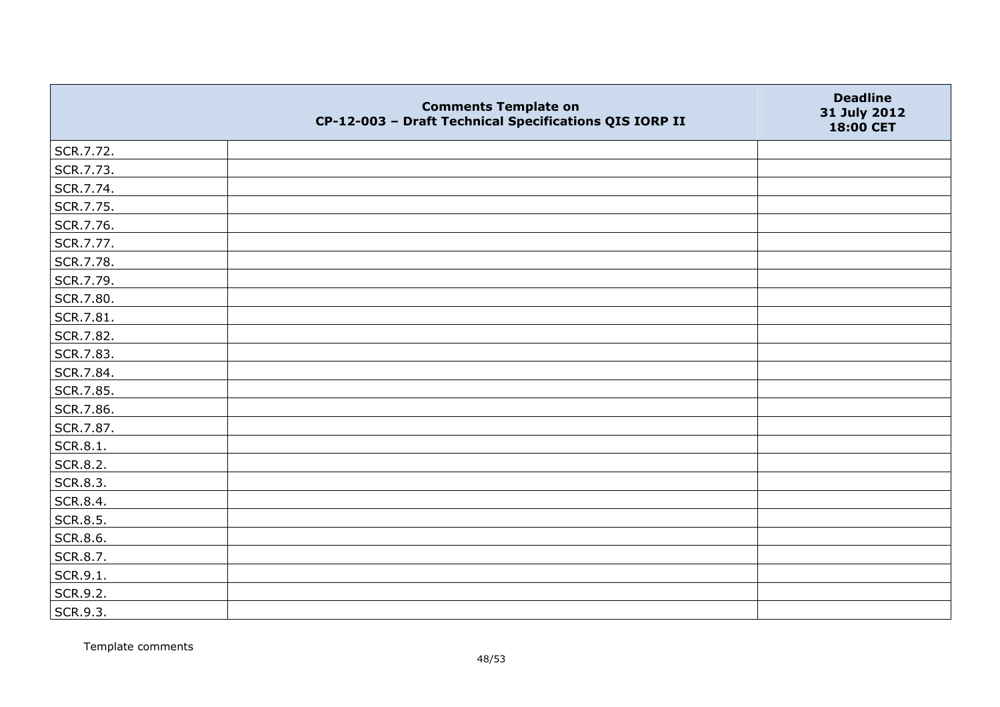|           | <b>Comments Template on</b><br>CP-12-003 - Draft Technical Specifications QIS IORP II | <b>Deadline</b><br>31 July 2012<br>18:00 CET |
|-----------|---------------------------------------------------------------------------------------|----------------------------------------------|
| SCR.7.72. |                                                                                       |                                              |
| SCR.7.73. |                                                                                       |                                              |
| SCR.7.74. |                                                                                       |                                              |
| SCR.7.75. |                                                                                       |                                              |
| SCR.7.76. |                                                                                       |                                              |
| SCR.7.77. |                                                                                       |                                              |
| SCR.7.78. |                                                                                       |                                              |
| SCR.7.79. |                                                                                       |                                              |
| SCR.7.80. |                                                                                       |                                              |
| SCR.7.81. |                                                                                       |                                              |
| SCR.7.82. |                                                                                       |                                              |
| SCR.7.83. |                                                                                       |                                              |
| SCR.7.84. |                                                                                       |                                              |
| SCR.7.85. |                                                                                       |                                              |
| SCR.7.86. |                                                                                       |                                              |
| SCR.7.87. |                                                                                       |                                              |
| SCR.8.1.  |                                                                                       |                                              |
| SCR.8.2.  |                                                                                       |                                              |
| SCR.8.3.  |                                                                                       |                                              |
| SCR.8.4.  |                                                                                       |                                              |
| SCR.8.5.  |                                                                                       |                                              |
| SCR.8.6.  |                                                                                       |                                              |
| SCR.8.7.  |                                                                                       |                                              |
| SCR.9.1.  |                                                                                       |                                              |
| SCR.9.2.  |                                                                                       |                                              |
| SCR.9.3.  |                                                                                       |                                              |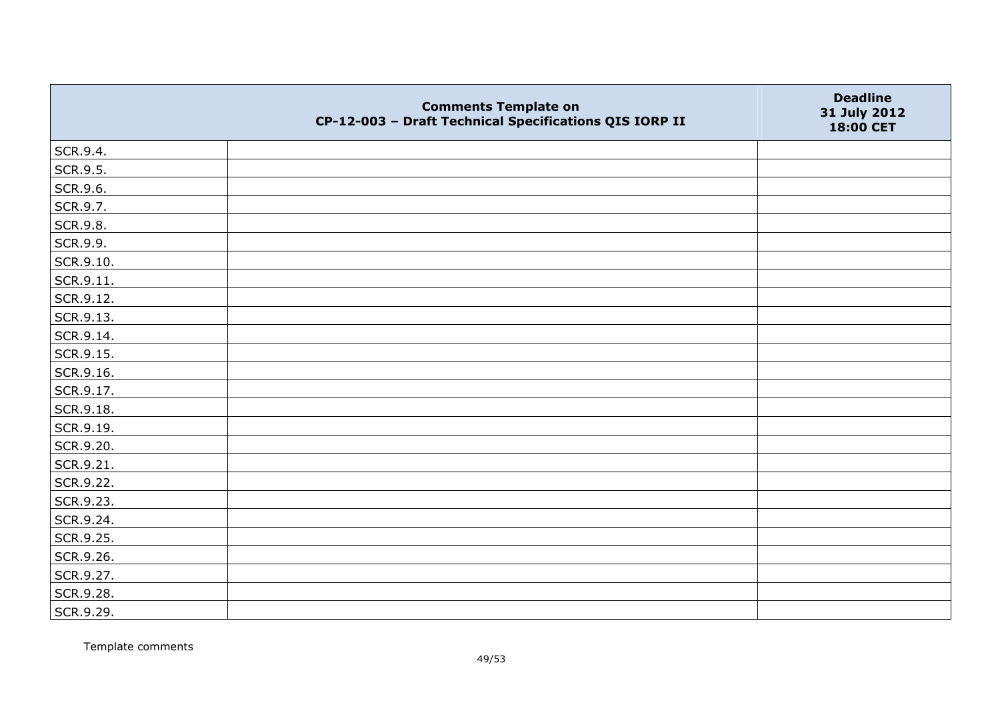|           | <b>Comments Template on</b><br>CP-12-003 - Draft Technical Specifications QIS IORP II | <b>Deadline</b><br>31 July 2012<br>18:00 CET |
|-----------|---------------------------------------------------------------------------------------|----------------------------------------------|
| SCR.9.4.  |                                                                                       |                                              |
| SCR.9.5.  |                                                                                       |                                              |
| SCR.9.6.  |                                                                                       |                                              |
| SCR.9.7.  |                                                                                       |                                              |
| SCR.9.8.  |                                                                                       |                                              |
| SCR.9.9.  |                                                                                       |                                              |
| SCR.9.10. |                                                                                       |                                              |
| SCR.9.11. |                                                                                       |                                              |
| SCR.9.12. |                                                                                       |                                              |
| SCR.9.13. |                                                                                       |                                              |
| SCR.9.14. |                                                                                       |                                              |
| SCR.9.15. |                                                                                       |                                              |
| SCR.9.16. |                                                                                       |                                              |
| SCR.9.17. |                                                                                       |                                              |
| SCR.9.18. |                                                                                       |                                              |
| SCR.9.19. |                                                                                       |                                              |
| SCR.9.20. |                                                                                       |                                              |
| SCR.9.21. |                                                                                       |                                              |
| SCR.9.22. |                                                                                       |                                              |
| SCR.9.23. |                                                                                       |                                              |
| SCR.9.24. |                                                                                       |                                              |
| SCR.9.25. |                                                                                       |                                              |
| SCR.9.26. |                                                                                       |                                              |
| SCR.9.27. |                                                                                       |                                              |
| SCR.9.28. |                                                                                       |                                              |
| SCR.9.29. |                                                                                       |                                              |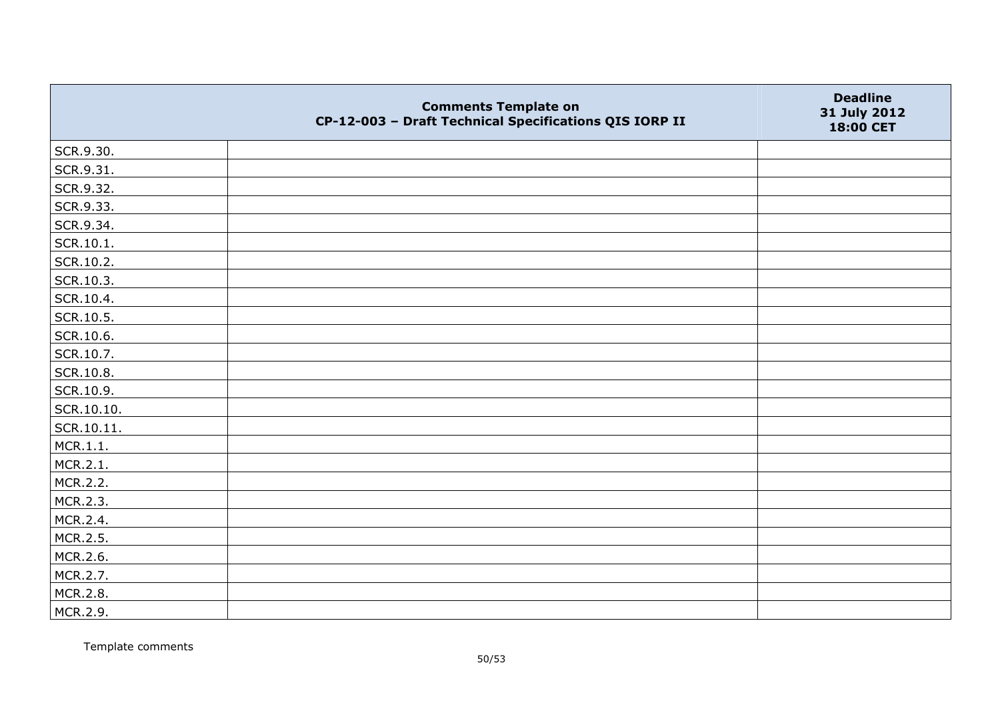|            | <b>Comments Template on</b><br>CP-12-003 - Draft Technical Specifications QIS IORP II | <b>Deadline</b><br>31 July 2012<br>18:00 CET |
|------------|---------------------------------------------------------------------------------------|----------------------------------------------|
| SCR.9.30.  |                                                                                       |                                              |
| SCR.9.31.  |                                                                                       |                                              |
| SCR.9.32.  |                                                                                       |                                              |
| SCR.9.33.  |                                                                                       |                                              |
| SCR.9.34.  |                                                                                       |                                              |
| SCR.10.1.  |                                                                                       |                                              |
| SCR.10.2.  |                                                                                       |                                              |
| SCR.10.3.  |                                                                                       |                                              |
| SCR.10.4.  |                                                                                       |                                              |
| SCR.10.5.  |                                                                                       |                                              |
| SCR.10.6.  |                                                                                       |                                              |
| SCR.10.7.  |                                                                                       |                                              |
| SCR.10.8.  |                                                                                       |                                              |
| SCR.10.9.  |                                                                                       |                                              |
| SCR.10.10. |                                                                                       |                                              |
| SCR.10.11. |                                                                                       |                                              |
| MCR.1.1.   |                                                                                       |                                              |
| MCR.2.1.   |                                                                                       |                                              |
| MCR.2.2.   |                                                                                       |                                              |
| MCR.2.3.   |                                                                                       |                                              |
| MCR.2.4.   |                                                                                       |                                              |
| MCR.2.5.   |                                                                                       |                                              |
| MCR.2.6.   |                                                                                       |                                              |
| MCR.2.7.   |                                                                                       |                                              |
| MCR.2.8.   |                                                                                       |                                              |
| MCR.2.9.   |                                                                                       |                                              |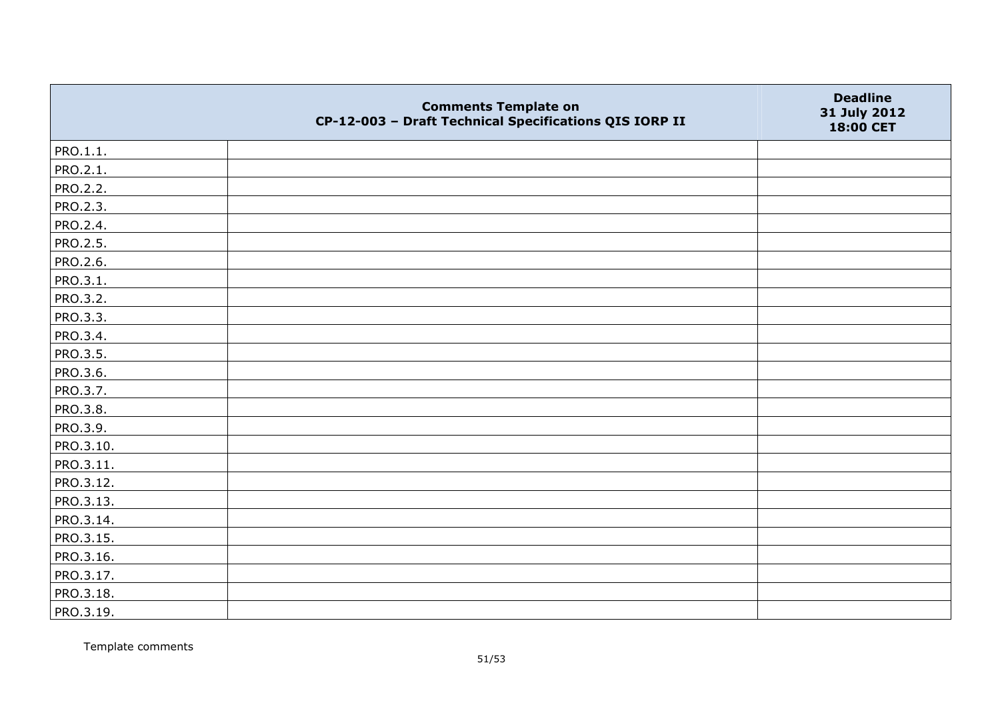|                 | <b>Comments Template on</b><br>CP-12-003 - Draft Technical Specifications QIS IORP II | <b>Deadline</b><br>31 July 2012<br>18:00 CET |
|-----------------|---------------------------------------------------------------------------------------|----------------------------------------------|
| PRO.1.1.        |                                                                                       |                                              |
| PRO.2.1.        |                                                                                       |                                              |
| <b>PRO.2.2.</b> |                                                                                       |                                              |
| PRO.2.3.        |                                                                                       |                                              |
| PRO.2.4.        |                                                                                       |                                              |
| PRO.2.5.        |                                                                                       |                                              |
| PRO.2.6.        |                                                                                       |                                              |
| PRO.3.1.        |                                                                                       |                                              |
| PRO.3.2.        |                                                                                       |                                              |
| PRO.3.3.        |                                                                                       |                                              |
| PRO.3.4.        |                                                                                       |                                              |
| PRO.3.5.        |                                                                                       |                                              |
| PRO.3.6.        |                                                                                       |                                              |
| PRO.3.7.        |                                                                                       |                                              |
| PRO.3.8.        |                                                                                       |                                              |
| PRO.3.9.        |                                                                                       |                                              |
| PRO.3.10.       |                                                                                       |                                              |
| PRO.3.11.       |                                                                                       |                                              |
| PRO.3.12.       |                                                                                       |                                              |
| PRO.3.13.       |                                                                                       |                                              |
| PRO.3.14.       |                                                                                       |                                              |
| PRO.3.15.       |                                                                                       |                                              |
| PRO.3.16.       |                                                                                       |                                              |
| PRO.3.17.       |                                                                                       |                                              |
| PRO.3.18.       |                                                                                       |                                              |
| PRO.3.19.       |                                                                                       |                                              |